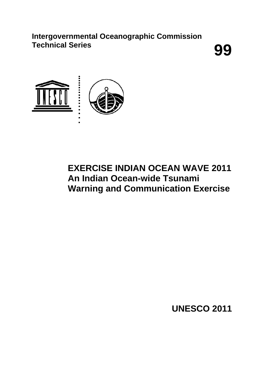**Intergovernmental Oceanographic Commission** Technical Series **99** 



# **EXERCISE INDIAN OCEAN WAVE 2011 An Indian Ocean-wide Tsunami Warning and Communication Exercise**

**UNESCO 2011**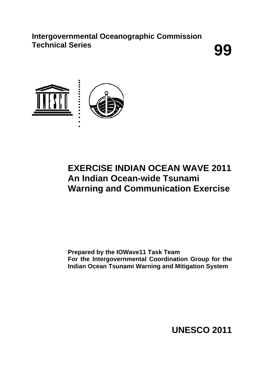**Intergovernmental Oceanographic Commission** Technical Series **99** 



# **EXERCISE INDIAN OCEAN WAVE 2011 An Indian Ocean-wide Tsunami Warning and Communication Exercise**

**Prepared by the IOWave11 Task Team For the Intergovernmental Coordination Group for the Indian Ocean Tsunami Warning and Mitigation System** 

**UNESCO 2011**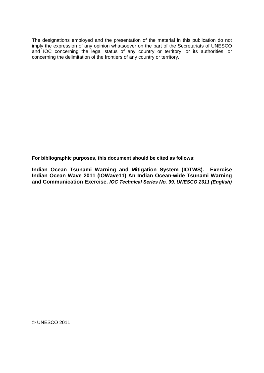The designations employed and the presentation of the material in this publication do not imply the expression of any opinion whatsoever on the part of the Secretariats of UNESCO and IOC concerning the legal status of any country or territory, or its authorities, or concerning the delimitation of the frontiers of any country or territory.

**For bibliographic purposes, this document should be cited as follows:** 

**Indian Ocean Tsunami Warning and Mitigation System (IOTWS). Exercise Indian Ocean Wave 2011 (IOWave11) An Indian Ocean-wide Tsunami Warning and Communication Exercise.** *IOC Technical Series No. 99. UNESCO 2011 (English)* 

UNESCO 2011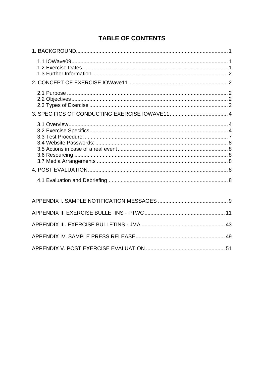## **TABLE OF CONTENTS**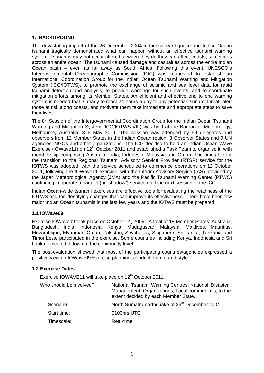## <span id="page-4-0"></span>**1. BACKGROUND**

The devastating impact of the 26 December 2004 Indonesia earthquake and Indian Ocean tsunami tragically demonstrated what can happen without an effective tsunami warning system. Tsunamis may not occur often, but when they do they can affect coasts, sometimes across an entire ocean. The tsunami caused damage and casualties across the entire Indian Ocean basin – even as far away as South Africa. Following this event, UNESCO's Intergovernmental Oceanographic Commission (IOC) was requested to establish an International Coordination Group for the Indian Ocean Tsunami Warning and Mitigation System (ICG/IOTWS), to promote the exchange of seismic and sea level data for rapid tsunami detection and analysis, to provide warnings for such events, and to coordinate mitigation efforts among its Member States. An efficient and effective end to end warning system is needed that is ready to react 24 hours a day to any potential tsunami threat, alert those at risk along coasts, and motivate them take immediate and appropriate steps to save their lives.

The 8<sup>th</sup> Session of the Intergovernmental Coordination Group for the Indian Ocean Tsunami Warning and Mitigation System (ICG/IOTWS-VIII) was held at the Bureau of Meteorology, Melbourne, Australia, 3–6 May 2011. The session was attended by 59 delegates and observers from 12 Member States in the Indian Ocean region, 3 Observer States and 9 UN agencies, NGOs and other organizations. The ICG decided to hold an Indian Ocean Wave Exercise (IOWave11) on 12<sup>th</sup> October 2011 and established a Task Team to organise it, with membership comprising Australia, India, Indonesia, Malaysia and Oman. The timetable for the transition to the Regional Tsunami Advisory Service Provider (RTSP) service for the IOTWS was adopted, with the service scheduled to commence operations on 12 October 2011, following the IOWave11 exercise, with the Interim Advisory Service (IAS) provided by the Japan Meteorological Agency (JMA) and the Pacific Tsunami Warning Center (PTWC) continuing in operate a parallel (or "shadow") service until the next session of the ICG.

Indian Ocean-wide tsunami exercises are effective tools for evaluating the readiness of the IOTWS and for identifying changes that can improve its effectiveness. There have been few major Indian Ocean tsunamis in the last few years and the IOTWS must be prepared.

## <span id="page-4-1"></span>**1.1 IOWave09**

Exercise IOWave09 took place on October 14, 2009. A total of 18 Member States: Australia, Bangladesh, India, Indonesia, Kenya, Madagascar, Malaysia, Maldives, Mauritius, Mozambique, Myanmar, Oman, Pakistan, Seychelles, Singapore, Sri Lanka, Tanzania and Timor Leste participated in the exercise. Some countries including Kenya, Indonesia and Sri Lanka executed it down to the community level.

The post-evaluation showed that most of the participating countries/agencies expressed a positive view on IOWave09 Exercise planning, conduct, format and style.

## <span id="page-4-2"></span>**1.2 Exercise Dates**

Exercise IOWAVE11 will take place on 12<sup>th</sup> October 2011.

| National Tsunami Warning Centres; National Disaster<br>Management Organizations; Local communities, to the<br>extent decided by each Member State. |
|----------------------------------------------------------------------------------------------------------------------------------------------------|
| North Sumatra earthquake of 26 <sup>th</sup> December 2004                                                                                         |
| 0100hrs UTC                                                                                                                                        |
| Real-time                                                                                                                                          |
|                                                                                                                                                    |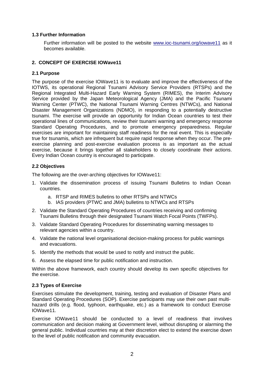## <span id="page-5-0"></span>**1.3 Further Information**

Further information will be posted to the website [www.ioc-tsunami.org/iowave11](http://www.ioc-tsunami.org/iowave11) as it becomes available.

## <span id="page-5-1"></span>**2. CONCEPT OF EXERCISE IOWave11**

## <span id="page-5-2"></span>**2.1 Purpose**

The purpose of the exercise IOWave11 is to evaluate and improve the effectiveness of the IOTWS, its operational Regional Tsunami Advisory Service Providers (RTSPs) and the Regional Integrated Multi-Hazard Early Warning System (RIMES), the Interim Advisory Service provided by the Japan Meteorological Agency (JMA) and the Pacific Tsunami Warning Center (PTWC), the National Tsunami Warning Centres (NTWCs), and National Disaster Management Organizations (NDMO), in responding to a potentially destructive tsunami. The exercise will provide an opportunity for Indian Ocean countries to test their operational lines of communications, review their tsunami warning and emergency response Standard Operating Procedures, and to promote emergency preparedness. Regular exercises are important for maintaining staff readiness for the real event. This is especially true for tsunamis, which are infrequent but require rapid response when they occur. The preexercise planning and post-exercise evaluation process is as important as the actual exercise, because it brings together all stakeholders to closely coordinate their actions. Every Indian Ocean country is encouraged to participate.

## **2.2 Objectives**

<span id="page-5-3"></span>The following are the over-arching objectives for IOWave11:

- 1. Validate the dissemination process of issuing Tsunami Bulletins to Indian Ocean countries.
	- a. RTSP and RIMES bulletins to other RTSPs and NTWCs
	- b. IAS providers (PTWC and JMA) bulletins to NTWCs and RTSPs
- 2. Validate the Standard Operating Procedures of countries receiving and confirming Tsunami Bulletins through their designated Tsunami Watch Focal Points (TWFPs).
- 3. Validate Standard Operating Procedures for disseminating warning messages to relevant agencies within a country.
- 4. Validate the national level organisational decision-making process for public warnings and evacuations.
- 5. Identify the methods that would be used to notify and instruct the public.
- 6. Assess the elapsed time for public notification and instruction.

Within the above framework, each country should develop its own specific objectives for the exercise.

## **2.3 Types of Exercise**

<span id="page-5-4"></span>Exercises stimulate the development, training, testing and evaluation of Disaster Plans and Standard Operating Procedures (SOP). Exercise participants may use their own past multihazard drills (e.g. flood, typhoon, earthquake, etc.) as a framework to conduct Exercise IOWave11.

Exercise IOWave11 should be conducted to a level of readiness that involves communication and decision making at Government level, without disrupting or alarming the general public. Individual countries may at their discretion elect to extend the exercise down to the level of public notification and community evacuation.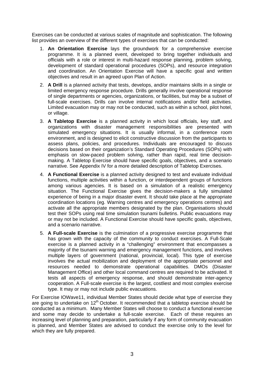Exercises can be conducted at various scales of magnitude and sophistication. The following list provides an overview of the different types of exercises that can be conducted:

- 1. **An Orientation Exercise** lays the groundwork for a comprehensive exercise programme. It is a planned event, developed to bring together individuals and officials with a role or interest in multi-hazard response planning, problem solving, development of standard operational procedures (SOPs), and resource integration and coordination. An Orientation Exercise will have a specific goal and written objectives and result in an agreed upon Plan of Action.
- 2. **A Drill** is a planned activity that tests, develops, and/or maintains skills in a single or limited emergency response procedure. Drills generally involve operational response of single departments or agencies, organizations, or facilities, but may be a subset of full-scale exercises. Drills can involve internal notifications and/or field activities. Limited evacuation may or may not be conducted, such as within a school, pilot hotel, or village.
- 3. **A Tabletop Exercise** is a planned activity in which local officials, key staff, and organizations with disaster management responsibilities are presented with simulated emergency situations. It is usually informal, in a conference room environment, and is designed to elicit constructive discussion from the participants to assess plans, policies, and procedures. Individuals are encouraged to discuss decisions based on their organization's Standard Operating Procedures (SOPs) with emphasis on slow-paced problem solving, rather than rapid, real time decisionmaking. A Tabletop Exercise should have specific goals, objectives, and a scenario narrative. See Appendix IV for a more detailed description of Tabletop Exercises.
- 4. **A Functional Exercise** is a planned activity designed to test and evaluate individual functions, multiple activities within a function, or interdependent groups of functions among various agencies. It is based on a simulation of a realistic emergency situation. The Functional Exercise gives the decision-makers a fully simulated experience of being in a major disaster event. It should take place at the appropriate coordination locations (eg. Warning centres and emergency operations centres) and activate all the appropriate members designated by the plan. Organisations should test their SOPs using real time simulation tsunami bulletins. Public evacuations may or may not be included. A Functional Exercise should have specific goals, objectives, and a scenario narrative.
- 5. **A Full-scale Exercise** is the culmination of a progressive exercise programme that has grown with the capacity of the community to conduct exercises. A Full-Scale exercise is a planned activity in a "challenging" environment that encompasses a majority of the tsunami warning and emergency management functions, and involves multiple layers of government (national, provincial, local). This type of exercise involves the actual mobilization and deployment of the appropriate personnel and resources needed to demonstrate operational capabilities. DMOs (Disaster Management Office) and other local command centres are required to be activated. It tests all aspects of emergency response, and should demonstrate inter-agency cooperation. A Full-scale exercise is the largest, costliest and most complex exercise type. It may or may not include public evacuations.

For Exercise IOWave11, individual Member States should decide what type of exercise they are going to undertake on 12<sup>th</sup> October. It recommended that a tabletop exercise should be conducted as a minimum. Many Member States will choose to conduct a functional exercise and some may decide to undertake a full-scale exercise. Each of these requires an increasing level of planning and preparation, particularly if any form of community evacuation is planned, and Member States are advised to conduct the exercise only to the level for which they are fully prepared.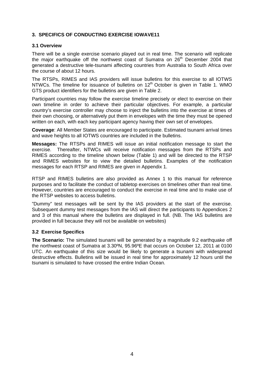## <span id="page-7-0"></span>**3. SPECIFICS OF CONDUCTING EXERCISE IOWAVE11**

#### <span id="page-7-1"></span>**3.1 Overview**

There will be a single exercise scenario played out in real time. The scenario will replicate the major earthquake off the northwest coast of Sumatra on  $26<sup>th</sup>$  December 2004 that generated a destructive tele-tsunami affecting countries from Australia to South Africa over the course of about 12 hours.

The RTSPs, RIMES and IAS providers will issue bulletins for this exercise to all IOTWS NTWCs. The timeline for issuance of bulletins on 12<sup>th</sup> October is given in Table 1. WMO GTS product identifiers for the bulletins are given in Table 2.

Participant countries may follow the exercise timeline precisely or elect to exercise on their own timeline in order to achieve their particular objectives. For example, a particular country's exercise controller may choose to inject the bulletins into the exercise at times of their own choosing, or alternatively put them in envelopes with the time they must be opened written on each, with each key participant agency having their own set of envelopes.

**Coverage**: All Member States are encouraged to participate. Estimated tsunami arrival times and wave heights to all IOTWS countries are included in the bulletins.

**Messages:** The RTSPs and RIMES will issue an initial notification message to start the exercise. Thereafter, NTWCs will receive notification messages from the RTSPs and RIMES according to the timeline shown below (Table 1) and will be directed to the RTSP and RIMES websites for to view the detailed bulletins. Examples of the notification messages for each RTSP and RIMES are given in Appendix 1.

RTSP and RIMES bulletins are also provided as Annex 1 to this manual for reference purposes and to facilitate the conduct of tabletop exercises on timelines other than real time. However, countries are encouraged to conduct the exercise in real time and to make use of the RTSP websites to access bulletins.

"Dummy" test messages will be sent by the IAS providers at the start of the exercise. Subsequent dummy test messages from the IAS will direct the participants to Appendices 2 and 3 of this manual where the bulletins are displayed in full. (NB. The IAS bulletins are provided in full because they will not be available on websites)

## **3.2 Exercise Specifics**

<span id="page-7-2"></span>**The Scenario:** The simulated tsunami will be generated by a magnitude 9.2 earthquake off the northwest coast of Sumatra at 3.30ºN, 95.96ºE that occurs on October 12, 2011 at 0100 UTC. An earthquake of this size would be likely to generate a tsunami with widespread destructive effects. Bulletins will be issued in real time for approximately 12 hours until the tsunami is simulated to have crossed the entire Indian Ocean.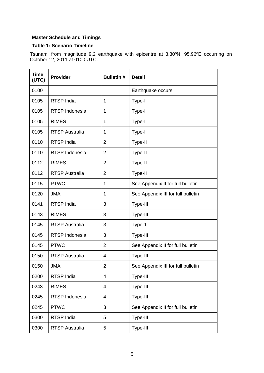## **Master Schedule and Timings**

## **Table 1: Scenario Timeline**

Tsunami from magnitude 9.2 earthquake with epicentre at 3.30ºN, 95.96ºE occurring on October 12, 2011 at 0100 UTC.

| <b>Time</b><br>(UTC) | <b>Provider</b>       | <b>Bulletin#</b> | <b>Detail</b>                      |
|----------------------|-----------------------|------------------|------------------------------------|
| 0100                 |                       |                  | Earthquake occurs                  |
| 0105                 | <b>RTSP India</b>     | $\mathbf 1$      | Type-I                             |
| 0105                 | RTSP Indonesia        | $\mathbf 1$      | Type-I                             |
| 0105                 | <b>RIMES</b>          | 1                | Type-I                             |
| 0105                 | <b>RTSP Australia</b> | $\mathbf 1$      | Type-I                             |
| 0110                 | <b>RTSP India</b>     | $\overline{2}$   | Type-II                            |
| 0110                 | RTSP Indonesia        | $\overline{2}$   | Type-II                            |
| 0112                 | <b>RIMES</b>          | $\overline{2}$   | Type-II                            |
| 0112                 | <b>RTSP Australia</b> | $\overline{2}$   | Type-II                            |
| 0115                 | <b>PTWC</b>           | $\mathbf 1$      | See Appendix II for full bulletin  |
| 0120                 | <b>JMA</b>            | 1                | See Appendix III for full bulletin |
| 0141                 | <b>RTSP India</b>     | 3                | Type-III                           |
| 0143                 | <b>RIMES</b>          | 3                | Type-III                           |
| 0145                 | <b>RTSP Australia</b> | 3                | Type-1                             |
| 0145                 | RTSP Indonesia        | 3                | Type-III                           |
| 0145                 | <b>PTWC</b>           | $\overline{2}$   | See Appendix II for full bulletin  |
| 0150                 | <b>RTSP Australia</b> | 4                | Type-III                           |
| 0150                 | JMA                   | 2                | See Appendix III for full bulletin |
| 0200                 | RTSP India            | 4                | Type-III                           |
| 0243                 | <b>RIMES</b>          | 4                | Type-III                           |
| 0245                 | RTSP Indonesia        | 4                | Type-III                           |
| 0245                 | <b>PTWC</b>           | 3                | See Appendix II for full bulletin  |
| 0300                 | RTSP India            | 5                | Type-III                           |
| 0300                 | <b>RTSP Australia</b> | 5                | Type-III                           |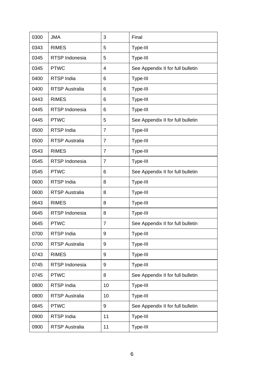| 0300 | <b>JMA</b>            | 3              | Final                             |
|------|-----------------------|----------------|-----------------------------------|
| 0343 | <b>RIMES</b>          | 5              | Type-III                          |
| 0345 | RTSP Indonesia        | 5              | Type-III                          |
| 0345 | <b>PTWC</b>           | 4              | See Appendix II for full bulletin |
| 0400 | <b>RTSP India</b>     | 6              | Type-III                          |
| 0400 | <b>RTSP Australia</b> | 6              | Type-III                          |
| 0443 | <b>RIMES</b>          | 6              | Type-III                          |
| 0445 | RTSP Indonesia        | 6              | Type-III                          |
| 0445 | <b>PTWC</b>           | 5              | See Appendix II for full bulletin |
| 0500 | <b>RTSP</b> India     | $\overline{7}$ | Type-III                          |
| 0500 | <b>RTSP Australia</b> | $\overline{7}$ | Type-III                          |
| 0543 | <b>RIMES</b>          | $\overline{7}$ | Type-III                          |
| 0545 | RTSP Indonesia        | $\overline{7}$ | Type-III                          |
| 0545 | <b>PTWC</b>           | 6              | See Appendix II for full bulletin |
| 0600 | <b>RTSP India</b>     | 8              | Type-III                          |
| 0600 | <b>RTSP Australia</b> | 8              | Type-III                          |
| 0643 | <b>RIMES</b>          | 8              | Type-III                          |
| 0645 | RTSP Indonesia        | 8              | Type-III                          |
| 0645 | <b>PTWC</b>           | $\overline{7}$ | See Appendix II for full bulletin |
| 0700 | <b>RTSP India</b>     | 9              | Type-III                          |
| 0700 | <b>RTSP Australia</b> | 9              | Type-III                          |
| 0743 | <b>RIMES</b>          | 9              | Type-III                          |
| 0745 | RTSP Indonesia        | 9              | Type-III                          |
| 0745 | <b>PTWC</b>           | 8              | See Appendix II for full bulletin |
| 0800 | <b>RTSP India</b>     | 10             | Type-III                          |
| 0800 | <b>RTSP Australia</b> | 10             | Type-III                          |
| 0845 | <b>PTWC</b>           | 9              | See Appendix II for full bulletin |
| 0900 | <b>RTSP India</b>     | 11             | Type-III                          |
| 0900 | <b>RTSP Australia</b> | 11             | Type-III                          |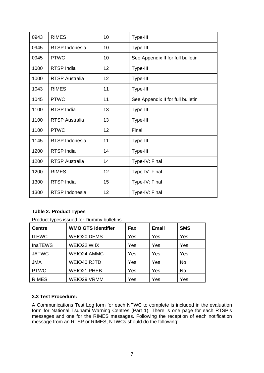| 0943 | <b>RIMES</b>          | 10 | Type-III                          |
|------|-----------------------|----|-----------------------------------|
| 0945 | RTSP Indonesia        | 10 | Type-III                          |
| 0945 | <b>PTWC</b>           | 10 | See Appendix II for full bulletin |
| 1000 | <b>RTSP India</b>     | 12 | Type-III                          |
| 1000 | <b>RTSP Australia</b> | 12 | Type-III                          |
| 1043 | <b>RIMES</b>          | 11 | Type-III                          |
| 1045 | <b>PTWC</b>           | 11 | See Appendix II for full bulletin |
| 1100 | RTSP India            | 13 | Type-III                          |
| 1100 | <b>RTSP Australia</b> | 13 | Type-III                          |
| 1100 | <b>PTWC</b>           | 12 | Final                             |
| 1145 | RTSP Indonesia        | 11 | Type-III                          |
| 1200 | RTSP India            | 14 | Type-III                          |
| 1200 | <b>RTSP Australia</b> | 14 | Type-IV: Final                    |
| 1200 | <b>RIMES</b>          | 12 | Type-IV: Final                    |
| 1300 | <b>RTSP</b> India     | 15 | Type-IV: Final                    |
| 1300 | <b>RTSP Indonesia</b> | 12 | Type-IV: Final                    |

## **Table 2: Product Types**

Product types issued for Dummy bulletins

| <b>Centre</b>  | <b>WMO GTS Identifier</b> | Fax | <b>Email</b> | <b>SMS</b> |
|----------------|---------------------------|-----|--------------|------------|
| <b>ITEWC</b>   | <b>WEIO20 DEMS</b>        | Yes | Yes          | Yes        |
| <b>InaTEWS</b> | WEIO22 WIIX               | Yes | Yes          | Yes        |
| <b>JATWC</b>   | <b>WEIO24 AMMC</b>        | Yes | Yes          | Yes        |
| <b>JMA</b>     | WEIO40 RJTD               | Yes | Yes          | No.        |
| <b>PTWC</b>    | <b>WEIO21 PHEB</b>        | Yes | Yes          | <b>No</b>  |
| <b>RIMES</b>   | <b>WEIO29 VRMM</b>        | Yes | Yes          | Yes        |

## <span id="page-10-0"></span>**3.3 Test Procedure:**

A Communications Test Log form for each NTWC to complete is included in the evaluation form for National Tsunami Warning Centres (Part 1). There is one page for each RTSP's messages and one for the RIMES messages. Following the reception of each notification message from an RTSP or RIMES, NTWCs should do the following: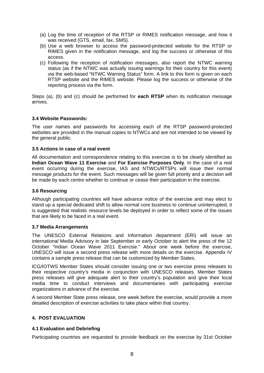- (a) Log the time of reception of the RTSP or RIMES notification message, and how it was received (GTS, email, fax, SMS).
- (b) Use a web browser to access the password-protected website for the RTSP or RIMES given in the notification message, and log the success or otherwise of this access.
- (c) Following the reception of notification messages, also report the NTWC warning status (as if the NTWC was actually issuing warnings for their country for this event) via the web-based "NTWC Warning Status" form. A link to this form is given on each RTSP website and the RIMES website. Please log the success or otherwise of the reporting process via the form.

Steps (a), (b) and (c) should be performed for **each RTSP** when its notification message arrives.

#### <span id="page-11-0"></span>**3.4 Website Passwords:**

The user names and passwords for accessing each of the RTSP password-protected websites are provided in the manual copies to NTWCs and are not intended to be viewed by the general public.

#### <span id="page-11-1"></span>**3.5 Actions in case of a real event**

All documentation and correspondence relating to this exercise is to be clearly identified as **Indian Ocean Wave 11 Exercise** and **For Exercise Purposes Only**. In the case of a real event occurring during the exercise, IAS and NTWCs/RTSPs will issue their normal message products for the event. Such messages will be given full priority and a decision will be made by each centre whether to continue or cease their participation in the exercise.

## **3.6 Resourcing**

<span id="page-11-2"></span>Although participating countries will have advance notice of the exercise and may elect to stand up a special dedicated shift to allow normal core business to continue uninterrupted, it is suggested that realistic resource levels be deployed in order to reflect some of the issues that are likely to be faced in a real event.

#### **3.7 Media Arrangements**

<span id="page-11-3"></span>The UNESCO External Relations and Information department (ERI) will issue an international Media Advisory in late September or early October to alert the press of the 12 October "Indian Ocean Wave 2011 Exercise." About one week before the exercise, UNESCO will issue a second press release with more details on the exercise. Appendix IV contains a sample press release that can be customized by Member States.

ICG/IOTWS Member States should consider issuing one or two exercise press releases to their respective country's media in conjunction with UNESCO releases. Member States press releases will give adequate alert to their country's population and give their local media time to conduct interviews and documentaries with participating exercise organizations in advance of the exercise.

A second Member State press release, one week before the exercise, would provide a more detailed description of exercise activities to take place within that country.

## <span id="page-11-4"></span>**4. POST EVALUATION**

## <span id="page-11-5"></span>**4.1 Evaluation and Debriefing**

Participating countries are requested to provide feedback on the exercise by 31st October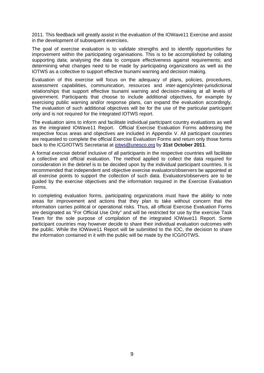2011. This feedback will greatly assist in the evaluation of the IOWave11 Exercise and assist in the development of subsequent exercises.

The goal of exercise evaluation is to validate strengths and to identify opportunities for improvement within the participating organisations. This is to be accomplished by collating supporting data; analysing the data to compare effectiveness against requirements; and determining what changes need to be made by participating organizations as well as the IOTWS as a collective to support effective tsunami warning and decision making.

Evaluation of this exercise will focus on the adequacy of plans, policies, procedures, assessment capabilities, communication, resources and inter-agency/inter-jurisdictional relationships that support effective tsunami warning and decision-making at all levels of government. Participants that choose to include additional objectives, for example by exercising public warning and/or response plans, can expand the evaluation accordingly. The evaluation of such additional objectives will be for the use of the particular participant only and is not required for the integrated IOTWS report.

The evaluation aims to inform and facilitate individual participant country evaluations as well as the integrated IOWave11 Report. Official Exercise Evaluation Forms addressing the respective focus areas and objectives are included in Appendix V. All participant countries are requested to complete the official Exercise Evaluation Forms and return only those forms back to the ICG/IOTWS Secretariat at [iotws@unesco.org](mailto:iotws@unesco.org) by **31st October 2011**.

A formal exercise debrief inclusive of all participants in the respective countries will facilitate a collective and official evaluation. The method applied to collect the data required for consideration in the debrief is to be decided upon by the individual participant countries. It is recommended that independent and objective exercise evaluators/observers be appointed at all exercise points to support the collection of such data. Evaluators/observers are to be guided by the exercise objectives and the information required in the Exercise Evaluation Forms.

In completing evaluation forms, participating organizations must have the ability to note areas for improvement and actions that they plan to take without concern that the information carries political or operational risks. Thus, all official Exercise Evaluation Forms are designated as "For Official Use Only" and will be restricted for use by the exercise Task Team for the sole purpose of compilation of the integrated IOWave11 Report. Some participant countries may however decide to share their individual evaluation outcomes with the public. While the IOWave11 Report will be submitted to the IOC, the decision to share the information contained in it with the public will be made by the ICG/IOTWS.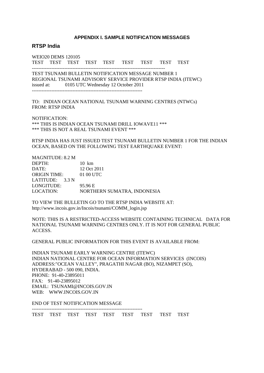#### **APPENDIX I. SAMPLE NOTIFICATION MESSAGES**

#### <span id="page-13-0"></span>**RTSP India**

WEIO20 DEMS 120105 TEST TEST TEST TEST TEST TEST TEST TEST TEST

TEST TSUNAMI BULLETIN NOTIFICATION MESSAGE NUMBER 1 REGIONAL TSUNAMI ADVISORY SERVICE PROVIDER RTSP INDIA (ITEWC) issued at: 0105 UTC Wednesday 12 October 2011 --------------------------------------------------------------------

----------------------------------------------------------------------------------

TO: INDIAN OCEAN NATIONAL TSUNAMI WARNING CENTRES (NTWCs) FROM: RTSP INDIA

NOTIFICATION: \*\*\* THIS IS INDIAN OCEAN TSUNAMI DRILL IOWAVE11 \*\*\* \*\*\* THIS IS NOT A REAL TSUNAMI EVENT \*\*\*

RTSP INDIA HAS JUST ISSUED TEST TSUNAMI BULLETIN NUMBER 1 FOR THE INDIAN OCEAN, BASED ON THE FOLLOWING TEST EARTHQUAKE EVENT:

MAGNITUDE: 8.2 M DEPTH: 10 km DATE: 12 Oct 2011 ORIGIN TIME: 01 00 UTC LATITUDE: 3.3 N LONGITUDE: 95.96 E LOCATION: NORTHERN SUMATRA, INDONESIA

TO VIEW THE BULLETIN GO TO THE RTSP INDIA WEBSITE AT: http://www.incois.gov.in/Incois/tsunami/COMM\_login.jsp

NOTE: THIS IS A RESTRICTED-ACCESS WEBSITE CONTAINING TECHNICAL DATA FOR NATIONAL TSUNAMI WARNING CENTRES ONLY. IT IS NOT FOR GENERAL PUBLIC ACCESS.

GENERAL PUBLIC INFORMATION FOR THIS EVENT IS AVAILABLE FROM:

INDIAN TSUNAMI EARLY WARNING CENTRE (ITEWC) INDIAN NATIONAL CENTRE FOR OCEAN INFORMATION SERVICES (INCOIS) ADDRESS:"OCEAN VALLEY", PRAGATHI NAGAR (BO), NIZAMPET (SO), HYDERABAD - 500 090, INDIA. PHONE: 91-40-23895011 FAX: 91-40-23895012 EMAIL: TSUNAMI@INCOIS.GOV.IN WEB: WWW.INCOIS.GOV.IN

END OF TEST NOTIFICATION MESSAGE

--------------------------------------------------------------------

TEST TEST TEST TEST TEST TEST TEST TEST TEST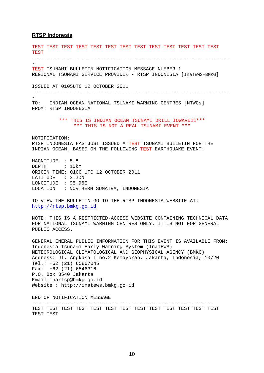#### **RTSP Indonesia**

TEST TEST TEST TEST TEST TEST TEST TEST TEST TEST TEST TEST TEST **TEST** -------------------------------------------------------------------- - TEST TSUNAMI BULLETIN NOTIFICATION MESSAGE NUMBER 1 REGIONAL TSUNAMI SERVICE PROVIDER - RTSP INDONESIA [InaTEWS-BMKG] ISSUED AT 0105UTC 12 OCTOBER 2011 -------------------------------------------------------------------- - TO: INDIAN OCEAN NATIONAL TSUNAMI WARNING CENTRES [NTWCs] FROM: RTSP INDONESIA \*\*\* THIS IS INDIAN OCEAN TSUNAMI DRILL IOWAVE11\*\*\* \*\*\* THIS IS NOT A REAL TSUNAMI EVENT \*\*\* NOTIFICATION: RTSP INDONESIA HAS JUST ISSUED A TEST TSUNAMI BULLETIN FOR THE INDIAN OCEAN, BASED ON THE FOLLOWING TEST EARTHQUAKE EVENT: MAGNITUDE : 8.8 DEPTH : 10km ORIGIN TIME: 0100 UTC 12 OCTOBER 2011 LATITUDE : 3.30N LONGITUDE : 95.96E LOCATION : NORTHERN SUMATRA, INDONESIA TO VIEW THE BULLETIN GO TO THE RTSP INDONESIA WEBSITE AT: [http://rtsp.bmkg.go.id](http://rtsp.bmkg.gov.id/) NOTE: THIS IS A RESTRICTED-ACCESS WEBSITE CONTAINING TECHNICAL DATA FOR NATIONAL TSUNAMI WARNING CENTRES ONLY. IT IS NOT FOR GENERAL PUBLIC ACCESS. GENERAL ENERAL PUBLIC INFORMATION FOR THIS EVENT IS AVAILABLE FROM: Indonesia Tsunami Early Warning System (InaTEWS) METEOROLOGICAL CLIMATOLOGICAL AND GEOPHYSICAL AGENCY (BMKG) Address: Jl. Angkasa I no.2 Kemayoran, Jakarta, Indonesia, 10720 Tel.: +62 (21) 65867045 Fax: +62 (21) 6546316 P.O. Box 3540 Jakarta Email:inartsp@bmkg.go.id Website : http://inatews.bmkg.go.id END OF NOTIFICATION MESSAGE --------------------------------------------------------------

TEST TEST TEST TEST TEST TEST TEST TEST TEST TEST TEST TEST TEST TEST TEST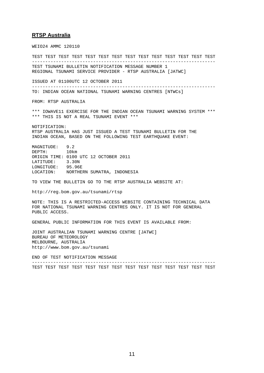#### **RTSP Australia**

WEIO24 AMMC 120110

TEST TEST TEST TEST TEST TEST TEST TEST TEST TEST TEST TEST TEST TEST --------------------------------------------------------------------- TEST TSUNAMI BULLETIN NOTIFICATION MESSAGE NUMBER 1 REGIONAL TSUNAMI SERVICE PROVIDER - RTSP AUSTRALIA [JATWC] ISSUED AT 01100UTC 12 OCTOBER 2011 --------------------------------------------------------------------- TO: INDIAN OCEAN NATIONAL TSUNAMI WARNING CENTRES [NTWCs] FROM: RTSP AUSTRALIA \*\*\* IOWAVE11 EXERCISE FOR THE INDIAN OCEAN TSUNAMI WARNING SYSTEM \*\*\* \*\*\* THIS IS NOT A REAL TSUNAMI EVENT \*\*\* NOTIFICATION: RTSP AUSTRALIA HAS JUST ISSUED A TEST TSUNAMI BULLETIN FOR THE INDIAN OCEAN, BASED ON THE FOLLOWING TEST EARTHQUAKE EVENT: MAGNITUDE: 9.2 DEPTH: 10km ORIGIN TIME: 0100 UTC 12 OCTOBER 2011 LATITUDE: 3.30N<br>LONGITUDE: 95.96E LONGITUDE: LOCATION: NORTHERN SUMATRA, INDONESIA TO VIEW THE BULLETIN GO TO THE RTSP AUSTRALIA WEBSITE AT: http://reg.bom.gov.au/tsunami/rtsp NOTE: THIS IS A RESTRICTED-ACCESS WEBSITE CONTAINING TECHNICAL DATA FOR NATIONAL TSUNAMI WARNING CENTRES ONLY. IT IS NOT FOR GENERAL PUBLIC ACCESS. GENERAL PUBLIC INFORMATION FOR THIS EVENT IS AVAILABLE FROM: JOINT AUSTRALIAN TSUNAMI WARNING CENTRE [JATWC] BUREAU OF METEOROLOGY MELBOURNE, AUSTRALIA http://www.bom.gov.au/tsunami END OF TEST NOTIFICATION MESSAGE ---------------------------------------------------------------------

TEST TEST TEST TEST TEST TEST TEST TEST TEST TEST TEST TEST TEST TEST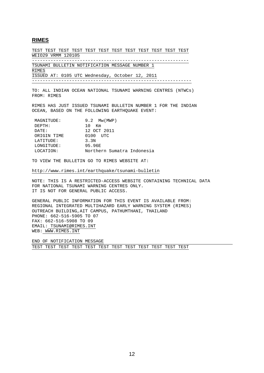#### **RIMES**

TEST TEST TEST TEST TEST TEST TEST TEST TEST TEST TEST TEST WEIO29 VRMM 120105 -----------------------------------------------------------

TSUNAMI BULLETIN NOTIFICATION MESSAGE NUMBER 1 RIMES ISSUED AT: 0105 UTC Wednesday, October 12, 2011 ------------------------------------------------------------

TO: ALL INDIAN OCEAN NATIONAL TSUNAMI WARNING CENTRES (NTWCs) FROM: RIMES

RIMES HAS JUST ISSUED TSUNAMI BULLETIN NUMBER 1 FOR THE INDIAN OCEAN, BASED ON THE FOLLOWING EARTHOUAKE EVENT:

| <b>MAGNITUDE:</b> | $9.2$ Mw (MWP)             |
|-------------------|----------------------------|
| DEPTH:            | 1 O<br>Km                  |
| DATE:             | 12 OCT 2011                |
| ORIGIN TIME       | $0100$ $IITC$              |
| LATITUDE:         | 3.3 <sub>N</sub>           |
| LONGITUDE:        | 95.96E                     |
| LOCATION:         | Northern Sumatra Indonesia |

TO VIEW THE BULLETIN GO TO RIMES WEBSITE AT:

http://www.rimes.int/earthquake/tsunami-bulletin

NOTE: THIS IS A RESTRICTED-ACCESS WEBSITE CONTAINING TECHNICAL DATA FOR NATIONAL TSUNAMI WARNING CENTRES ONLY. IT IS NOT FOR GENERAL PUBLIC ACCESS.

GENERAL PUBLIC INFORMATION FOR THIS EVENT IS AVAILABLE FROM: REGIONAL INTEGRATED MULTIHAZARD EARLY WARNING SYSTEM (RIMES) OUTREACH BUILDING,AIT CAMPUS, PATHUMTHANI, THAILAND PHONE: 662-516-5905 TO 07 FAX: 662-516-5908 TO 09 EMAIL: TSUNAMI@RIMES.INT WEB: WWW.RIMES.INT

END OF NOTIFICATION MESSAGE

TEST TEST TEST TEST TEST TEST TEST TEST TEST TEST TEST TEST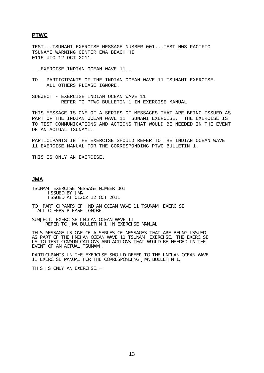#### **PTWC**

TEST...TSUNAMI EXERCISE MESSAGE NUMBER 001...TEST NWS PACIFIC TSUNAMI WARNING CENTER EWA BEACH HI 0115 UTC 12 OCT 2011

...EXERCISE INDIAN OCEAN WAVE 11...

TO - PARTICIPANTS OF THE INDIAN OCEAN WAVE 11 TSUNAMI EXERCISE. ALL OTHERS PLEASE IGNORE.

SUBJECT - EXERCISE INDIAN OCEAN WAVE 11 REFER TO PTWC BULLETIN 1 IN EXERCISE MANUAL

THIS MESSAGE IS ONE OF A SERIES OF MESSAGES THAT ARE BEING ISSUED AS PART OF THE INDIAN OCEAN WAVE 11 TSUNAMI EXERCISE. THE EXERCISE IS TO TEST COMMUNICATIONS AND ACTIONS THAT WOULD BE NEEDED IN THE EVENT OF AN ACTUAL TSUNAMI.

PARTICIPANTS IN THE EXERCISE SHOULD REFER TO THE INDIAN OCEAN WAVE 11 EXERCISE MANUAL FOR THE CORRESPONDING PTWC BULLETIN 1.

THIS IS ONLY AN EXERCISE.

#### **JMA**

Ξ

TSUNAMI EXERCISE MESSAGE NUMBER 001 ISSUED BY JMA ISSUED AT 0120Z 12 OCT 2011

TO: PARTICIPANTS OF INDIAN OCEAN WAVE 11 TSUNAMI EXERCISE. ALL OTHERS PLEASE IGNORE.

SUBJECT: EXERCISE INDIAN OCEAN WAVE 11 REFER TO JMA BULLETIN 1 IN EXERCISE MANUAL

THIS MESSAGE IS ONE OF A SERIES OF MESSAGES THAT ARE BEING ISSUED AS PART OF THE INDIAN OCEAN WAVE 11 TSUNAMI EXERCISE. THE EXERCISE IS TO TEST COMMUNICATIONS AND ACTIONS THAT WOULD BE NEEDED IN THE EVENT OF AN ACTUAL TSUNAMI.

PARTICIPANTS IN THE EXERCISE SHOULD REFER TO THE INDIAN OCEAN WAVE 11 EXERCISE MANUAL FOR THE CORRESPONDING JMA BULLETIN 1.

THIS IS ONLY AN EXERCISE. =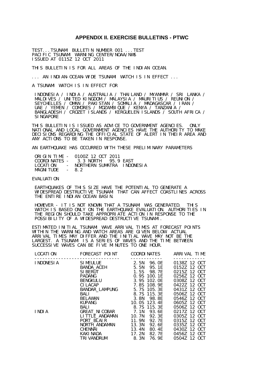#### **APPENDIX II. EXERCISE BULLETINS - PTWC**

<span id="page-18-0"></span>TEST...TSUNAMI BULLETIN NUMBER 001 ...TEST PACIFIC TSUNAMI WARNING CENTER/NOAA/NWS ISSUED AT 0115Z 12 OCT 2011

THIS BULLETIN IS FOR ALL AREAS OF THE INDIAN OCEAN.

... AN INDIAN-OCEAN-WIDE TSUNAMI WATCH IS IN EFFECT ...

A TSUNAMI WATCH IS IN EFFECT FOR

 INDONESIA / INDIA / AUSTRALIA / THAILAND / MYANMAR / SRI LANKA / MALDIVES / UNITED KINGDOM / MALAYSIA / MAURITIUS / REUNION / SEYCHELLES / OMAN / PAKISTAN / SOMALIA / MADAGASCAR / IRAN / UAE / YEMEN / COMORES / MOZAMBIQUE / KENYA / TANZANIA / BANGLADESH / CROZET ISLANDS / KERGUELEN ISLANDS / SOUTH AFRICA / SINGAPORE

THIS BULLETIN IS ISSUED AS ADVICE TO GOVERNMENT AGENCIES. ONLY NATIONAL AND LOCAL GOVERNMENT AGENCIES HAVE THE AUTHORITY TO MAKE DECISIONS REGARDING THE OFFICIAL STATE OF ALERT IN THEIR AREA AND ANY ACTIONS TO BE TAKEN IN RESPONSE.

AN EARTHQUAKE HAS OCCURRED WITH THESE PRELIMINARY PARAMETERS

|                  | ORIGIN TIME - 01007 12 OCT 2011       |  |
|------------------|---------------------------------------|--|
|                  | $COMDIMATFS - 3.3 MORTH 95.9 FAST$    |  |
|                  | LOCATION - NORTHERN SUMATRA INDONESIA |  |
| MAGNITUDE $-8.2$ |                                       |  |

#### EVALUATION

 EARTHQUAKES OF THIS SIZE HAVE THE POTENTIAL TO GENERATE A WIDESPREAD DESTRUCTIVE TSUNAMI THAT CAN AFFECT COASTLINES ACROSS THE ENTIRE INDIAN OCEAN BASIN.

 HOWEVER - IT IS NOT KNOWN THAT A TSUNAMI WAS GENERATED. THIS WATCH IS BASED ONLY ON THE EARTHQUAKE EVALUATION. AUTHORITIES IN THE REGION SHOULD TAKE APPROPRIATE ACTION IN RESPONSE TO THE POSSI BILITY OF A WIDESPREAD DESTRUCTIVE TSUNAMI.

ESTIMATED INITIAL TSUNAMI WAVE ARRIVAL TIMES AT FORECAST POINTS WITHIN THE WARNING AND WATCH AREAS ARE GIVEN BELOW. ACTUAL ARRIVAL TIMES MAY DIFFER AND THE INITIAL WAVE MAY NOT BE THE LARGEST. A TSUNAMI IS A SERIES OF WAVES AND THE TIME BETWEEN SUCCESSIVE WAVES CAN BE FIVE MINUTES TO ONE HOUR.

| LOCATI ON   | FORECAST POINT                                                                                                                                                | COORDI NATES                                                                                                                     | ARRIVAL TIME                                                                                                                                                 |
|-------------|---------------------------------------------------------------------------------------------------------------------------------------------------------------|----------------------------------------------------------------------------------------------------------------------------------|--------------------------------------------------------------------------------------------------------------------------------------------------------------|
| I NDONESI A | SIMEULUE 2.5N<br>BANDA_ACEH<br>SI BERUT<br><b>PADANG</b><br>BENGKULU<br>CILACAP 7.8S 108.9E<br>BANDAR_LAMPUNG 5.7S 105.3E<br>BALI                             | 96. OE<br>5.5N 95.1E<br>1.5S 98.7E<br>0.9S 100.1E<br>3.9S 102.0E<br>$8.7S$ 115.3E                                                | 0138Z 12 OCT<br>0152Z 12 OCT<br>0215Z 12 OCT<br>0256Z 12 OCT<br>0308Z 12 OCT<br>0422Z 12 OCT<br>0431Z 12 OCT<br>0506Z 12 OCT                                 |
| I NDI A     | BELAWAN<br><b>KUPANG</b><br>BALI<br>GREAT_NI COBAR 7.1N 93.6E<br>LI TTLE_ANDAMAN<br>PORT_BLAIR<br>NORTH_ANDAMAN<br><b>CHENNAI</b><br>KAKI NADA<br>TRI VANDRUM | 3.8N 98.8E<br>92. 3E<br>10. 7N<br>11. 9N<br>92. 7E<br>13. 3N<br>92. 6E<br>13. 4N<br>80.4E<br>17. 2N<br>82. 7E<br>8. 3N<br>76. 9E | 0546Z 12 OCT<br>0605Z 12 OCT<br>0506Z 12 OCT<br>0217Z 12 OCT<br>0305Z 12 OCT<br>0315Z 12 OCT<br>0335Z 12 OCT<br>0430Z 12 OCT<br>0456Z 12 OCT<br>0504Z 12 OCT |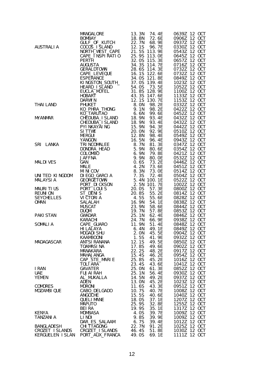|                           |                           | AAOR<br>AAOR<br>FAN ENDER MANUEL 115, 2012<br>FAN ENDER CAPE 221. IS 113. 96. 97.<br>FAN ENDER FAN ENDER TRAFFIC 221. IS 113. 96. 06. 72. 22. 06<br>FRIEND TOWNS 22. 05 113. 06. 06. 72. 22. 06<br>FRIEND TOWNS 22. 05 113. 56. 06. 72. 2 |                                 |
|---------------------------|---------------------------|-------------------------------------------------------------------------------------------------------------------------------------------------------------------------------------------------------------------------------------------|---------------------------------|
|                           |                           |                                                                                                                                                                                                                                           |                                 |
|                           |                           |                                                                                                                                                                                                                                           |                                 |
|                           |                           |                                                                                                                                                                                                                                           |                                 |
|                           |                           |                                                                                                                                                                                                                                           |                                 |
|                           |                           |                                                                                                                                                                                                                                           |                                 |
|                           |                           |                                                                                                                                                                                                                                           |                                 |
|                           |                           |                                                                                                                                                                                                                                           |                                 |
|                           |                           |                                                                                                                                                                                                                                           |                                 |
|                           |                           |                                                                                                                                                                                                                                           |                                 |
|                           |                           |                                                                                                                                                                                                                                           |                                 |
|                           |                           |                                                                                                                                                                                                                                           |                                 |
|                           |                           |                                                                                                                                                                                                                                           |                                 |
|                           |                           |                                                                                                                                                                                                                                           |                                 |
|                           |                           |                                                                                                                                                                                                                                           |                                 |
|                           |                           |                                                                                                                                                                                                                                           |                                 |
|                           |                           |                                                                                                                                                                                                                                           |                                 |
|                           |                           |                                                                                                                                                                                                                                           |                                 |
|                           |                           |                                                                                                                                                                                                                                           |                                 |
|                           |                           |                                                                                                                                                                                                                                           |                                 |
|                           |                           |                                                                                                                                                                                                                                           |                                 |
|                           |                           |                                                                                                                                                                                                                                           |                                 |
|                           |                           |                                                                                                                                                                                                                                           |                                 |
|                           |                           |                                                                                                                                                                                                                                           |                                 |
|                           |                           |                                                                                                                                                                                                                                           |                                 |
|                           |                           |                                                                                                                                                                                                                                           |                                 |
|                           |                           |                                                                                                                                                                                                                                           |                                 |
|                           |                           |                                                                                                                                                                                                                                           |                                 |
|                           |                           |                                                                                                                                                                                                                                           |                                 |
|                           |                           |                                                                                                                                                                                                                                           |                                 |
|                           |                           |                                                                                                                                                                                                                                           |                                 |
|                           |                           |                                                                                                                                                                                                                                           |                                 |
|                           |                           |                                                                                                                                                                                                                                           |                                 |
|                           |                           |                                                                                                                                                                                                                                           |                                 |
|                           |                           |                                                                                                                                                                                                                                           |                                 |
|                           |                           |                                                                                                                                                                                                                                           |                                 |
|                           |                           |                                                                                                                                                                                                                                           |                                 |
|                           |                           |                                                                                                                                                                                                                                           |                                 |
|                           |                           |                                                                                                                                                                                                                                           |                                 |
|                           |                           |                                                                                                                                                                                                                                           |                                 |
|                           |                           |                                                                                                                                                                                                                                           |                                 |
|                           |                           |                                                                                                                                                                                                                                           |                                 |
|                           |                           |                                                                                                                                                                                                                                           |                                 |
|                           |                           |                                                                                                                                                                                                                                           |                                 |
|                           |                           |                                                                                                                                                                                                                                           |                                 |
|                           |                           |                                                                                                                                                                                                                                           |                                 |
|                           |                           |                                                                                                                                                                                                                                           |                                 |
|                           |                           |                                                                                                                                                                                                                                           |                                 |
| YEMEN                     | AL_MUKALLA<br><b>ADEN</b> | 14.5N<br>49.2E<br>45.2E<br>13. ON                                                                                                                                                                                                         | 0937Z 12 OCT<br>1023Z<br>12 OCT |
| <b>COMORES</b>            | <b>MORONI</b>             | 11.6S<br>43.3E                                                                                                                                                                                                                            | 0951Z 12 OCT                    |
| <b>MOZAMBI QUE</b>        | CABO_DELGADO              | 10.7S<br>40.7E                                                                                                                                                                                                                            | 1008Z 12 OCT                    |
|                           | <b>ANGOCHE</b>            | 15.5S<br>40.6E                                                                                                                                                                                                                            | 12 OCT<br>1040Z                 |
|                           | <b>QUELIMANE</b>          | 18.0S<br>37.1E                                                                                                                                                                                                                            | 1207Z 12 OCT                    |
|                           | <b>MAPUTO</b>             | 25.9S<br>32.8E                                                                                                                                                                                                                            | 1255Z 12 OCT                    |
|                           | <b>BEIRA</b>              | 35.1E<br>19.9S                                                                                                                                                                                                                            | 1317Z<br>12 OCT                 |
| <b>KENYA</b><br>TANZANI A | <b>MOMBASA</b><br>LI NDI  | 4.0S<br>39.7E<br>39.9E<br>9.8S                                                                                                                                                                                                            | 1009Z 12 OCT<br>1009Z 12 OCT    |
|                           | DAR_ES_SALAAM             | 39.4E<br>6.7S                                                                                                                                                                                                                             | 1012Z 12 OCT                    |
| BANGLADESH                | <b>CHI TTAGONG</b>        | 22.7N<br>91.2E                                                                                                                                                                                                                            | 1025Z 12 OCT                    |
| CROZET ISLANDS            | CROZET_I SLANDS           | 51.8E<br>46.4S                                                                                                                                                                                                                            | 1030Z 12 OCT                    |
| KERGUELEN ISLAN           | PORT_AUX_FRANCA           | 49.0S<br>69.1E                                                                                                                                                                                                                            | 1111Z 12 OCT                    |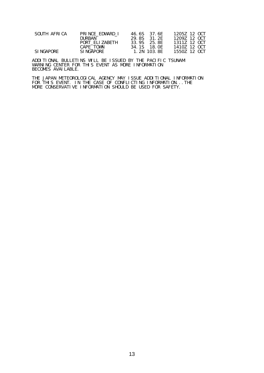| SOUTH AFRICA | PRINCE EDWARD I | 46.6S 37.6E | 1205Z 12 OCT |
|--------------|-----------------|-------------|--------------|
|              | DURBAN          | 29.8S 31.2F | 12097 12 OCT |
|              | PORT ELIZABETH  | 33.9S 25.8E | 13117 12 OCT |
|              | CAPE_TOWN       | 34.1S 18.0F | 14107 12 OCT |
| SI NGAPORE   | SI NGAPORE      | 1.2N 103.8F | 1550Z 12 OCT |

ADDITIONAL BULLETINS WILL BE ISSUED BY THE PACIFIC TSUNAMI WARNING CENTER FOR THIS EVENT AS MORE INFORMATION BECOMES AVAILABLE.

THE JAPAN METEOROLOGICAL AGENCY MAY ISSUE ADDITIONAL INFORMATION FOR THIS EVENT. IN THE CASE OF CONFLICTING INFORMATION...THE MORE CONSERVATIVE INFORMATION SHOULD BE USED FOR SAFETY.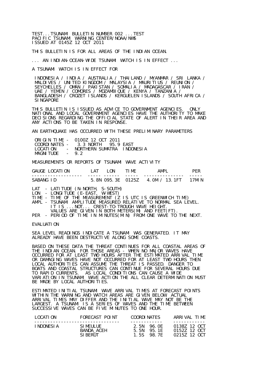TEST...TSUNAMI BULLETIN NUMBER 002 ...TEST PACIFIC TSUNAMI WARNING CENTER/NOAA/NWS ISSUED AT 0145Z 12 OCT 2011

THIS BULLETIN IS FOR ALL AREAS OF THE INDIAN OCEAN.

... AN INDIAN-OCEAN-WIDE TSUNAMI WATCH IS IN EFFECT ...

A TSUNAMI WATCH IS IN EFFECT FOR

 INDONESIA / INDIA / AUSTRALIA / THAILAND / MYANMAR / SRI LANKA / MALDIVES / UNITED KINGDOM / MALAYSIA / MAURITIUS / REUNION / SEYCHELLES / OMAN / PAKISTAN / SOMALIA / MADAGASCAR / IRAN / UAE / YEMEN / COMORES / MOZAMBIQUE / KENYA / TANZANIA / BANGLADESH / CROZET ISLANDS / KERGUELEN ISLANDS / SOUTH AFRICA / **SINGAPORE** 

THIS BULLETIN IS ISSUED AS ADVICE TO GOVERNMENT AGENCIES. ONLY NATIONAL AND LOCAL GOVERNMENT AGENCIES HAVE THE AUTHORITY TO MAKE DECISIONS REGARDING THE OFFICIAL STATE OF ALERT IN THEIR AREA AND ANY ACTIONS TO BE TAKEN IN RESPONSE.

AN EARTHQUAKE HAS OCCURRED WITH THESE PRELIMINARY PARAMETERS

|                  | ORIGIN TIME - 0100Z 12 OCT 2011   |  |
|------------------|-----------------------------------|--|
|                  | COORDINATES - 3.3 NORTH 95.9 EAST |  |
| LOCATI ON        | - NORTHERN SUMATRA INDONESIA      |  |
| MAGNITUDE $-9.2$ |                                   |  |

MEASUREMENTS OR REPORTS OF TSUNAMI WAVE ACTIVITY

| GAUGE LOCATION | ΑT | 0N  | TIME | AMPI                                |        |
|----------------|----|-----|------|-------------------------------------|--------|
| SABANG ID      |    | --- | ---  | 5. 8N 095. 3E 0125Z 4. 0M / 13. 1FT | 17MI N |

LAT - LATITUDE (N-NORTH, S-SOUTH)

LON - LONGITUDE (E-EAST, W-WEST)

TIME - TIME OF THE MEASUREMENT (Z IS UTC IS GREENWICH TIME)

- AMPL TSUNAMI AMPLITUDE MEASURED RELATIVE TO NORMAL SEA LEVEL. IT IS ...NOT... CREST-TO-TROUGH WAVE HEIGHT. VALUES ARE GIVEN IN BOTH METERS(M) AND FEET(FT).
- PER PERIOD OF TIME IN MINUTES(MIN) FROM ONE WAVE TO THE NEXT.

#### EVALUATION

SEA LEVEL READINGS INDICATE A TSUNAMI WAS GENERATED. IT MAY ALREADY HAVE BEEN DESTRUCTIVE ALONG SOME COASTS.

BASED ON THESE DATA THE THREAT CONTINUES FOR ALL COASTAL AREAS OF THE INDIAN OCEAN. FOR THOSE AREAS - WHEN NO MAJOR WAVES HAVE OCCURRED FOR AT LEAST TWO HOURS AFTER THE ESTIMATED ARRIVAL TIME OR DAMAGING WAVES HAVE NOT OCCURRED FOR AT LEAST TWO HOURS THEN LOCAL AUTHORITIES CAN ASSUME THE THREAT IS PASSED. DANGER TO BOATS AND COASTAL STRUCTURES CAN CONTINUE FOR SEVERAL HOURS DUE TO RAPID CURRENTS. AS LOCAL CONDITIONS CAN CAUSE A WIDE VARIATION IN TSUNAMI WAVE ACTION THE ALL CLEAR DETERMINATION MUST BE MADE BY LOCAL AUTHORITIES.

ESTIMATED INITIAL TSUNAMI WAVE ARRIVAL TIMES AT FORECAST POINTS WITHIN THE WARNING AND WATCH AREAS ARE GIVEN BELOW. ACTUAL ARRIVAL TIMES MAY DIFFER AND THE INITIAL WAVE MAY NOT BE THE LARGEST. A TSUNAMI IS A SERIES OF WAVES AND THE TIME BETWEEN SUCCESSIVE WAVES CAN BE FIVE MINUTES TO ONE HOUR.

| LOCATION    | FORECAST POINT | COORDI NATES | ARRIVAI TIMF |
|-------------|----------------|--------------|--------------|
| I NDONESI A | SI MEULUE -    | 2 5N 96 OF   | 01387 12 OCT |
|             | BANDA_ACEH     | 5.5N 95.1F   | 01527 12 OCT |
|             | SI BERUT       | 1 5S 98 7F   | 0215Z 12 OCT |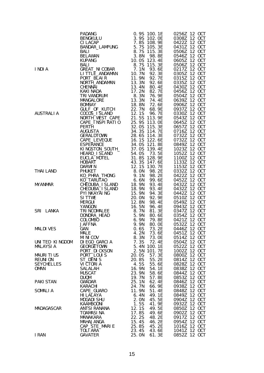| I NDI A           |                          |                             |                              |
|-------------------|--------------------------|-----------------------------|------------------------------|
|                   |                          |                             |                              |
|                   |                          |                             |                              |
|                   |                          |                             |                              |
|                   |                          |                             |                              |
|                   |                          |                             |                              |
|                   |                          |                             |                              |
|                   |                          |                             |                              |
|                   |                          |                             |                              |
| AUSTRALI A        |                          |                             |                              |
|                   |                          |                             |                              |
|                   |                          |                             |                              |
|                   |                          |                             |                              |
|                   |                          |                             |                              |
|                   |                          |                             |                              |
|                   |                          |                             |                              |
|                   |                          |                             |                              |
|                   |                          |                             |                              |
|                   |                          |                             |                              |
|                   |                          |                             |                              |
|                   |                          |                             |                              |
| THAI LAND         |                          |                             |                              |
|                   |                          |                             |                              |
|                   |                          |                             |                              |
| <b>MYANMAR</b>    |                          |                             |                              |
|                   |                          |                             |                              |
|                   |                          |                             |                              |
|                   |                          |                             |                              |
|                   |                          |                             |                              |
| SRI LANKA         |                          |                             |                              |
|                   |                          |                             |                              |
|                   |                          |                             |                              |
|                   |                          |                             |                              |
| <b>MALDIVES</b>   |                          |                             |                              |
|                   | <b>MALE</b>              | 4.2N<br>73.6E               | 0451Z 12 OCT                 |
|                   | MI NI COV                | 8.3N<br>73. OE              | 0514Z 12 OCT                 |
| UNITED KINGDOM    | DI EGO GARCIA            | 7.3S<br>72.4E               | 0504Z 12 OCT                 |
| <b>MALAYSIA</b>   | <b>GEORGETOWN</b>        | 5.4N<br>100.1E              | 0522Z 12 OCT                 |
|                   | PORT_DI CKSON            | 101.7E<br>2.5N              | 1002Z 12 OCT                 |
| MAURITIUS         | PORT_LOUIS               | 20.0S<br>57.3E              | 0800Z 12 OCT                 |
| <b>REUNION</b>    | ST_DENIS                 | 20.8S<br>55.2E              | 0814Z 12 OCT<br>0828Z 12 OCT |
| <b>SEYCHELLES</b> | VI CTORI A               | 4.5S<br>55.6E<br>54.1E      | 0838Z 12 OCT                 |
| OMAN              | SALALAH<br><b>MUSCAT</b> | 16.9N<br>23.9N<br>58.6E     | 0844Z 12 OCT                 |
|                   | <b>DUQM</b>              | 19.7N<br>57.8E              | 0853Z 12 OCT                 |
| <b>PAKI STAN</b>  | GWADAR                   | 25.1N<br>62.4E              | 0846Z 12 OCT                 |
|                   | KARACHI                  | 24.7N<br>66. 9E             | 0938Z 12 OCT                 |
| <b>SOMALIA</b>    | CAPE_GUARO               | 11.9N<br>51.4E              | 0848Z 12 OCT                 |
|                   | HI LALAYA                | 49.1E<br>6.4N               | 0849Z 12 OCT                 |
|                   | MOGADI SHU               | 2. ON<br>45.5E              | 0904Z 12 OCT                 |
|                   | KAAMBOONI                | $\frac{1}{1}$ . 5S<br>41.9E | 0932Z 12 OCT                 |
| MADAGASCAR        | <b>ANTSI RANANA</b>      | 12.1S<br>49.5E              | 0850Z 12 OCT                 |
|                   | <b>TOAMASINA</b>         | 17.8S<br>49.6E              | 0902Z 12 OCT                 |
|                   | MANAKARA                 | 22.2S<br>48.2E              | 0917Z 12 OCT                 |
|                   | MAHAJANGA                | 15.4S<br>46.2E              | 0954Z 12 OCT                 |
|                   | CAP_STE_MARIE            | 25.8S<br>45.2E              | 1016Z 12 OCT                 |
| I RAN             | TOLI ARA<br>GAVATER      | 23.4S<br>43.6E              | 1041Z 12 OCT<br>0852Z 12 OCT |
|                   |                          | 25. ON<br>61.3E             |                              |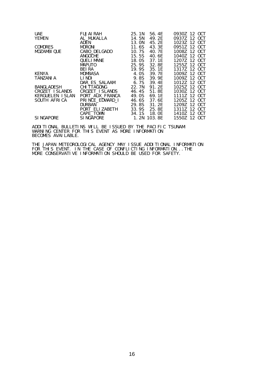| <b>UAE</b>       | <b>FUJAI RAH</b>   | 25.1N | 56.4E  | 0930Z 12 OCT    |
|------------------|--------------------|-------|--------|-----------------|
| YEMEN            | AL MUKALLA         | 14.5N | 49.2E  | 0937Z 12 OCT    |
|                  | ADEN               | 13.0N | 45.2E  | 1023Z 12 OCT    |
| <b>COMORES</b>   | <b>MORONI</b>      | 11.6S | 43.3E  | 0951Z 12 OCT    |
| MOZAMBI QUE      | CABO_DELGADO       | 10.7S | 40. 7E | 1008Z 12 OCT    |
|                  | ANGOCHE            | 15.5S | 40.6E  |                 |
|                  | <b>OUELIMANE</b>   | 18.0S | 37.1F  | 12077<br>12 OCT |
|                  | <b>MAPUTO</b>      | 25.9S | 32.8E  | 1255Z 12 OCT    |
|                  | BEI RA             | 19.9S | 35.1F  |                 |
| <b>KENYA</b>     | MOMBASA            | 4.0S  | 39. 7E | 1009Z 12 OCT    |
| TANZANI A        | LI NDI             | 9.8S  | 39.9E  | 1009Z 12 OCT    |
|                  | DAR_ES_SALAAM      | 6.7S  | 39.4E  | 1012Z 12 OCT    |
| BANGLADESH       | <b>CHI TTAGONG</b> | 22.7N | 91.2F  |                 |
| CROZET ISLANDS   | CROZET ISLANDS     | 46.4S | 51.8E  | 1030Z 12 OCT    |
| KERGUELEN ISLAN  | PORT_AUX_FRANCA    | 49.0S | 69.1E  | 1111Z 12 OCT    |
| SOUTH AFRICA     | PRINCE_EDWARD_I    | 46.6S | 37.6E  | 12057 12 OCT    |
|                  | <b>DURBAN</b>      | 29.8S | 31.2E  | 1209Z<br>12 OCT |
|                  | PORT_ELI ZABETH    | 33.9S | 25.8E  | 1311Z 12 OCT    |
|                  | CAPE_TOWN          | 34.1S | 18. OE | 14107<br>12 OCT |
| <b>SINGAPORE</b> | <b>SINGAPORE</b>   | 1.2N  | 103.8E | 1550Z 12 OCT    |

ADDITIONAL BULLETINS WILL BE ISSUED BY THE PACIFIC TSUNAMI WARNING CENTER FOR THIS EVENT AS MORE INFORMATION BECOMES AVAILABLE.

THE JAPAN METEOROLOGICAL AGENCY MAY ISSUE ADDITIONAL INFORMATION FOR THIS EVENT. IN THE CASE OF CONFLICTING INFORMATION...THE MORE CONSERVATIVE INFORMATION SHOULD BE USED FOR SAFETY.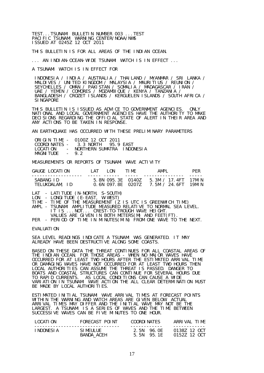TEST...TSUNAMI BULLETIN NUMBER 003 ...TEST PACIFIC TSUNAMI WARNING CENTER/NOAA/NWS ISSUED AT 0245Z 12 OCT 2011

THIS BULLETIN IS FOR ALL AREAS OF THE INDIAN OCEAN.

... AN INDIAN-OCEAN-WIDE TSUNAMI WATCH IS IN EFFECT ...

A TSUNAMI WATCH IS IN EFFECT FOR

 INDONESIA / INDIA / AUSTRALIA / THAILAND / MYANMAR / SRI LANKA / MALDIVES / UNITED KINGDOM / MALAYSIA / MAURITIUS / REUNION / SEYCHELLES / OMAN / PAKISTAN / SOMALIA / MADAGASCAR / IRAN / UAE / YEMEN / COMORES / MOZAMBIQUE / KENYA / TANZANIA / BANGLADESH / CROZET ISLANDS / KERGUELEN ISLANDS / SOUTH AFRICA / **SINGAPORE** 

THIS BULLETIN IS ISSUED AS ADVICE TO GOVERNMENT AGENCIES. ONLY NATIONAL AND LOCAL GOVERNMENT AGENCIES HAVE THE AUTHORITY TO MAKE DECISIONS REGARDING THE OFFICIAL STATE OF ALERT IN THEIR AREA AND ANY ACTIONS TO BE TAKEN IN RESPONSE.

AN EARTHQUAKE HAS OCCURRED WITH THESE PRELIMINARY PARAMETERS

|            | ORIGIN TIME - 0100Z 12 OCT 2011   |  |
|------------|-----------------------------------|--|
|            | COORDINATES - 3.3 NORTH 95.9 FAST |  |
| LOCATI ON  | - NORTHERN SUMATRA INDONESIA      |  |
| MAGNI TUDE | $-92$                             |  |

MEASUREMENTS OR REPORTS OF TSUNAMI WAVE ACTIVITY

| GAUGE LOCATION              | I AT- | I ON | <b>TIMF</b>                            | AMPI                                       | <b>PFR</b> |
|-----------------------------|-------|------|----------------------------------------|--------------------------------------------|------------|
| SABANG ID<br>TELUKDALAM, ID |       |      | 5.8N 095.3E 0140Z<br>0.6N 097.8F 02077 | 5 3M / 17 4FT 17MIN<br>7.5M / 24.6FT 19MIN |            |

LAT - LATITUDE (N-NORTH, S-SOUTH)

LON - LONGITUDE (E-EAST, W-WEST)

- TIME TIME OF THE MEASUREMENT (Z IS UTC IS GREENWICH TIME)
- AMPL TSUNAMI AMPLITUDE MEASURED RELATIVE TO NORMAL SEA LEVEL. IT IS ...NOT... CREST-TO-TROUGH WAVE HEIGHT.
- VALUES ARE GIVEN IN BOTH METERS(M) AND FEET(FT).

PER - PERIOD OF TIME IN MINUTES(MIN) FROM ONE WAVE TO THE NEXT.

EVALUATION

SEA LEVEL READINGS INDICATE A TSUNAMI WAS GENERATED. IT MAY ALREADY HAVE BEEN DESTRUCTIVE ALONG SOME COASTS.

BASED ON THESE DATA THE THREAT CONTINUES FOR ALL COASTAL AREAS OF THE INDIAN OCEAN. FOR THOSE AREAS - WHEN NO MAJOR WAVES HAVE OCCURRED FOR AT LEAST TWO HOURS AFTER THE ESTIMATED ARRIVAL TIME OR DAMAGING WAVES HAVE NOT OCCURRED FOR AT LEAST TWO HOURS THEN LOCAL AUTHORITIES CAN ASSUME THE THREAT IS PASSED. DANGER TO BOATS AND COASTAL STRUCTURES CAN CONTINUE FOR SEVERAL HOURS DUE TO RAPID CURRENTS. AS LOCAL CONDITIONS CAN CAUSE A WIDE VARIATION IN TSUNAMI WAVE ACTION THE ALL CLEAR DETERMINATION MUST BE MADE BY LOCAL AUTHORITIES.

ESTIMATED INITIAL TSUNAMI WAVE ARRIVAL TIMES AT FORECAST POINTS WITHIN THE WARNING AND WATCH AREAS ARE GIVEN BELOW. ACTUAL ARRIVAL TIMES MAY DIFFER AND THE INITIAL WAVE MAY NOT BE THE LARGEST. A TSUNAMI IS A SERIES OF WAVES AND THE TIME BETWEEN SUCCESSIVE WAVES CAN BE FIVE MINUTES TO ONE HOUR.

| LOCATION    | FORFCAST POLNT | COORDI NATES | ARRIVAL TIME |
|-------------|----------------|--------------|--------------|
| I NDONESI A | SI MEULUE -    | 2 5N 96 OF   | 01387 12 OCT |
|             | BANDA ACEH     | 5 5N 95 1F   | 01527 12 OCT |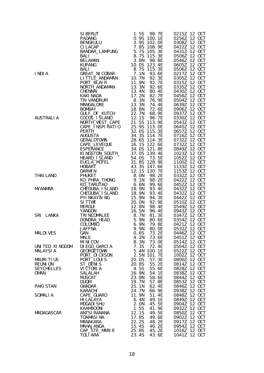|                                     | SI BERUT<br>PADANG BANKILU 0.95 100.15 98.7E PENGANG BENGKULU 0.95 100.09<br>CILLACAP 7.8S 108.9E 0.95 102.0E<br>CILLACAP 7.8S 108.9E 0.20<br>BANKIDAR_LAMPUNG 5.7S 115.3E DELAWAN 3.8N 98.8E<br>BELAWAN 3.8N 98.8E ELAWANG 3.7S 115.3E |                                   | 0215Z 12 OCT                 |
|-------------------------------------|-----------------------------------------------------------------------------------------------------------------------------------------------------------------------------------------------------------------------------------------|-----------------------------------|------------------------------|
|                                     |                                                                                                                                                                                                                                         |                                   | 0256Z 12 OCT<br>0308Z 12 OCT |
|                                     |                                                                                                                                                                                                                                         |                                   | 0422Z 12 OCT                 |
|                                     |                                                                                                                                                                                                                                         |                                   | 0431Z 12 OCT                 |
|                                     |                                                                                                                                                                                                                                         |                                   | 0506Z 12 OCT                 |
|                                     |                                                                                                                                                                                                                                         |                                   | 0546Z 12 OCT<br>0605Z 12 OCT |
|                                     |                                                                                                                                                                                                                                         |                                   | 0506Z 12 OCT                 |
| I NDI A                             |                                                                                                                                                                                                                                         |                                   | 0217Z 12 OCT                 |
|                                     |                                                                                                                                                                                                                                         |                                   | 0305Z 12 OCT                 |
|                                     |                                                                                                                                                                                                                                         |                                   | 0315Z 12 OCT<br>0335Z 12 OCT |
|                                     |                                                                                                                                                                                                                                         |                                   | 0430Z 12 OCT                 |
|                                     |                                                                                                                                                                                                                                         |                                   | 0456Z 12 OCT                 |
|                                     |                                                                                                                                                                                                                                         |                                   | 0504Z 12 OCT                 |
|                                     |                                                                                                                                                                                                                                         |                                   | 0639Z 12 OCT                 |
|                                     |                                                                                                                                                                                                                                         |                                   | 0906Z 12 OCT<br>0937Z 12 OCT |
| AUSTRALI A                          |                                                                                                                                                                                                                                         |                                   | 0330Z 12 OCT                 |
|                                     |                                                                                                                                                                                                                                         |                                   | 0543Z 12 OCT                 |
|                                     |                                                                                                                                                                                                                                         |                                   | 0645Z 12 OCT                 |
|                                     |                                                                                                                                                                                                                                         |                                   | 0657Z 12 OCT<br>0716Z 12 OCT |
|                                     |                                                                                                                                                                                                                                         |                                   | 0732Z 12 OCT                 |
|                                     |                                                                                                                                                                                                                                         |                                   | 0732Z 12 OCT                 |
|                                     |                                                                                                                                                                                                                                         |                                   | 0849Z 12 OCT                 |
|                                     |                                                                                                                                                                                                                                         |                                   | 1023Z 12 OCT<br>1052Z 12 OCT |
|                                     |                                                                                                                                                                                                                                         |                                   | 1100Z 12 OCT                 |
|                                     |                                                                                                                                                                                                                                         |                                   | 1133Z 12 OCT                 |
|                                     |                                                                                                                                                                                                                                         |                                   | 1153Z 12 OCT                 |
| THAI LAND                           |                                                                                                                                                                                                                                         |                                   | 0332Z 12 OCT<br>0422Z 12 OCT |
|                                     |                                                                                                                                                                                                                                         |                                   | 0452Z 12 OCT                 |
| <b>MYANMAR</b>                      |                                                                                                                                                                                                                                         |                                   | 0432Z 12 OCT                 |
|                                     |                                                                                                                                                                                                                                         | 93.4E                             | 0432Z 12 OCT                 |
|                                     |                                                                                                                                                                                                                                         | 94.3E<br>92.9E                    | 0442Z 12 OCT<br>0510Z 12 OCT |
|                                     |                                                                                                                                                                                                                                         |                                   | 0549Z 12 OCT                 |
|                                     | CHEDUBA_ISLAND<br>CHEDUBA_ISLAND<br>PYLNKAYALNG<br>SITTWE 20.0N<br>SITTWE 20.0N<br>MERGUI 12.8N<br>MERGUI 12.8N<br>TRINCOMALEE 8.7N<br>TRINCOMALEE 8.7N<br>COLOMBO 6.9N<br>COLOMBO 6.9N<br>JAFFNA 9.9N                                  | 98. 4E<br>96. 4E                  | 0943Z 12 OCT                 |
| SRI LANKA                           |                                                                                                                                                                                                                                         | 81. 3E                            | 0347Z 12 OCT                 |
|                                     |                                                                                                                                                                                                                                         | 80. 6E<br>79. 8F<br>79.8E         | 0354Z 12 OCT<br>0421Z 12 OCT |
|                                     | <b>JAFFNA</b>                                                                                                                                                                                                                           | 9.9N                              |                              |
| <b>MALDIVES</b>                     | GAN                                                                                                                                                                                                                                     | 0.6S<br>73. 2E                    | 0446Z 12 OCT                 |
|                                     | MALE                                                                                                                                                                                                                                    | 4.2N<br>73.6E                     | 0451Z 12 OCT                 |
| UNITED KINGDOM                      | MI NI COV<br>DI EGO_GARCIA                                                                                                                                                                                                              | 8.3N<br>73.0E<br>7.3S<br>72.4E    | 0514Z 12 OCT<br>0504Z 12 OCT |
| <b>MALAYSIA</b>                     | GEORGETOWN                                                                                                                                                                                                                              | 5.4N 100.1E                       | 0522Z 12 OCT                 |
|                                     | PORT_DI CKSON                                                                                                                                                                                                                           | 2.5N<br>101.7E                    | 1002Z 12 OCT                 |
| MAURITIUS                           | PORT_LOUIS                                                                                                                                                                                                                              | 20.0S<br>57.3E<br>55.2E           | 0800Z 12 OCT                 |
| <b>REUNION</b><br><b>SEYCHELLES</b> | ST_DENIS<br>VI CTORI A                                                                                                                                                                                                                  | 20.8S<br>55.6E<br>4.5S            | 0814Z 12 OCT<br>0828Z 12 OCT |
| OMAN                                | SALALAH                                                                                                                                                                                                                                 | 16. 9N<br>54.1E                   | 0838Z 12 OCT                 |
|                                     | <b>MUSCAT</b>                                                                                                                                                                                                                           | 58.6E<br>23.9N                    | 0844Z 12 OCT                 |
|                                     | <b>DUQM</b>                                                                                                                                                                                                                             | 19.7N<br>57.8E                    | 0853Z 12 OCT                 |
| PAKI STAN                           | <b>GWADAR</b><br>KARACHI                                                                                                                                                                                                                | 25.1N<br>62.4E<br>24.7N<br>66. 9E | 0846Z 12 OCT<br>0938Z 12 OCT |
| SOMALIA                             | CAPE_GUARO                                                                                                                                                                                                                              | 11.9N<br>51.4E                    | 0848Z 12 OCT                 |
|                                     | HI LALAYA                                                                                                                                                                                                                               | 6.4N<br>49.1E                     | 0849Z 12 OCT                 |
|                                     | MOGADI SHU                                                                                                                                                                                                                              | 45.5E<br>2.0N                     | 0904Z 12 OCT                 |
| MADAGASCAR                          | <b>KAAMBOONI</b><br>ANTSI RANANA                                                                                                                                                                                                        | 1.5S<br>41.9E<br>12.1S<br>49.5E   | 0932Z 12 OCT<br>0850Z 12 OCT |
|                                     | TOAMASI NA                                                                                                                                                                                                                              | 17.8S<br>49.6E                    | 0902Z 12 OCT                 |
|                                     | MANAKARA                                                                                                                                                                                                                                | 22.2S<br>48.2E                    | 0917Z 12 OCT                 |
|                                     | MAHAJANGA                                                                                                                                                                                                                               | 15.4S<br>46.2E                    | 0954Z 12 OCT                 |
|                                     | CAP_STE_MARIE<br><b>TOLI ARA</b>                                                                                                                                                                                                        | 25.8S<br>45.2E<br>23.4S<br>43.6E  | 1016Z 12 OCT<br>1041Z 12 OCT |
|                                     |                                                                                                                                                                                                                                         |                                   |                              |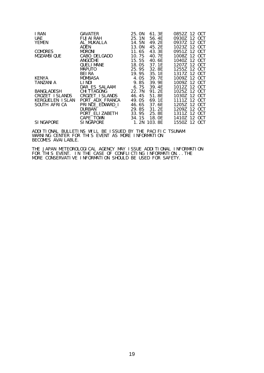| I RAN            | GAVATER            | 25. ON | 61.3E       | 0852Z 12 OCT    |
|------------------|--------------------|--------|-------------|-----------------|
| <b>UAE</b>       | FUJAI RAH          | 25.1N  | 56.4E       | 09307 12 OCT    |
| YEMEN            | AL_MUKALLA         | 14.5N  | 49.2E       | 0937Z 12 OCT    |
|                  | ADEN               | 13. ON | 45.2E       | 1023Z<br>12 OCT |
| <b>COMORES</b>   | <b>MORONI</b>      | 11.6S  | 43.3E       | 09517 12 OCT    |
| MOZAMBI QUE      | CABO_DELGADO       | 10.7S  | 40. 7E      | 1008Z 12 OCT    |
|                  | ANGOCHE            | 15.5S  | 40.6E       |                 |
|                  | <b>QUELIMANE</b>   | 18.0S  | 37.1E       | 1207Z 12 OCT    |
|                  | <b>MAPUTO</b>      | 25.9S  | 32. 8E      | 1255Z 12 OCT    |
|                  | <b>BEIRA</b>       | 19.9S  | 35.1E       | 1317Z 12 OCT    |
| KENYA            | MOMBASA            | 4.0S   | 39. 7F      | 12 OCT<br>10097 |
| TANZANI A        | LI NDI             | 9.8S   | 39.9E       | 1009Z 12 OCT    |
|                  | DAR_ES_SALAAM      | 6.7S   | 39.4E       | 1012Z 12 OCT    |
| BANGLADESH       | <b>CHI TTAGONG</b> | 22.7N  | 91.2F       | 10257 12 OCT    |
| CROZET ISLANDS   | CROZET_I SLANDS    | 46.4S  | 51.8E       |                 |
| KERGUELEN ISLAN  | PORT_AUX_FRANCA    | 49. OS | 69. 1E      |                 |
| SOUTH AFRICA     | PRINCE_EDWARD_I    | 46.6S  | 37.6E       | 1205Z 12 OCT    |
|                  | <b>DURBAN</b>      | 29.8S  | 31.2E       | 12 OCT<br>12097 |
|                  | PORT_ELI ZABETH    | 33.9S  | 25.8E       |                 |
|                  | CAPE_TOWN          | 34.1S  | 18. OE      | 1410Z 12 OCT    |
| <b>SINGAPORE</b> | SI NGAPORE         |        | 1.2N 103.8E | 1550Z 12 OCT    |

ADDITIONAL BULLETINS WILL BE ISSUED BY THE PACIFIC TSUNAMI WARNING CENTER FOR THIS EVENT AS MORE INFORMATION BECOMES AVAILABLE.

THE JAPAN METEOROLOGICAL AGENCY MAY ISSUE ADDITIONAL INFORMATION FOR THIS EVENT. IN THE CASE OF CONFLICTING INFORMATION...THE MORE CONSERVATIVE INFORMATION SHOULD BE USED FOR SAFETY.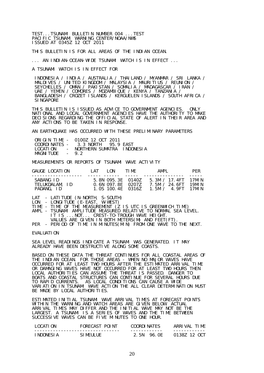TEST...TSUNAMI BULLETIN NUMBER 004 ...TEST PACIFIC TSUNAMI WARNING CENTER/NOAA/NWS ISSUED AT 0345Z 12 OCT 2011

THIS BULLETIN IS FOR ALL AREAS OF THE INDIAN OCEAN.

... AN INDIAN-OCEAN-WIDE TSUNAMI WATCH IS IN EFFECT ...

A TSUNAMI WATCH IS IN EFFECT FOR

 INDONESIA / INDIA / AUSTRALIA / THAILAND / MYANMAR / SRI LANKA / MALDIVES / UNITED KINGDOM / MALAYSIA / MAURITIUS / REUNION / SEYCHELLES / OMAN / PAKISTAN / SOMALIA / MADAGASCAR / IRAN / UAE / YEMEN / COMORES / MOZAMBIQUE / KENYA / TANZANIA / BANGLADESH / CROZET ISLANDS / KERGUELEN ISLANDS / SOUTH AFRICA / **SINGAPORE** 

THIS BULLETIN IS ISSUED AS ADVICE TO GOVERNMENT AGENCIES. ONLY NATIONAL AND LOCAL GOVERNMENT AGENCIES HAVE THE AUTHORITY TO MAKE DECISIONS REGARDING THE OFFICIAL STATE OF ALERT IN THEIR AREA AND ANY ACTIONS TO BE TAKEN IN RESPONSE.

AN EARTHQUAKE HAS OCCURRED WITH THESE PRELIMINARY PARAMETERS

|            | ORIGIN TIME - 01007 12 OCT 2011   |  |
|------------|-----------------------------------|--|
|            | COORDINATES - 3.3 NORTH 95.9 EAST |  |
| LOCATI ON  | - NORTHERN SUMATRA INDONESIA      |  |
| MAGNI TUDE | $-92$                             |  |

MEASUREMENTS OR REPORTS OF TSUNAMI WAVE ACTIVITY

| GAUGE LOCATION                            | I AT I | I ON                                                        | TIMF | AMPI                                                       | <b>PFR</b> |
|-------------------------------------------|--------|-------------------------------------------------------------|------|------------------------------------------------------------|------------|
| SABANG ID<br>TELUKDALAM, ID<br>PADANG, ID |        | 5.8N 095.3E 01407<br>0.6N 097.8E 02077<br>1.0S 100.4F 03167 |      | 5.3M / 17.4FT 17MIN<br>7 5M / 24 6FT<br>1 5M / 4 9FT 17MIN | 19MI N     |

LAT - LATITUDE (N-NORTH, S-SOUTH)

- LON LONGITUDE (E-EAST, W-WEST)
- TIME TIME OF THE MEASUREMENT (Z IS UTC IS GREENWICH TIME)
- AMPL TSUNAMI AMPLITUDE MEASURED RELATIVE TO NORMAL SEA LEVEL. IT IS ...NOT... CREST-TO-TROUGH WAVE HEIGHT.
- VALUES ARE GIVEN IN BOTH METERS(M) AND FEET(FT)<br>PER PERIOD OF TIME IN MINUTES(MIN) FROM ONE WAVE TO - PERIOD OF TIME IN MINUTES(MIN) FROM ONE WAVE TO THE NEXT.

EVALUATION

SEA LEVEL READINGS INDICATE A TSUNAMI WAS GENERATED. IT MAY ALREADY HAVE BEEN DESTRUCTIVE ALONG SOME COASTS.

BASED ON THESE DATA THE THREAT CONTINUES FOR ALL COASTAL AREAS OF THE INDIAN OCEAN. FOR THOSE AREAS - WHEN NO MAJOR WAVES HAVE OCCURRED FOR AT LEAST TWO HOURS AFTER THE ESTIMATED ARRIVAL TIME OR DAMAGING WAVES HAVE NOT OCCURRED FOR AT LEAST TWO HOURS THEN LOCAL AUTHORITIES CAN ASSUME THE THREAT IS PASSED. DANGER TO BOATS AND COASTAL STRUCTURES CAN CONTINUE FOR SEVERAL HOURS DUE TO RAPID CURRENTS. AS LOCAL CONDITIONS CAN CAUSE A WIDE VARIATION IN TSUNAMI WAVE ACTION THE ALL CLEAR DETERMINATION MUST BE MADE BY LOCAL AUTHORITIES.

ESTIMATED INITIAL TSUNAMI WAVE ARRIVAL TIMES AT FORECAST POINTS WITHIN THE WARNING AND WATCH AREAS ARE GIVEN BELOW. ACTUAL ARRIVAL TIMES MAY DIFFER AND THE INITIAL WAVE MAY NOT BE THE LARGEST. A TSUNAMI IS A SERIES OF WAVES AND THE TIME BETWEEN SUCCESSIVE WAVES CAN BE FIVE MINUTES TO ONE HOUR.

| LOCATI ON   | FORFCAST POLNT | COORDI NATES | ARRIVAL TIME |
|-------------|----------------|--------------|--------------|
| ' NDONESI A | SLMEULUE.      | 2 5N 96 OF   | 01387 12 OCT |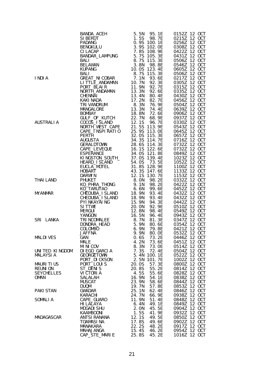|                                   | BANDA ACCH<br>PANDAMG (1972)<br>PANDAMG (1972)<br>CELACAP<br>CELACAP (1972)<br>CELACAP (1973)<br>CELACAP (1974)<br>CELACAP (1974)<br>CELACAP (1974)<br>CELACAP (1974)<br>CELACAP (1974)<br>BANDAR LAMPUNG 5.75 105.3E 04372 12 0CT<br>BANDAR (1974)<br>S |                                 |                              |
|-----------------------------------|----------------------------------------------------------------------------------------------------------------------------------------------------------------------------------------------------------------------------------------------------------|---------------------------------|------------------------------|
|                                   |                                                                                                                                                                                                                                                          |                                 |                              |
|                                   |                                                                                                                                                                                                                                                          |                                 |                              |
|                                   |                                                                                                                                                                                                                                                          |                                 |                              |
|                                   |                                                                                                                                                                                                                                                          |                                 |                              |
|                                   |                                                                                                                                                                                                                                                          |                                 |                              |
|                                   |                                                                                                                                                                                                                                                          |                                 |                              |
|                                   |                                                                                                                                                                                                                                                          |                                 |                              |
|                                   |                                                                                                                                                                                                                                                          |                                 |                              |
| I NDI A                           |                                                                                                                                                                                                                                                          |                                 |                              |
|                                   |                                                                                                                                                                                                                                                          |                                 |                              |
|                                   |                                                                                                                                                                                                                                                          |                                 |                              |
|                                   |                                                                                                                                                                                                                                                          |                                 |                              |
|                                   |                                                                                                                                                                                                                                                          |                                 |                              |
|                                   |                                                                                                                                                                                                                                                          |                                 |                              |
|                                   |                                                                                                                                                                                                                                                          |                                 |                              |
|                                   |                                                                                                                                                                                                                                                          |                                 |                              |
|                                   |                                                                                                                                                                                                                                                          |                                 |                              |
| AUSTRALI A                        |                                                                                                                                                                                                                                                          |                                 |                              |
|                                   |                                                                                                                                                                                                                                                          |                                 |                              |
|                                   |                                                                                                                                                                                                                                                          |                                 |                              |
|                                   |                                                                                                                                                                                                                                                          |                                 |                              |
|                                   |                                                                                                                                                                                                                                                          |                                 |                              |
|                                   |                                                                                                                                                                                                                                                          |                                 |                              |
|                                   |                                                                                                                                                                                                                                                          |                                 |                              |
|                                   |                                                                                                                                                                                                                                                          |                                 |                              |
|                                   |                                                                                                                                                                                                                                                          |                                 |                              |
|                                   |                                                                                                                                                                                                                                                          |                                 |                              |
|                                   |                                                                                                                                                                                                                                                          |                                 |                              |
|                                   |                                                                                                                                                                                                                                                          |                                 |                              |
| <b>THAI LAND</b>                  |                                                                                                                                                                                                                                                          |                                 |                              |
|                                   |                                                                                                                                                                                                                                                          |                                 |                              |
|                                   |                                                                                                                                                                                                                                                          |                                 |                              |
| <b>MYANMAR</b>                    |                                                                                                                                                                                                                                                          |                                 |                              |
|                                   |                                                                                                                                                                                                                                                          |                                 |                              |
|                                   |                                                                                                                                                                                                                                                          |                                 |                              |
|                                   |                                                                                                                                                                                                                                                          |                                 |                              |
|                                   |                                                                                                                                                                                                                                                          |                                 |                              |
| SRI LANKA                         |                                                                                                                                                                                                                                                          |                                 |                              |
|                                   |                                                                                                                                                                                                                                                          |                                 |                              |
|                                   |                                                                                                                                                                                                                                                          |                                 |                              |
|                                   | <b>JAFFNA</b>                                                                                                                                                                                                                                            | 9.9N<br>80. OE                  | 0532Z 12 OCT                 |
| <b>MALDIVES</b>                   | GAN                                                                                                                                                                                                                                                      | 73.2E<br>0.6S                   | 0446Z 12 OCT                 |
|                                   | <b>MALE</b>                                                                                                                                                                                                                                              | 4.2N<br>73.6E                   | 0451Z 12 OCT                 |
|                                   | MI NI COV                                                                                                                                                                                                                                                | 8.3N<br>73. OE                  | 0514Z 12 OCT                 |
| UNITED KINGDOM<br><b>MALAYSIA</b> | DI EGO_GARCIA<br><b>GEORGETOWN</b>                                                                                                                                                                                                                       | 7.3S<br>72.4E<br>5.4N<br>100.1E | 0504Z 12 OCT<br>0522Z 12 OCT |
|                                   | PORT_DI CKSON                                                                                                                                                                                                                                            | 2.5N<br>101.7E                  | 1002Z 12 OCT                 |
| <b>MAURITIUS</b>                  | PORT_LOUIS                                                                                                                                                                                                                                               | 57.3E<br>20.0S                  | 0800Z 12 OCT                 |
| <b>REUNION</b>                    | ST_DENIS                                                                                                                                                                                                                                                 | 20.8S<br>55.2E                  | 0814Z 12 OCT                 |
| <b>SEYCHELLES</b>                 | VI CTORI A                                                                                                                                                                                                                                               | 4.5S<br>55.6E                   | 0828Z 12 OCT                 |
| OMAN                              | SALALAH                                                                                                                                                                                                                                                  | 16.9N<br>54.1E                  | 0838Z 12 OCT                 |
|                                   | <b>MUSCAT</b>                                                                                                                                                                                                                                            | 23.9N<br>58.6E                  | 0844Z 12 OCT                 |
|                                   | <b>DUQM</b>                                                                                                                                                                                                                                              | 19.7N<br>57.8E                  | 0853Z 12 OCT                 |
| <b>PAKI STAN</b>                  | <b>GWADAR</b>                                                                                                                                                                                                                                            | 25.1N<br>62.4E                  | 0846Z 12 OCT                 |
|                                   | KARACHI                                                                                                                                                                                                                                                  | 24.7N<br>66.9E                  | 0938Z 12 OCT                 |
| SOMALIA                           | CAPE_GUARO<br>HI LALAYA                                                                                                                                                                                                                                  | 11.9N<br>51.4E<br>49.1E<br>6.4N | 0848Z 12 OCT<br>0849Z 12 OCT |
|                                   | MOGADI SHU                                                                                                                                                                                                                                               | 45.5E<br>2. ON                  | 0904Z 12 OCT                 |
|                                   | <b>KAAMBOONI</b>                                                                                                                                                                                                                                         | 1.5S<br>41.9E                   | 0932Z 12 OCT                 |
| MADAGASCAR                        | ANTSI RANANA                                                                                                                                                                                                                                             | 12.1S<br>49.5E                  | 0850Z 12 OCT                 |
|                                   | <b>TOAMASINA</b>                                                                                                                                                                                                                                         | 17.8S<br>49.6E                  | 0902Z 12 OCT                 |
|                                   | MANAKARA                                                                                                                                                                                                                                                 | 22.2S<br>48.2E                  | 0917Z 12 OCT                 |
|                                   | MAHAJANGA                                                                                                                                                                                                                                                | 15.4S<br>46.2E                  | 0954Z 12 OCT                 |
|                                   | CAP_STE_MARIE                                                                                                                                                                                                                                            | 25.8S<br>45.2E                  | 1016Z 12 OCT                 |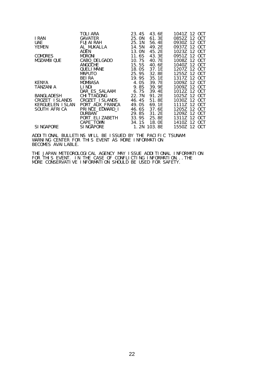|                  | TOLI ARA        | 23.4S  | 43.6E       | 1041Z 12 OCT |
|------------------|-----------------|--------|-------------|--------------|
| I RAN            | GAVATER         | 25. ON | 61. 3E      | 0852Z 12 OCT |
| <b>UAE</b>       | FUJAI RAH       | 25.1N  | 56.4E       | 0930Z 12 OCT |
| YEMEN            | AL_MUKALLA      | 14.5N  | 49. 2E      | 0937Z 12 OCT |
|                  | ADEN            | 13. ON | 45.2E       | 1023Z 12 OCT |
| <b>COMORES</b>   | MORONI          | 11.6S  | 43.3E       | 0951Z 12 OCT |
| MOZAMBI QUE      | CABO_DELGADO    | 10.7S  | 40. 7E      | 1008Z 12 OCT |
|                  | ANGOCHE         | 15.5S  | 40. 6E      | 1040Z 12 OCT |
|                  | QUELI MANE      | 18.0S  | 37.1E       | 1207Z 12 OCT |
|                  | <b>MAPUTO</b>   | 25.9S  | 32. 8E      | 1255Z 12 OCT |
|                  | BEI RA          | 19.9S  | 35.1E       | 1317Z 12 OCT |
| KENYA            | MOMBASA         | 4.0S   | 39. 7E      | 1009Z 12 OCT |
| TANZANI A        | LI NDI          | 9.8S   | 39.9E       | 1009Z 12 OCT |
|                  | DAR_ES_SALAAM   | 6.7S   | 39.4E       | 1012Z 12 OCT |
| BANGLADESH       | CHI TTAGONG     | 22.7N  | 91. 2E      | 1025Z 12 OCT |
| CROZET ISLANDS   | CROZET_I SLANDS | 46. 4S | 51.8E       | 1030Z 12 OCT |
| KERGUELEN ISLAN  | PORT_AUX_FRANCA | 49. OS | 69. 1E      | 1111Z 12 OCT |
| SOUTH AFRICA     | PRINCE_EDWARD_I | 46. 6S | 37.6E       | 1205Z 12 OCT |
|                  | <b>DURBAN</b>   | 29.8S  | 31. 2E      | 1209Z 12 OCT |
|                  | PORT_ELI ZABETH | 33.9S  | 25. 8E      | 1311Z 12 OCT |
|                  | CAPE_TOWN       |        | 34.1S 18.0E | 1410Z 12 OCT |
| <b>SINGAPORE</b> | SI NGAPORE      |        | 1.2N 103.8E | 1550Z 12 OCT |
|                  |                 |        |             |              |

ADDITIONAL BULLETINS WILL BE ISSUED BY THE PACIFIC TSUNAMI WARNING CENTER FOR THIS EVENT AS MORE INFORMATION BECOMES AVAILABLE.

THE JAPAN METEOROLOGICAL AGENCY MAY ISSUE ADDITIONAL INFORMATION FOR THIS EVENT. IN THE CASE OF CONFLICTING INFORMATION...THE MORE CONSERVATIVE INFORMATION SHOULD BE USED FOR SAFETY.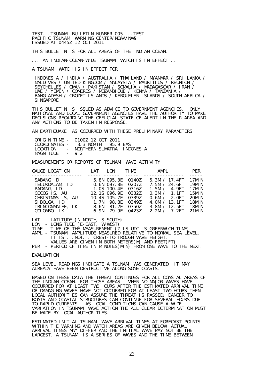TEST...TSUNAMI BULLETIN NUMBER 005 ...TEST PACIFIC TSUNAMI WARNING CENTER/NOAA/NWS ISSUED AT 0445Z 12 OCT 2011

THIS BULLETIN IS FOR ALL AREAS OF THE INDIAN OCEAN.

... AN INDIAN-OCEAN-WIDE TSUNAMI WATCH IS IN EFFECT ...

A TSUNAMI WATCH IS IN EFFECT FOR

 INDONESIA / INDIA / AUSTRALIA / THAILAND / MYANMAR / SRI LANKA / MALDIVES / UNITED KINGDOM / MALAYSIA / MAURITIUS / REUNION / SEYCHELLES / OMAN / PAKISTAN / SOMALIA / MADAGASCAR / IRAN / UAE / YEMEN / COMORES / MOZAMBIQUE / KENYA / TANZANIA / BANGLADESH / CROZET ISLANDS / KERGUELEN ISLANDS / SOUTH AFRICA / **SINGAPORE** 

THIS BULLETIN IS ISSUED AS ADVICE TO GOVERNMENT AGENCIES. ONLY NATIONAL AND LOCAL GOVERNMENT AGENCIES HAVE THE AUTHORITY TO MAKE DECISIONS REGARDING THE OFFICIAL STATE OF ALERT IN THEIR AREA AND ANY ACTIONS TO BE TAKEN IN RESPONSE.

AN EARTHQUAKE HAS OCCURRED WITH THESE PRELIMINARY PARAMETERS

|            | ORIGIN TIME - 0100Z 12 OCT 2011    |  |
|------------|------------------------------------|--|
|            | $COMDIMATFS - 3.3 MORTH 95.9 FAST$ |  |
| LOCATI ON  | - NORTHERN SUMATRA INDONESIA       |  |
| MAGNI TUDE | $-92$                              |  |

MEASUREMENTS OR REPORTS OF TSUNAMI WAVE ACTIVITY

| GAUGE LOCATION                                                                                                                  | <b>I</b> AT | I ON                                                                                                                                                          | TIME <sub>2</sub> | AMPI                                                                                                                                 | <b>PFR</b>                                                                        |
|---------------------------------------------------------------------------------------------------------------------------------|-------------|---------------------------------------------------------------------------------------------------------------------------------------------------------------|-------------------|--------------------------------------------------------------------------------------------------------------------------------------|-----------------------------------------------------------------------------------|
| SABANG ID<br>TELUKDALAM, ID<br>PADANG, ID<br>COCOS IS, AU<br>CHRISTMAS IS, AU<br>SIBOLGA. ID<br>TRINCONMALEE, LK<br>COLOMBO, LK |             | 5.8N 095.3E 0140Z<br>0.6N 097.8E 0207Z<br>1.0S 100.4E 0316Z<br>12.1S 096.9E 0332Z<br>10.4S 105.7E 0339Z<br>1.7N 98.8E<br>8.6N 81.2E 0350Z<br>6.9N 79.9E 04237 | 03497             | 5.3M $/$ 17.4FT<br>7.5M / 24.6FT<br>1.5M / 4.9FT<br>0.3M / 1.1FT<br>0.6M / 2.0FT<br>4.0M $/$ 13.1FT<br>3.8M / 12.5FT<br>2.2M / 7.2FT | 17MI N<br>19MI N<br>17MI N<br>15MI N<br>20MIN<br><b>18MIN</b><br>18MI N<br>21MI N |
|                                                                                                                                 |             |                                                                                                                                                               |                   |                                                                                                                                      |                                                                                   |

LAT - LATITUDE (N-NORTH, S-SOUTH)

LON - LONGITUDE (E-EAST, W-WEST)

TIME - TIME OF THE MEASUREMENT (Z IS UTC IS GREENWICH TIME)

AMPL - TSUNAMI AMPLITUDE MEASURED RELATIVE TO NORMAL SEA LEVEL. IT IS ...NOT... CREST-TO-TROUGH WAVE HEIGHT. VALUES ARE GIVEN IN BOTH METERS(M) AND FEET(FT).

PER - PERIOD OF TIME IN MINUTES(MIN) FROM ONE WAVE TO THE NEXT.

**FVALUATION** 

SEA LEVEL READINGS INDICATE A TSUNAMI WAS GENERATED. IT MAY ALREADY HAVE BEEN DESTRUCTIVE ALONG SOME COASTS.

BASED ON THESE DATA THE THREAT CONTINUES FOR ALL COASTAL AREAS OF THE INDIAN OCEAN. FOR THOSE AREAS - WHEN NO MAJOR WAVES HAVE OCCURRED FOR AT LEAST TWO HOURS AFTER THE ESTIMATED ARRIVAL TIME OR DAMAGING WAVES HAVE NOT OCCURRED FOR AT LEAST TWO HOURS THEN LOCAL AUTHORITIES CAN ASSUME THE THREAT IS PASSED. DANGER TO BOATS AND COASTAL STRUCTURES CAN CONTINUE FOR SEVERAL HOURS DUE TO RAPID CURRENTS. AS LOCAL CONDITIONS CAN CAUSE A WIDE VARIATION IN TSUNAMI WAVE ACTION THE ALL CLEAR DETERMINATION MUST BE MADE BY LOCAL AUTHORITIES.

ESTIMATED INITIAL TSUNAMI WAVE ARRIVAL TIMES AT FORECAST POINTS WITHIN THE WARNING AND WATCH AREAS ARE GIVEN BELOW. ACTUAL ARRIVAL TIMES MAY DIFFER AND THE INITIAL WAVE MAY NOT BE THE LARGEST. A TSUNAMI IS A SERIES OF WAVES AND THE TIME BETWEEN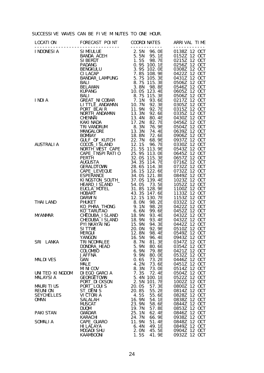## SUCCESSIVE WAVES CAN BE FIVE MINUTES TO ONE HOUR.

|                                                                 | $1001A \n\nL100NES1A \n\nL2100NES1A \n\nL31MEDLUE\nL400NES1A \n\nL5.5N 96.0E 1031212 200T\nSLAR10A_ACEM\nSLAR10A_ACH\nSLAR10A \n\nSLAR10A.2AEM\nL5.5N 96.5 E 0138212 200T\nSLAR10A.2AEM\nL5.5N 96.5 E 013522 12 00T\nL5.5N 96.5 E 0030E\nL60$ |                                                                                                         |                                                                                                       |
|-----------------------------------------------------------------|-----------------------------------------------------------------------------------------------------------------------------------------------------------------------------------------------------------------------------------------------|---------------------------------------------------------------------------------------------------------|-------------------------------------------------------------------------------------------------------|
|                                                                 |                                                                                                                                                                                                                                               |                                                                                                         |                                                                                                       |
|                                                                 |                                                                                                                                                                                                                                               |                                                                                                         |                                                                                                       |
| SRI LANKA                                                       | YANGON 16.5N 96.4E 0943Z 12 OCT<br>TRI NCOMALEE<br>DONDRA_HEAD<br><b>COLOMBO</b><br><b>JAFFNA</b>                                                                                                                                             | 81.3E<br>8.7N<br>5.9N<br>80.6E<br>6.9N<br>79.8E<br>9.9N<br>80. OE                                       | 0347Z 12 OCT<br>0354Z 12 OCT<br>0421Z 12 OCT<br>0532Z 12 OCT                                          |
| <b>MALDIVES</b>                                                 | GAN<br><b>MALE</b><br><b>MINICOV</b>                                                                                                                                                                                                          | 0.6S<br>73.2E<br>4.2N<br>73.6E<br>8.3N<br>73.0E                                                         | 0446Z 12 OCT<br>0451Z 12 OCT<br>0514Z 12 OCT                                                          |
| UNITED KINGDOM<br><b>MALAYSIA</b>                               | DI EGO_GARCIA<br><b>GEORGETOWN</b><br>PORT DI CKSON                                                                                                                                                                                           | 7.3S<br>72.4E<br>5.4N<br>100.1E<br>2.5N<br>101.7E                                                       | 12 OCT<br>0504Z<br>0522Z 12 OCT<br>1002Z 12 OCT                                                       |
| <b>MAURITIUS</b><br><b>REUNION</b><br><b>SEYCHELLES</b><br>OMAN | PORT_LOUIS<br>ST_DENIS<br>VI CTORI A<br>SALALAH<br><b>MUSCAT</b><br><b>DUQM</b>                                                                                                                                                               | 20.0S<br>57.3E<br>20.8S<br>55.2E<br>4.5S<br>55.6E<br>16.9N<br>54.1E<br>23.9N<br>58.6E<br>19.7N<br>57.8E | 12 OCT<br>0800Z<br>0814Z 12 OCT<br>0828Z 12 OCT<br>12 OCT<br>0838Z<br>12 OCT<br>0844Z<br>0853Z 12 OCT |
| <b>PAKI STAN</b>                                                | GWADAR<br>KARACHI                                                                                                                                                                                                                             | 62.4E<br>25.1N<br>24.7N<br>66.9E                                                                        | 12 OCT<br>0846Z<br>0938Z 12 OCT                                                                       |
| SOMALIA                                                         | CAPE_GUARO<br>HI LALAYA<br>MOGADI SHU<br><b>KAAMBOONI</b>                                                                                                                                                                                     | 11.9N<br>51.4E<br>49.1E<br>6.4N<br>45.5E<br>2. ON<br>1.5S<br>41.9E                                      | 0848Z 12 OCT<br>12 OCT<br>0849Z<br>12 OCT<br>0904Z<br>0932Z 12 OCT                                    |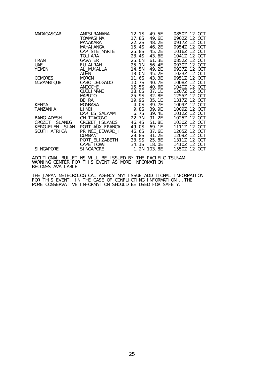| MADAGASCAR      | ANTSI RANANA       | 12.1S  | 49. 5E      | 0850Z 12 OCT    |
|-----------------|--------------------|--------|-------------|-----------------|
|                 | TOAMASI NA         | 17.8S  | 49.6E       | 0902Z 12 OCT    |
|                 | MANAKARA           | 22.2S  | 48.2E       | 0917Z 12 OCT    |
|                 | MAHAJANGA          | 15.4S  | 46. 2E      | 0954Z 12 OCT    |
|                 | CAP_STE_MARIE      | 25.8S  | 45.2E       | 1016Z 12 OCT    |
|                 | TOLI ARA           | 23.4S  | 43.6E       | 1041Z 12 OCT    |
| I RAN           | GAVATER            | 25. ON | 61. 3E      | 0852Z 12 OCT    |
| <b>UAE</b>      | FUJAI RAH          | 25.1N  | 56.4E       | 0930Z 12 OCT    |
| YEMEN           | AL_MUKALLA         | 14. 5N | 49. 2E      | 0937Z 12 OCT    |
|                 | ADEN               | 13. ON | 45.2E       | 1023Z 12 OCT    |
| <b>COMORES</b>  | <b>MORONI</b>      | 11. 6S | 43. 3E      | 0951Z 12 OCT    |
| MOZAMBI QUE     | CABO_DELGADO       | 10.7S  | 40. 7E      | 1008Z 12 OCT    |
|                 | <b>ANGOCHE</b>     | 15.5S  | 40.6E       | 1040Z 12 OCT    |
|                 | QUELI MANE         | 18. OS | 37.1E       | 1207Z 12 OCT    |
|                 | <b>MAPUTO</b>      | 25.9S  | 32.8E       | 1255Z 12 OCT    |
|                 | BEI RA             | 19.9S  | 35.1E       | 1317Z 12 OCT    |
| <b>KENYA</b>    | MOMBASA            | 4.0S   | 39. 7E      | 1009Z 12 OCT    |
| TANZANI A       | LI NDI             | 9.8S   | 39.9E       | 1009Z 12 OCT    |
|                 | DAR_ES_SALAAM      | 6.7S   | 39.4E       | 1012Z 12 OCT    |
| BANGLADESH      | <b>CHI TTAGONG</b> | 22.7N  | 91.2E       | 1025Z 12 OCT    |
| CROZET ISLANDS  | CROZET_I SLANDS    | 46.4S  | 51.8E       | 1030Z 12 OCT    |
| KERGUELEN ISLAN | PORT_AUX_FRANCA    | 49. OS | 69. 1E      | 1111Z 12 OCT    |
| SOUTH AFRICA    | PRINCE_EDWARD_I    | 46. 6S | 37.6E       | 12 OCT<br>1205Z |
|                 | <b>DURBAN</b>      | 29.8S  | 31.2E       | 1209Z 12 OCT    |
|                 | PORT_ELI ZABETH    | 33.9S  | 25.8E       | 1311Z 12 OCT    |
|                 | CAPE_TOWN          | 34.1S  | 18. OE      | 1410Z 12 OCT    |
| SI NGAPORE      | SI NGAPORE         |        | 1.2N 103.8E | 1550Z 12 OCT    |

ADDITIONAL BULLETINS WILL BE ISSUED BY THE PACIFIC TSUNAMI WARNING CENTER FOR THIS EVENT AS MORE INFORMATION BECOMES AVAILABLE.

THE JAPAN METEOROLOGICAL AGENCY MAY ISSUE ADDITIONAL INFORMATION FOR THIS EVENT. IN THE CASE OF CONFLICTING INFORMATION...THE MORE CONSERVATIVE INFORMATION SHOULD BE USED FOR SAFETY.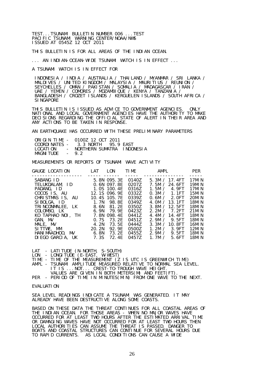TEST...TSUNAMI BULLETIN NUMBER 006 ...TEST PACIFIC TSUNAMI WARNING CENTER/NOAA/NWS ISSUED AT 0545Z 12 OCT 2011

THIS BULLETIN IS FOR ALL AREAS OF THE INDIAN OCEAN.

... AN INDIAN-OCEAN-WIDE TSUNAMI WATCH IS IN EFFECT ...

A TSUNAMI WATCH IS IN EFFECT FOR

 INDONESIA / INDIA / AUSTRALIA / THAILAND / MYANMAR / SRI LANKA / MALDIVES / UNITED KINGDOM / MALAYSIA / MAURITIUS / REUNION / SEYCHELLES / OMAN / PAKISTAN / SOMALIA / MADAGASCAR / IRAN / UAE / YEMEN / COMORES / MOZAMBIQUE / KENYA / TANZANIA / BANGLADESH / CROZET ISLANDS / KERGUELEN ISLANDS / SOUTH AFRICA / **SINGAPORE** 

THIS BULLETIN IS ISSUED AS ADVICE TO GOVERNMENT AGENCIES. ONLY NATIONAL AND LOCAL GOVERNMENT AGENCIES HAVE THE AUTHORITY TO MAKE DECISIONS REGARDING THE OFFICIAL STATE OF ALERT IN THEIR AREA AND ANY ACTIONS TO BE TAKEN IN RESPONSE.

AN EARTHQUAKE HAS OCCURRED WITH THESE PRELIMINARY PARAMETERS

|            | ORIGIN TIME - 0100Z 12 OCT 2011   |  |
|------------|-----------------------------------|--|
|            | COORDINATES - 3.3 NORTH 95.9 EAST |  |
| LOCATI ON  | - NORTHERN SUMATRA INDONESIA      |  |
| MAGNI TUDE | $-92$                             |  |

MEASUREMENTS OR REPORTS OF TSUNAMI WAVE ACTIVITY

| GAUGE LOCATION                                                                                                                                                                                                 | <b>LAT</b>                                      | LON                                                                                                                                                             | <b>TIME</b>                                                                                                       | AMPL                                                                                                                                                                                                                           | <b>PER</b>                                                                                                                |
|----------------------------------------------------------------------------------------------------------------------------------------------------------------------------------------------------------------|-------------------------------------------------|-----------------------------------------------------------------------------------------------------------------------------------------------------------------|-------------------------------------------------------------------------------------------------------------------|--------------------------------------------------------------------------------------------------------------------------------------------------------------------------------------------------------------------------------|---------------------------------------------------------------------------------------------------------------------------|
| SABANG ID<br>TELUKDALAM, ID<br>PADANG, ID<br>COCOS IS, AU<br>CHRISTMAS IS, AU<br>SI BOLGA, ID<br>TRINCONMALEE. LK<br>COLOMBO, LK<br>KO TAPHAO NOL. TH<br>GAN. MV<br>MALE, MV<br>SITTWE, MM<br>HANI MAADHOO, MV | 8.6N<br>6. 9N<br>0.7S<br>4. 2N<br>20.2N<br>6.8N | 5.8N 095.3E<br>0.6N 097.8E<br>1.0S 100.4E<br>12.1S 096.9E<br>10.4S 105.7E<br>1.7N 98.8F<br>81.2E<br>79.9F<br>7.8N 098.4E<br>73. 2F<br>73.5E<br>92. 9F<br>73. 2E | 0140Z<br>0207Z<br>03167<br>0332Z<br>0339Z<br>03497<br>0350Z<br>04237<br>04417<br>0451Z<br>04447<br>05007<br>0455Z | 5.3M / 17.4FT<br>7.5M / 24.6FT<br>1.5M / 4.9FT<br>0.3M / 1.1FT<br>0.6M / 2.0FT<br>4.0M / 13.1FT<br>3.8M / 12.5FT<br>2.2M / 7.2FT<br>4.4M / $14.4FT$<br>2.9M / 9.5FT<br>3.3M / 10.8FT<br>1.2M / 3.9FT<br>2.9M $\prime$<br>9.5FT | 17MI N<br>19MIN<br>17MI N<br>15MIN<br>20MIN<br>18MI N<br>18MI N<br>21MIN<br>18MI N<br>18MIN<br>16MI N<br>12MI N<br>18MI N |
| DIEGO GARCIA. UK                                                                                                                                                                                               | 7.3S                                            | 72.4F                                                                                                                                                           | 0457Z                                                                                                             | 1.7 $M /$<br>5.6FT                                                                                                                                                                                                             | 18MI N                                                                                                                    |

LAT - LATITUDE (N-NORTH, S-SOUTH)

LON - LONGITUDE (E-EAST, W-WEST)

TIME - TIME OF THE MEASUREMENT (Z IS UTC IS GREENWICH TIME)

- AMPL TSUNAMI AMPLITUDE MEASURED RELATIVE TO NORMAL SEA LEVEL. IT IS ...NOT... CREST-TO-TROUGH WAVE HEIGHT. VALUES ARE GIVEN IN BOTH METERS(M) AND FEET(FT).
- PER PERIOD OF TIME IN MINUTES(MIN) FROM ONE WAVE TO THE NEXT.

#### EVALUATION

SEA LEVEL READINGS INDICATE A TSUNAMI WAS GENERATED. IT MAY ALREADY HAVE BEEN DESTRUCTIVE ALONG SOME COASTS.

BASED ON THESE DATA THE THREAT CONTINUES FOR ALL COASTAL AREAS OF THE INDIAN OCEAN. FOR THOSE AREAS - WHEN NO MAJOR WAVES HAVE OCCURRED FOR AT LEAST TWO HOURS AFTER THE ESTIMATED ARRIVAL TIME OR DAMAGING WAVES HAVE NOT OCCURRED FOR AT LEAST TWO HOURS THEN LOCAL AUTHORITIES CAN ASSUME THE THREAT IS PASSED. DANGER TO BOATS AND COASTAL STRUCTURES CAN CONTINUE FOR SEVERAL HOURS DUE TO RAPID CURRENTS. AS LOCAL CONDITIONS CAN CAUSE A WIDE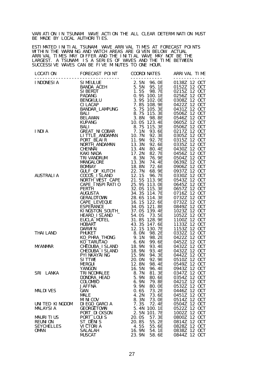VARIATION IN TSUNAMI WAVE ACTION THE ALL CLEAR DETERMINATION MUST BE MADE BY LOCAL AUTHORITIES.

ESTIMATED INITIAL TSUNAMI WAVE ARRIVAL TIMES AT FORECAST POINTS WITHIN THE WARNING AND WATCH AREAS ARE GIVEN BELOW. ACTUAL ARRIVAL TIMES MAY DIFFER AND THE INITIAL WAVE MAY NOT BE THE LARGEST. A TSUNAMI IS A SERIES OF WAVES AND THE TIME BETWEEN SUCCESSIVE WAVES CAN BE FIVE MINUTES TO ONE HOUR.

|                                                                        | LOCATEON FOR PORTE PORT (2002)<br>1 INDONESTA<br>SANDAL ACCENT 2 - 1.5 9 98.1 FETC - 1.6 1.6 98.1 FETC - 1.6 1.6 98.1 FETC - 1.6 98.1 FETC - 1.6 98.1 FETC - 1.6 9.8 THE THE PANNING<br>1 BANANCAL 1 - 1.5 9 98.1 DE SUPER ENCORE |                                                                                               |                                                                                                      |
|------------------------------------------------------------------------|-----------------------------------------------------------------------------------------------------------------------------------------------------------------------------------------------------------------------------------|-----------------------------------------------------------------------------------------------|------------------------------------------------------------------------------------------------------|
|                                                                        |                                                                                                                                                                                                                                   |                                                                                               |                                                                                                      |
|                                                                        |                                                                                                                                                                                                                                   |                                                                                               |                                                                                                      |
|                                                                        | <b>JAFFNA</b>                                                                                                                                                                                                                     | 9.9N<br>80. OE                                                                                | 0532Z<br>12 OCT                                                                                      |
| <b>MALDIVES</b>                                                        | GAN<br><b>MALE</b><br><b>MINICOV</b>                                                                                                                                                                                              | 0.6S<br>73.2E<br>4.2N<br>73.6E<br>8.3N<br>73. OE                                              | 12 OCT<br>0446Z<br>12 OCT<br>0451Z<br>0514Z<br>12 OCT                                                |
| UNITED KINGDOM<br><b>MALAYSIA</b>                                      | DI EGO_GARCIA<br><b>GEORGETOWN</b>                                                                                                                                                                                                | 7.3S<br>72.4E<br>5.4N<br>100.1E<br>101.7E                                                     | 12 OCT<br>0504Z<br>12 OCT<br>0522Z<br>12 OCT                                                         |
| <b>MAURITIUS</b><br><b>REUNION</b><br><b>SEYCHELLES</b><br><b>OMAN</b> | PORT_DI CKSON<br>PORT_LOUIS<br>ST_DENIS<br>VI CTORI A<br>SALALAH<br><b>MUSCAT</b>                                                                                                                                                 | 2.5N<br>57.3E<br>20.0S<br>20.8S<br>55.2E<br>4.5S<br>55.6E<br>16.9N<br>54.1E<br>23.9N<br>58.6E | 1002Z<br>12 OCT<br>0800Z<br>12 OCT<br>0814Z<br>12 OCT<br>0828Z<br>12 OCT<br>0838Z<br>12 OCT<br>0844Z |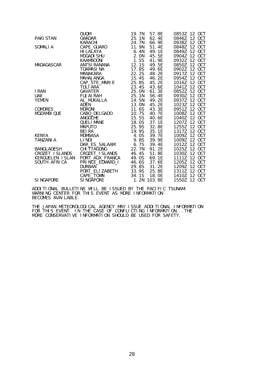|                  | <b>DUQM</b>        | 19. 7N | 57.8E       | 0853Z 12 OCT    |
|------------------|--------------------|--------|-------------|-----------------|
| <b>PAKI STAN</b> | GWADAR             | 25.1N  | 62.4E       | 0846Z 12 OCT    |
|                  | KARACHI            | 24. 7N | 66. 9E      | 0938Z 12 OCT    |
| SOMALI A         | CAPE_GUARO         | 11.9N  | 51.4E       | 0848Z 12 OCT    |
|                  | HI LALAYA          | 6.4N   | 49.1E       | 0849Z 12 OCT    |
|                  | <b>MOGADI SHU</b>  | 2. ON  | 45.5E       | 0904Z 12 OCT    |
|                  | <b>KAAMBOONI</b>   | 1.5S   | 41.9E       | 12 OCT<br>0932Z |
| MADAGASCAR       | ANTSI RANANA       | 12.1S  | 49.5E       | 0850Z 12 OCT    |
|                  | TOAMASI NA         | 17.8S  | 49.6E       | 0902Z 12 OCT    |
|                  | MANAKARA           | 22.2S  | 48.2E       | 0917Z 12 OCT    |
|                  | MAHAJANGA          | 15.4S  | 46.2E       | 0954Z 12 OCT    |
|                  | CAP_STE_MARIE      | 25.8S  | 45.2E       | 12 OCT<br>1016Z |
|                  | TOLI ARA           | 23.4S  | 43.6E       | 12 OCT<br>1041Z |
| I RAN            | GAVATER            | 25. ON | 61. 3E      | 0852Z 12 OCT    |
| <b>UAE</b>       | <b>FUJAI RAH</b>   | 25.1N  | 56.4E       | 0930Z 12 OCT    |
| YEMEN            | AL MUKALLA         | 14.5N  | 49.2E       | 0937Z 12 OCT    |
|                  | <b>ADEN</b>        | 13. ON | 45.2E       | 1023Z 12 OCT    |
| <b>COMORES</b>   | <b>MORONI</b>      | 11.6S  | 43.3E       | 12 OCT<br>0951Z |
| MOZAMBI QUE      | CABO_DELGADO       | 10.7S  | 40. 7E      | 1008Z 12 OCT    |
|                  | <b>ANGOCHE</b>     | 15.5S  | 40.6E       | 1040Z 12 OCT    |
|                  | <b>QUELI MANE</b>  | 18.0S  | 37.1E       | 1207Z 12 OCT    |
|                  | <b>MAPUTO</b>      | 25.9S  | 32.8E       | 1255Z 12 OCT    |
|                  | <b>BEIRA</b>       | 19.9S  | 35.1E       | 12 OCT<br>1317Z |
| <b>KENYA</b>     | <b>MOMBASA</b>     | 4.0S   | 39.7E       | 1009Z<br>12 OCT |
| <b>TANZANI A</b> | LI NDI             | 9.8S   | 39.9E       | 1009Z 12 OCT    |
|                  | DAR_ES_SALAAM      | 6. 7S  | 39.4E       | 1012Z 12 OCT    |
| BANGLADESH       | <b>CHI TTAGONG</b> | 22.7N  | 91.2E       | 1025Z 12 OCT    |
| CROZET ISLANDS   | CROZET_I SLANDS    | 46.4S  | 51.8E       | 12 OCT<br>1030Z |
| KERGUELEN I SLAN | PORT_AUX_FRANCA    | 49.0S  | 69.1E       | 12 OCT<br>1111Z |
| SOUTH AFRICA     | PRINCE_EDWARD_I    | 46.6S  | 37.6E       | 12 OCT<br>1205Z |
|                  | <b>DURBAN</b>      | 29.8S  | 31.2E       | 1209Z 12 OCT    |
|                  | PORT_ELI ZABETH    | 33.9S  | 25.8E       | 1311Z 12 OCT    |
|                  | CAPE_TOWN          | 34.1S  | 18.0E       | 1410Z 12 OCT    |
| <b>SINGAPORE</b> | <b>SINGAPORE</b>   |        | 1.2N 103.8E | 1550Z 12 OCT    |

ADDITIONAL BULLETINS WILL BE ISSUED BY THE PACIFIC TSUNAMI WARNING CENTER FOR THIS EVENT AS MORE INFORMATION BECOMES AVAILABLE.

THE JAPAN METEOROLOGICAL AGENCY MAY ISSUE ADDITIONAL INFORMATION FOR THIS EVENT. IN THE CASE OF CONFLICTING INFORMATION...THE MORE CONSERVATIVE INFORMATION SHOULD BE USED FOR SAFETY.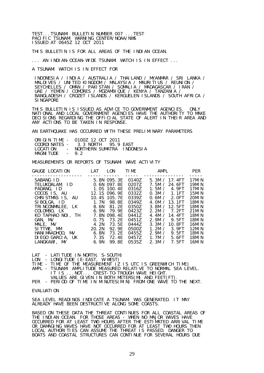TEST...TSUNAMI BULLETIN NUMBER 007 ...TEST PACIFIC TSUNAMI WARNING CENTER/NOAA/NWS ISSUED AT 0645Z 12 OCT 2011

THIS BULLETIN IS FOR ALL AREAS OF THE INDIAN OCEAN.

... AN INDIAN-OCEAN-WIDE TSUNAMI WATCH IS IN EFFECT ...

A TSUNAMI WATCH IS IN EFFECT FOR

 INDONESIA / INDIA / AUSTRALIA / THAILAND / MYANMAR / SRI LANKA / MALDIVES / UNITED KINGDOM / MALAYSIA / MAURITIUS / REUNION / SEYCHELLES / OMAN / PAKISTAN / SOMALIA / MADAGASCAR / IRAN / UAE / YEMEN / COMORES / MOZAMBIQUE / KENYA / TANZANIA / BANGLADESH / CROZET ISLANDS / KERGUELEN ISLANDS / SOUTH AFRICA / **SINGAPORE** 

THIS BULLETIN IS ISSUED AS ADVICE TO GOVERNMENT AGENCIES. ONLY NATIONAL AND LOCAL GOVERNMENT AGENCIES HAVE THE AUTHORITY TO MAKE DECISIONS REGARDING THE OFFICIAL STATE OF ALERT IN THEIR AREA AND ANY ACTIONS TO BE TAKEN IN RESPONSE.

AN EARTHQUAKE HAS OCCURRED WITH THESE PRELIMINARY PARAMETERS

|            | ORIGIN TIME - 0100Z 12 OCT 2011   |  |
|------------|-----------------------------------|--|
|            | COORDINATES - 3.3 NORTH 95.9 EAST |  |
| LOCATI ON  | - NORTHERN SUMATRA INDONESIA      |  |
| MAGNI TUDE | $-92$                             |  |

MEASUREMENTS OR REPORTS OF TSUNAMI WAVE ACTIVITY

| GAUGE LOCATION                                                                                                                                                                                                                   | <b>LAT</b>                                       | LON                                                                                                                                                                            | <b>TIME</b>                                                                                                                | AMPL                                                                                                                                                                                                                                       | <b>PER</b>                                                                                                                            |
|----------------------------------------------------------------------------------------------------------------------------------------------------------------------------------------------------------------------------------|--------------------------------------------------|--------------------------------------------------------------------------------------------------------------------------------------------------------------------------------|----------------------------------------------------------------------------------------------------------------------------|--------------------------------------------------------------------------------------------------------------------------------------------------------------------------------------------------------------------------------------------|---------------------------------------------------------------------------------------------------------------------------------------|
| SABANG ID<br>TELUKDALAM, ID<br>PADANG, ID<br>COCOS IS, AU<br>CHRISTMAS IS, AU<br>SIBOLGA. ID<br>TRINCONMALEE, LK<br>COLOMBO, LK<br>KO TAPHAO NOL. TH<br>GAN, MV<br>MALE, MV<br>SITTWE, MM<br>HANIMAADHOO.MV<br>DI EGO GARCIA, UK | 6.9N<br>0.7S<br>4. 2N<br>20.2N<br>6. 8N<br>7. 3S | 5.8N 095.3E<br>0.6N 097.8E<br>1.0S 100.4E<br>12.1S 096.9E<br>10.4S 105.7E<br>1.7N 98.8E<br>8.6N 81.2E<br>79. 9E<br>7.8N 098.4E<br>73. 2E<br>73.5F<br>92.9F<br>73. 2E<br>72. 4E | 0140Z<br>0207Z<br>0316Z<br>0332Z<br>0339Z<br>0349Z<br>0350Z<br>0423Z<br>04417<br>0451Z<br>0444Z<br>0500Z<br>0455Z<br>0457Z | 5.3M / 17.4FT<br>7.5M / 24.6FT<br>1.5M / 4.9FT<br>0.3M / 1.1FT<br>0.6M / 2.0FT<br>4.0M $/$ 13.1FT<br>3.8M / 12.5FT<br>2.2M / 7.2FT<br>4.4M / 14.4FT<br>2.9M / 9.5FT<br>3.3M / 10.8FT<br>1.2M / 3.9FT<br>2.9M / 9.5FT<br>5.6FT<br>1.7 $M /$ | 17MI N<br>19MI N<br>17MI N<br>15MIN<br>20MIN<br>18MI N<br>18MI N<br>21MIN<br>18MI N<br>18MI N<br>16MI N<br>12MI N<br>18MI N<br>18MI N |
| LANGKAWI, MY                                                                                                                                                                                                                     | 6.9N                                             | 99.8E                                                                                                                                                                          | 0535Z                                                                                                                      | 2.3M /<br>7.5FT                                                                                                                                                                                                                            | 16MI N                                                                                                                                |

LAT - LATITUDE (N-NORTH, S-SOUTH)

LON - LONGITUDE (E-EAST, W-WEST)

TIME - TIME OF THE MEASUREMENT (Z IS UTC IS GREENWICH TIME)

- AMPL TSUNAMI AMPLITUDE MEASURED RELATIVE TO NORMAL SEA LEVEL. IT IS ...NOT... CREST-TO-TROUGH WAVE HEIGHT.
- VALUES ARE GIVEN IN BOTH METERS(M) AND FEET(FT).

PER - PERIOD OF TIME IN MINUTES(MIN) FROM ONE WAVE TO THE NEXT.

#### EVALUATION

SEA LEVEL READINGS INDICATE A TSUNAMI WAS GENERATED. IT MAY ALREADY HAVE BEEN DESTRUCTIVE ALONG SOME COASTS.

BASED ON THESE DATA THE THREAT CONTINUES FOR ALL COASTAL AREAS OF THE INDIAN OCEAN. FOR THOSE AREAS - WHEN NO MAJOR WAVES HAVE OCCURRED FOR AT LEAST TWO HOURS AFTER THE ESTIMATED ARRIVAL TIME OR DAMAGING WAVES HAVE NOT OCCURRED FOR AT LEAST TWO HOURS THEN LOCAL AUTHORITIES CAN ASSUME THE THREAT IS PASSED. DANGER TO BOATS AND COASTAL STRUCTURES CAN CONTINUE FOR SEVERAL HOURS DUE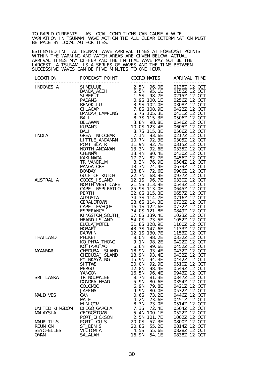TO RAPID CURRENTS. AS LOCAL CONDITIONS CAN CAUSE A WIDE VARIATION IN TSUNAMI WAVE ACTION THE ALL CLEAR DETERMINATION MUST BE MADE BY LOCAL AUTHORITIES.

ESTIMATED INITIAL TSUNAMI WAVE ARRIVAL TIMES AT FORECAST POINTS WITHIN THE WARNING AND WATCH AREAS ARE GIVEN BELOW. ACTUAL ARRIVAL TIMES MAY DIFFER AND THE INITIAL WAVE MAY NOT BE THE LARGEST. A TSUNAMI IS A SERIES OF WAVES AND THE TIME BETWEEN SUCCESSIVE WAVES CAN BE FIVE MINUTES TO ONE HOUR.

| LOCATI ON         | FORECAST POINT<br>$MUSTRAL1A \begin{tabular}{c  c  c  c c} \hline \textbf{LUCONES1A} & \textbf{FRIRUAL} & \textbf{COREDAT} & \textbf{COREDAT} & \textbf{COREDAT} & \textbf{COREDAT} \\ \hline \textbf{LUCONES1A} & \textbf{SINMCAL} & \textbf{S.581, 96.5} & \textbf{S.581, 006.5} & \textbf{S.581, 006.5} & \textbf{S.581, 006.5} & \textbf{S.581, 006.5} \\ \hline \textbf{SINBCALI} & \textbf{S$ | COORDI NATES           | ARRIVAL TIME             |
|-------------------|-----------------------------------------------------------------------------------------------------------------------------------------------------------------------------------------------------------------------------------------------------------------------------------------------------------------------------------------------------------------------------------------------------|------------------------|--------------------------|
|                   | --------------------------------                                                                                                                                                                                                                                                                                                                                                                    | ____________           | ------------             |
|                   |                                                                                                                                                                                                                                                                                                                                                                                                     |                        |                          |
|                   |                                                                                                                                                                                                                                                                                                                                                                                                     |                        |                          |
|                   |                                                                                                                                                                                                                                                                                                                                                                                                     |                        |                          |
|                   |                                                                                                                                                                                                                                                                                                                                                                                                     |                        |                          |
|                   |                                                                                                                                                                                                                                                                                                                                                                                                     |                        |                          |
|                   |                                                                                                                                                                                                                                                                                                                                                                                                     |                        |                          |
|                   |                                                                                                                                                                                                                                                                                                                                                                                                     |                        |                          |
|                   |                                                                                                                                                                                                                                                                                                                                                                                                     |                        |                          |
|                   |                                                                                                                                                                                                                                                                                                                                                                                                     |                        |                          |
|                   |                                                                                                                                                                                                                                                                                                                                                                                                     |                        |                          |
|                   |                                                                                                                                                                                                                                                                                                                                                                                                     |                        |                          |
|                   |                                                                                                                                                                                                                                                                                                                                                                                                     |                        |                          |
|                   |                                                                                                                                                                                                                                                                                                                                                                                                     |                        |                          |
|                   |                                                                                                                                                                                                                                                                                                                                                                                                     |                        |                          |
|                   |                                                                                                                                                                                                                                                                                                                                                                                                     |                        |                          |
|                   |                                                                                                                                                                                                                                                                                                                                                                                                     |                        |                          |
|                   |                                                                                                                                                                                                                                                                                                                                                                                                     |                        |                          |
|                   |                                                                                                                                                                                                                                                                                                                                                                                                     |                        |                          |
|                   |                                                                                                                                                                                                                                                                                                                                                                                                     |                        |                          |
|                   |                                                                                                                                                                                                                                                                                                                                                                                                     |                        |                          |
|                   |                                                                                                                                                                                                                                                                                                                                                                                                     |                        |                          |
|                   |                                                                                                                                                                                                                                                                                                                                                                                                     |                        |                          |
|                   |                                                                                                                                                                                                                                                                                                                                                                                                     |                        |                          |
|                   |                                                                                                                                                                                                                                                                                                                                                                                                     |                        |                          |
|                   |                                                                                                                                                                                                                                                                                                                                                                                                     |                        |                          |
|                   |                                                                                                                                                                                                                                                                                                                                                                                                     |                        |                          |
|                   |                                                                                                                                                                                                                                                                                                                                                                                                     |                        |                          |
|                   |                                                                                                                                                                                                                                                                                                                                                                                                     |                        |                          |
|                   |                                                                                                                                                                                                                                                                                                                                                                                                     |                        |                          |
|                   |                                                                                                                                                                                                                                                                                                                                                                                                     |                        |                          |
|                   |                                                                                                                                                                                                                                                                                                                                                                                                     |                        |                          |
|                   |                                                                                                                                                                                                                                                                                                                                                                                                     |                        |                          |
|                   |                                                                                                                                                                                                                                                                                                                                                                                                     |                        |                          |
|                   |                                                                                                                                                                                                                                                                                                                                                                                                     |                        |                          |
|                   |                                                                                                                                                                                                                                                                                                                                                                                                     |                        |                          |
|                   |                                                                                                                                                                                                                                                                                                                                                                                                     |                        |                          |
|                   |                                                                                                                                                                                                                                                                                                                                                                                                     |                        |                          |
|                   |                                                                                                                                                                                                                                                                                                                                                                                                     |                        |                          |
|                   |                                                                                                                                                                                                                                                                                                                                                                                                     |                        |                          |
|                   |                                                                                                                                                                                                                                                                                                                                                                                                     |                        |                          |
|                   |                                                                                                                                                                                                                                                                                                                                                                                                     |                        |                          |
| SRI LANKA         | TRI NCOMALEE                                                                                                                                                                                                                                                                                                                                                                                        | 81.3E<br>8.7N          | 0347Z 12 OCT             |
|                   |                                                                                                                                                                                                                                                                                                                                                                                                     | 5.9N                   | 12 OCT                   |
|                   | DONDRA_HEAD<br><b>COLOMBO</b>                                                                                                                                                                                                                                                                                                                                                                       | 80.6E<br>6.9N<br>79.8E | 0354Z<br>12 OCT<br>0421Z |
|                   | <b>JAFFNA</b>                                                                                                                                                                                                                                                                                                                                                                                       | 9.9N<br>80. OE         | 12 OCT<br>0532Z          |
| <b>MALDIVES</b>   | GAN                                                                                                                                                                                                                                                                                                                                                                                                 | 0.6S<br>73.2E          | 12 OCT<br>0446Z          |
|                   | <b>MALE</b>                                                                                                                                                                                                                                                                                                                                                                                         | 4.2N<br>73.6E          | 12 OCT<br>0451Z          |
|                   | <b>MINICOV</b>                                                                                                                                                                                                                                                                                                                                                                                      | 8.3N<br>73. OE         | 12 OCT<br>0514Z          |
| UNITED KINGDOM    | DI EGO_GARCIA                                                                                                                                                                                                                                                                                                                                                                                       | 7.3S<br>72.4E          | 12 OCT<br>0504Z          |
| <b>MALAYSIA</b>   | <b>GEORGETOWN</b>                                                                                                                                                                                                                                                                                                                                                                                   | 5.4N<br>100.1E         | 12 OCT<br>0522Z          |
|                   | PORT_DI CKSON                                                                                                                                                                                                                                                                                                                                                                                       | 2.5N<br>101.7E         | 12 OCT<br>1002Z          |
| <b>MAURITIUS</b>  | PORT_LOUIS                                                                                                                                                                                                                                                                                                                                                                                          | 57.3E<br>20.0S         | 12 OCT<br>0800Z          |
| <b>REUNION</b>    | ST_DENIS                                                                                                                                                                                                                                                                                                                                                                                            | 20.8S<br>55.2E         | 12 OCT<br>0814Z          |
| <b>SEYCHELLES</b> | VI CTORI A                                                                                                                                                                                                                                                                                                                                                                                          | 4.5S<br>55.6E          | 0828Z<br>12 OCT          |
| <b>OMAN</b>       | <b>SALALAH</b>                                                                                                                                                                                                                                                                                                                                                                                      | 16. 9N<br>54.1E        | 0838Z<br>12 OCT          |
|                   |                                                                                                                                                                                                                                                                                                                                                                                                     |                        |                          |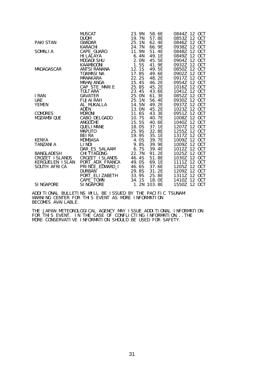|                  | <b>MUSCAT</b>      | 23.9N  | 58.6E       | 0844Z 12 OCT    |
|------------------|--------------------|--------|-------------|-----------------|
|                  | <b>DUQM</b>        | 19.7N  | 57.8E       | 0853Z 12 OCT    |
| PAKI STAN        | GWADAR             | 25.1N  | 62.4E       | 0846Z 12 OCT    |
|                  | <b>KARACHI</b>     | 24.7N  | 66. 9E      | 0938Z 12 OCT    |
| SOMALI A         | CAPE GUARO         | 11.9N  | 51.4E       | 0848Z 12 OCT    |
|                  | HI LALAYA          | 6.4N   | 49.1E       | 0849Z 12 OCT    |
|                  | MOGADI SHU         | 2. ON  | 45. 5E      | 0904Z 12 OCT    |
|                  | KAAMBOONI          | 1.5S   | 41. 9E      | 0932Z 12 OCT    |
| MADAGASCAR       | ANTSI RANANA       | 12.1S  | 49.5E       | 0850Z 12 OCT    |
|                  | <b>TOAMASINA</b>   | 17.8S  | 49.6E       | 0902Z 12 OCT    |
|                  | MANAKARA           | 22.2S  | 48.2E       | 0917Z 12 OCT    |
|                  | MAHAJANGA          | 15.4S  | 46.2E       | 12 OCT<br>0954Z |
|                  | CAP_STE_MARIE      | 25.8S  | 45.2E       | 1016Z 12 OCT    |
|                  | TOLI ARA           | 23.4S  | 43.6E       | 1041Z 12 OCT    |
| I RAN            | GAVATER            | 25.0N  | 61.3E       | 0852Z 12 OCT    |
| <b>UAE</b>       | <b>FUJAI RAH</b>   | 25.1N  | 56.4E       | 0930Z 12 OCT    |
| <b>YEMEN</b>     | AL_MUKALLA         | 14.5N  | 49.2E       | 0937Z 12 OCT    |
|                  | <b>ADEN</b>        | 13.0N  | 45.2E       | 1023Z 12 OCT    |
| <b>COMORES</b>   | <b>MORONI</b>      | 11.6S  | 43.3E       | 0951Z 12 OCT    |
| MOZAMBI QUE      | CABO_DELGADO       | 10.7S  | 40.7E       | 1008Z 12 OCT    |
|                  | <b>ANGOCHE</b>     | 15.5S  | 40.6E       | 1040Z 12 OCT    |
|                  | QUELI MANE         | 18. OS | 37.1E       | 1207Z 12 OCT    |
|                  | <b>MAPUTO</b>      | 25.9S  | 32.8E       | 1255Z 12 OCT    |
|                  | BEI RA             | 19.9S  | 35.1E       | 1317Z 12 OCT    |
| KENYA            | <b>MOMBASA</b>     | 4. OS  | 39.7E       | 1009Z 12 OCT    |
| TANZANI A        | LI NDI             | 9.8S   | 39.9E       | 1009Z 12 OCT    |
|                  | DAR_ES_SALAAM 6.7S |        | 39.4E       | 1012Z 12 OCT    |
| BANGLADESH       | CHI TTAGONG        | 22.7N  | 91.2E       | 1025Z 12 OCT    |
| CROZET ISLANDS   | CROZET_I SLANDS    | 46.4S  | 51.8E       | 1030Z 12 OCT    |
| KERGUELEN ISLAN  | PORT AUX FRANCA    | 49.0S  | 69.1E       | 1111Z 12 OCT    |
| SOUTH AFRICA     | PRI NCE_EDWARD_I   | 46.6S  | 37.6E       | 1205Z 12 OCT    |
|                  | <b>DURBAN</b>      | 29.8S  | 31.2E       | 1209Z 12 OCT    |
|                  | PORT_ELI ZABETH    | 33.9S  | 25.8E       | 1311Z 12 OCT    |
|                  | CAPE_TOWN          |        | 34.1S 18.0E | 1410Z 12 OCT    |
| <b>SINGAPORE</b> | SI NGAPORE         |        | 1.2N 103.8E | 1550Z 12 OCT    |
|                  |                    |        |             |                 |

ADDITIONAL BULLETINS WILL BE ISSUED BY THE PACIFIC TSUNAMI WARNING CENTER FOR THIS EVENT AS MORE INFORMATION BECOMES AVAILABLE.

THE JAPAN METEOROLOGICAL AGENCY MAY ISSUE ADDITIONAL INFORMATION FOR THIS EVENT. IN THE CASE OF CONFLICTING INFORMATION...THE MORE CONSERVATIVE INFORMATION SHOULD BE USED FOR SAFETY.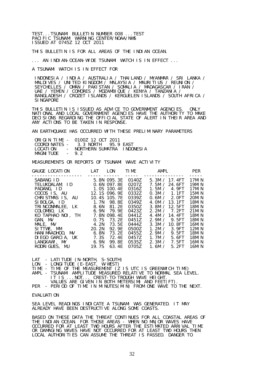TEST...TSUNAMI BULLETIN NUMBER 008 ...TEST PACIFIC TSUNAMI WARNING CENTER/NOAA/NWS ISSUED AT 0745Z 12 OCT 2011

THIS BULLETIN IS FOR ALL AREAS OF THE INDIAN OCEAN.

... AN INDIAN-OCEAN-WIDE TSUNAMI WATCH IS IN EFFECT ...

A TSUNAMI WATCH IS IN EFFECT FOR

 INDONESIA / INDIA / AUSTRALIA / THAILAND / MYANMAR / SRI LANKA / MALDIVES / UNITED KINGDOM / MALAYSIA / MAURITIUS / REUNION / SEYCHELLES / OMAN / PAKISTAN / SOMALIA / MADAGASCAR / IRAN / UAE / YEMEN / COMORES / MOZAMBIQUE / KENYA / TANZANIA / BANGLADESH / CROZET ISLANDS / KERGUELEN ISLANDS / SOUTH AFRICA / **SINGAPORE** 

THIS BULLETIN IS ISSUED AS ADVICE TO GOVERNMENT AGENCIES. ONLY NATIONAL AND LOCAL GOVERNMENT AGENCIES HAVE THE AUTHORITY TO MAKE DECISIONS REGARDING THE OFFICIAL STATE OF ALERT IN THEIR AREA AND ANY ACTIONS TO BE TAKEN IN RESPONSE.

AN EARTHQUAKE HAS OCCURRED WITH THESE PRELIMINARY PARAMETERS

|            | ORIGIN TIME - 0100Z 12 OCT 2011    |  |
|------------|------------------------------------|--|
|            | $COMDIMATFS - 3.3 MORTH 95.9 FAST$ |  |
| LOCATI ON  | - NORTHERN SUMATRA INDONESIA       |  |
| MAGNI TUDE | $-92$                              |  |

MEASUREMENTS OR REPORTS OF TSUNAMI WAVE ACTIVITY

| GAUGE LOCATION                                                                                                                                                                                                                                    | LAT                                                              | LON                                                                                                                                                                               | TIME <sub>2</sub>                                                                                                                             | AMPL                                                                                                                                                                                                                                                                     | <b>PER</b>                                                                                                                                            |
|---------------------------------------------------------------------------------------------------------------------------------------------------------------------------------------------------------------------------------------------------|------------------------------------------------------------------|-----------------------------------------------------------------------------------------------------------------------------------------------------------------------------------|-----------------------------------------------------------------------------------------------------------------------------------------------|--------------------------------------------------------------------------------------------------------------------------------------------------------------------------------------------------------------------------------------------------------------------------|-------------------------------------------------------------------------------------------------------------------------------------------------------|
| SABANG ID<br>TELUKDALAM, ID<br>PADANG, ID<br>COCOS IS, AU<br>CHRISTMAS IS, AU<br>SIBOLGA. ID<br>TRINCONMALEE, LK<br>COLOMBO, LK<br>KO TAPHAO NOL. TH<br>GAN, MV<br>MALE, MV<br>SITTWE, MM<br>HANI MAADHOO, MV<br>DIEGO GARCIA, UK<br>LANGKAWI, MY | 6.9N<br>7. 8N<br>0.7S<br>4.2N<br>20. 2N<br>6.8N<br>7. 3S<br>6.9N | 5.8N 095.3E<br>0.6N 097.8E<br>1.0S 100.4E<br>12.1S 096.9E<br>10.4S 105.7E<br>1.7N 98.8E<br>8.6N 81.2E<br>79.9F<br>098.4E<br>73. 2E<br>73.5E<br>92.9E<br>73. 2E<br>72.4E<br>99. 8E | ------<br>0140Z<br>0207Z<br>0316Z<br>0332Z<br>0339Z<br>03497<br>0350Z<br>0423Z<br>0441Z<br>0451Z<br>0444Z<br>0500Z<br>0455Z<br>0457Z<br>0535Z | 5.3M / 17.4FT<br>7.5M / 24.6FT<br>1.5M / 4.9FT<br>0.3M / 1.1FT<br>0.6M / 2.0FT<br>4.0M $/$ 13.1FT<br>3.8M / 12.5FT<br>2.2M / 7.2FT<br>4.4M / 14.4FT<br>2.9M / 9.5FT<br>3.3M / 10.8FT<br>1.2M / 3.9FT<br>9.5FT<br>2.9M $\prime$<br>1.7 $M /$<br>5.6FT<br>2.3M /<br>7. 5FT | 17MI N<br>19MI N<br><b>17MIN</b><br>15MIN<br>20MIN<br>18MI N<br>18MI N<br>21MIN<br>18MI N<br>18MI N<br>16MI N<br>12MI N<br>18MI N<br>18MI N<br>16MI N |
| RODRIGUES, MU                                                                                                                                                                                                                                     | 19.7S                                                            | 63.4E                                                                                                                                                                             | 0705Z                                                                                                                                         | 1.6M $\prime$<br>5.2FT                                                                                                                                                                                                                                                   | 16MI N                                                                                                                                                |

LAT - LATITUDE (N-NORTH, S-SOUTH)

LON - LONGITUDE (E-EAST, W-WEST)

TIME - TIME OF THE MEASUREMENT (Z IS UTC IS GREENWICH TIME)

- AMPL TSUNAMI AMPLITUDE MEASURED RELATIVE TO NORMAL SEA LEVEL. IT IS ...NOT... CREST-TO-TROUGH WAVE HEIGHT.
- VALUES ARE GIVEN IN BOTH METERS(M) AND FEET(FT).

PER - PERIOD OF TIME IN MINUTES(MIN) FROM ONE WAVE TO THE NEXT.

EVALUATION

SEA LEVEL READINGS INDICATE A TSUNAMI WAS GENERATED. IT MAY ALREADY HAVE BEEN DESTRUCTIVE ALONG SOME COASTS.

BASED ON THESE DATA THE THREAT CONTINUES FOR ALL COASTAL AREAS OF THE INDIAN OCEAN. FOR THOSE AREAS - WHEN NO MAJOR WAVES HAVE OCCURRED FOR AT LEAST TWO HOURS AFTER THE ESTIMATED ARRIVAL TIME OR DAMAGING WAVES HAVE NOT OCCURRED FOR AT LEAST TWO HOURS THEN LOCAL AUTHORITIES CAN ASSUME THE THREAT IS PASSED. DANGER TO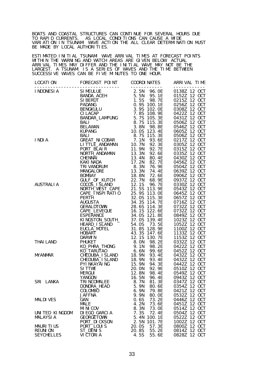BOATS AND COASTAL STRUCTURES CAN CONTINUE FOR SEVERAL HOURS DUE TO RAPID CURRENTS. AS LOCAL CONDITIONS CAN CAUSE A WIDE VARIATION IN TSUNAMI WAVE ACTION THE ALL CLEAR DETERMINATION MUST BE MADE BY LOCAL AUTHORITIES.

ESTIMATED INITIAL TSUNAMI WAVE ARRIVAL TIMES AT FORECAST POINTS WITHIN THE WARNING AND WATCH AREAS ARE GIVEN BELOW. ACTUAL ARRIVAL TIMES MAY DIFFER AND THE INITIAL WAVE MAY NOT BE THE LARGEST. A TSUNAMI IS A SERIES OF WAVES AND THE TIME BETWEEN SUCCESSIVE WAVES CAN BE FIVE MINUTES TO ONE HOUR.

|                   | $\begin{tabular}{l c c c c c} \hline \textbf{LUCOM} & \textbf{FOREDATES} & \textbf{FOMEN} & \textbf{COS-1} & \textbf{COS-1} & \textbf{COS-1} & \textbf{COS-1} & \textbf{COS-1} & \textbf{COS-1} & \textbf{COS-1} & \textbf{COS-1} & \textbf{COS-1} & \textbf{COS-1} & \textbf{COS-1} & \textbf{COS-1} & \textbf{COS-1} & \textbf{COS-1} & \textbf{COS-1} & \textbf{COS-1} & \textbf{COS-1} &$ |                                 |                                    |
|-------------------|-----------------------------------------------------------------------------------------------------------------------------------------------------------------------------------------------------------------------------------------------------------------------------------------------------------------------------------------------------------------------------------------------|---------------------------------|------------------------------------|
|                   |                                                                                                                                                                                                                                                                                                                                                                                               |                                 |                                    |
|                   |                                                                                                                                                                                                                                                                                                                                                                                               |                                 |                                    |
|                   |                                                                                                                                                                                                                                                                                                                                                                                               |                                 |                                    |
|                   |                                                                                                                                                                                                                                                                                                                                                                                               |                                 |                                    |
|                   |                                                                                                                                                                                                                                                                                                                                                                                               |                                 |                                    |
|                   |                                                                                                                                                                                                                                                                                                                                                                                               |                                 |                                    |
|                   |                                                                                                                                                                                                                                                                                                                                                                                               |                                 |                                    |
|                   |                                                                                                                                                                                                                                                                                                                                                                                               |                                 |                                    |
|                   |                                                                                                                                                                                                                                                                                                                                                                                               |                                 |                                    |
|                   |                                                                                                                                                                                                                                                                                                                                                                                               |                                 |                                    |
|                   |                                                                                                                                                                                                                                                                                                                                                                                               |                                 |                                    |
|                   |                                                                                                                                                                                                                                                                                                                                                                                               |                                 |                                    |
|                   |                                                                                                                                                                                                                                                                                                                                                                                               |                                 |                                    |
|                   |                                                                                                                                                                                                                                                                                                                                                                                               |                                 |                                    |
|                   |                                                                                                                                                                                                                                                                                                                                                                                               |                                 |                                    |
|                   |                                                                                                                                                                                                                                                                                                                                                                                               |                                 |                                    |
|                   |                                                                                                                                                                                                                                                                                                                                                                                               |                                 |                                    |
|                   |                                                                                                                                                                                                                                                                                                                                                                                               |                                 |                                    |
|                   |                                                                                                                                                                                                                                                                                                                                                                                               |                                 |                                    |
|                   |                                                                                                                                                                                                                                                                                                                                                                                               |                                 |                                    |
|                   |                                                                                                                                                                                                                                                                                                                                                                                               |                                 |                                    |
|                   |                                                                                                                                                                                                                                                                                                                                                                                               |                                 |                                    |
|                   |                                                                                                                                                                                                                                                                                                                                                                                               |                                 |                                    |
|                   |                                                                                                                                                                                                                                                                                                                                                                                               |                                 |                                    |
|                   |                                                                                                                                                                                                                                                                                                                                                                                               |                                 |                                    |
|                   |                                                                                                                                                                                                                                                                                                                                                                                               |                                 |                                    |
|                   |                                                                                                                                                                                                                                                                                                                                                                                               |                                 |                                    |
|                   |                                                                                                                                                                                                                                                                                                                                                                                               |                                 |                                    |
|                   |                                                                                                                                                                                                                                                                                                                                                                                               |                                 |                                    |
|                   |                                                                                                                                                                                                                                                                                                                                                                                               |                                 |                                    |
|                   |                                                                                                                                                                                                                                                                                                                                                                                               |                                 |                                    |
|                   |                                                                                                                                                                                                                                                                                                                                                                                               |                                 |                                    |
|                   |                                                                                                                                                                                                                                                                                                                                                                                               |                                 |                                    |
|                   |                                                                                                                                                                                                                                                                                                                                                                                               |                                 |                                    |
|                   |                                                                                                                                                                                                                                                                                                                                                                                               |                                 |                                    |
|                   |                                                                                                                                                                                                                                                                                                                                                                                               |                                 |                                    |
|                   |                                                                                                                                                                                                                                                                                                                                                                                               |                                 |                                    |
|                   |                                                                                                                                                                                                                                                                                                                                                                                               |                                 |                                    |
|                   |                                                                                                                                                                                                                                                                                                                                                                                               |                                 |                                    |
|                   |                                                                                                                                                                                                                                                                                                                                                                                               |                                 |                                    |
| <b>MALDIVES</b>   | <b>JAFFNA</b><br>GAN                                                                                                                                                                                                                                                                                                                                                                          | 9.9N<br>80. OE<br>0.6S<br>73.2E | 12 OCT<br>0532Z<br>12 OCT<br>0446Z |
|                   | MALE                                                                                                                                                                                                                                                                                                                                                                                          | 4.2N<br>73.6E                   | 12 OCT<br>0451Z                    |
|                   | <b>MINICOV</b>                                                                                                                                                                                                                                                                                                                                                                                | 8.3N<br>73. OE                  | 12 OCT<br>0514Z                    |
| UNITED KINGDOM    | DI EGO GARCIA                                                                                                                                                                                                                                                                                                                                                                                 | 7.3S<br>72.4E                   | 12 OCT<br>0504Z                    |
| <b>MALAYSIA</b>   | GEORGETOWN                                                                                                                                                                                                                                                                                                                                                                                    | 5.4N<br>100.1E                  | 0522Z 12 OCT                       |
|                   | PORT_DI CKSON                                                                                                                                                                                                                                                                                                                                                                                 | 101.7E<br>2.5N                  | 12 OCT<br>1002Z                    |
| <b>MAURITIUS</b>  | PORT_LOUIS                                                                                                                                                                                                                                                                                                                                                                                    | 20.0S<br>57.3E                  | 12 OCT<br>0800Z                    |
| <b>REUNION</b>    | ST_DENIS                                                                                                                                                                                                                                                                                                                                                                                      | 20.8S<br>55.2E                  | 12 OCT<br>0814Z                    |
| <b>SEYCHELLES</b> | VI CTORI A                                                                                                                                                                                                                                                                                                                                                                                    | 4.5S<br>55.6E                   | 0828Z 12 OCT                       |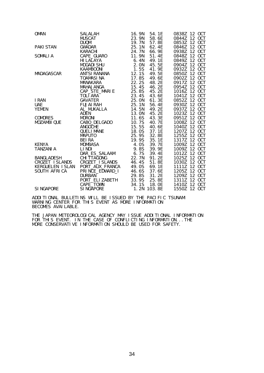| <b>OMAN</b>                     | <b>SALALAH</b><br><b>MUSCAT</b>    | 16.9N<br>23.9N | 54.1E<br>58.6E | 0838Z 12 OCT<br>0844Z 12 OCT |
|---------------------------------|------------------------------------|----------------|----------------|------------------------------|
|                                 | <b>DUQM</b>                        | 19.7N          | 57.8E          | 0853Z 12 OCT                 |
| <b>PAKI STAN</b>                | <b>GWADAR</b>                      | 25.1N          | 62.4E          | 0846Z 12 OCT                 |
|                                 | KARACHI                            | 24.7N          | 66. 9E         | 0938Z 12 OCT                 |
| SOMALI A                        | CAPE_GUARO                         | 11.9N          | 51.4E          | 0848Z 12 OCT                 |
|                                 | HI LALAYA                          | 6. 4N          | 49.1E          | 0849Z 12 OCT                 |
|                                 | <b>MOGADI SHU</b>                  | 2. ON<br>1. 5S | 45.5E          | 0904Z 12 OCT                 |
|                                 | <b>KAAMBOONI</b>                   |                | 41.9E          | 0932Z 12 OCT                 |
| MADAGASCAR                      | ANTSI RANANA                       | 12.1S          | 49.5E          | 0850Z 12 OCT                 |
|                                 | <b>TOAMASINA</b>                   | 17.8S          | 49.6E          | 0902Z 12 OCT                 |
|                                 | MANAKARA                           | 22.2S          | 48.2E          | 0917Z 12 OCT                 |
|                                 | MAHAJANGA                          | 15.4S          | 46.2E          | 12 OCT<br>0954Z              |
|                                 | CAP_STE_MARIE                      | 25.8S<br>23.4S | 45.2E<br>43.6E | 12 OCT<br>1016Z<br>12 OCT    |
| I RAN                           | TOLI ARA<br>GAVATER                | 25.0N          | 61.3E          | 1041Z<br>12 OCT<br>0852Z     |
| <b>UAE</b>                      | <b>FUJAI RAH</b>                   | 25.1N          | 56.4E          | 12 OCT<br>0930Z              |
| <b>YEMEN</b>                    | AL_MUKALLA                         | 14.5N          | 49.2E          | 12 OCT<br>0937Z              |
|                                 | <b>ADEN</b>                        | 13.0N          | 45.2E          | 1023Z 12 OCT                 |
| <b>COMORES</b>                  | <b>MORONI</b>                      | 11.6S          | 43.3E          | 0951Z 12 OCT                 |
| MOZAMBI QUE                     | CABO_DELGADO                       | 10.7S          | 40. 7E         | 1008Z 12 OCT                 |
|                                 | <b>ANGOCHE</b>                     | 15.5S          | 40.6E          | 1040Z 12 OCT                 |
|                                 | <b>OUELI MANE</b>                  | 18.0S          | 37.1E          | 1207Z 12 OCT                 |
|                                 | <b>MAPUTO</b>                      | 25.9S          | 32.8E          | 1255Z 12 OCT                 |
|                                 | <b>BEIRA</b>                       | 19.9S          | 35.1E          | 1317Z 12 OCT                 |
| KENYA                           | <b>MOMBASA</b>                     | 4. OS          | 39.7E          | 1009Z 12 OCT                 |
| <b>TANZANI A</b>                | LI NDI                             | 9.8S           | 39.9E          | 1009Z 12 OCT                 |
|                                 | DAR_ES_SALAAM                      | 6.7S           | 39.4E          | 1012Z 12 OCT                 |
| <b>BANGLADESH</b>               | <b>CHI TTAGONG</b>                 | 22.7N          | 91.2E          | 1025Z 12 OCT                 |
| CROZET I SLANDS                 | CROZET_I SLANDS<br>PORT_AUX_FRANCA | 46.4S<br>49.0S | 51.8E          | 12 OCT<br>1030Z<br>12 OCT    |
| KERGUELEN ISLAN<br>SOUTH AFRICA | PRINCE_EDWARD_I                    | 46.6S          | 69.1E<br>37.6E | 1111Z<br>12 OCT<br>1205Z     |
|                                 | <b>DURBAN</b>                      | 29.8S          | 31.2E          | 12 OCT<br>1209Z              |
|                                 | PORT_ELI ZABETH                    | 33.9S          | 25.8E          | 12 OCT<br>1311Z              |
|                                 | CAPE TOWN                          | 34.1S          | 18. OE         | 1410Z<br>12 OCT              |
| <b>SI NGAPORE</b>               | SI NGAPORE                         | 1.2N           | 103.8E         | 1550Z 12 OCT                 |

ADDITIONAL BULLETINS WILL BE ISSUED BY THE PACIFIC TSUNAMI WARNING CENTER FOR THIS EVENT AS MORE INFORMATION BECOMES AVAILABLE.

THE JAPAN METEOROLOGICAL AGENCY MAY ISSUE ADDITIONAL INFORMATION FOR THIS EVENT. IN THE CASE OF CONFLICTING INFORMATION...THE MORE CONSERVATIVE INFORMATION SHOULD BE USED FOR SAFETY.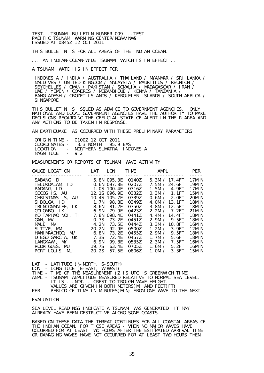TEST...TSUNAMI BULLETIN NUMBER 009 ...TEST PACIFIC TSUNAMI WARNING CENTER/NOAA/NWS ISSUED AT 0845Z 12 OCT 2011

THIS BULLETIN IS FOR ALL AREAS OF THE INDIAN OCEAN.

... AN INDIAN-OCEAN-WIDE TSUNAMI WATCH IS IN EFFECT ...

A TSUNAMI WATCH IS IN EFFECT FOR

 INDONESIA / INDIA / AUSTRALIA / THAILAND / MYANMAR / SRI LANKA / MALDIVES / UNITED KINGDOM / MALAYSIA / MAURITIUS / REUNION / SEYCHELLES / OMAN / PAKISTAN / SOMALIA / MADAGASCAR / IRAN / UAE / YEMEN / COMORES / MOZAMBIQUE / KENYA / TANZANIA / BANGLADESH / CROZET ISLANDS / KERGUELEN ISLANDS / SOUTH AFRICA / **SINGAPORE** 

THIS BULLETIN IS ISSUED AS ADVICE TO GOVERNMENT AGENCIES. ONLY NATIONAL AND LOCAL GOVERNMENT AGENCIES HAVE THE AUTHORITY TO MAKE DECISIONS REGARDING THE OFFICIAL STATE OF ALERT IN THEIR AREA AND ANY ACTIONS TO BE TAKEN IN RESPONSE.

AN EARTHQUAKE HAS OCCURRED WITH THESE PRELIMINARY PARAMETERS

|            | ORIGIN TIME - 0100Z 12 OCT 2011    |  |
|------------|------------------------------------|--|
|            | $COMDIMATFS - 3.3 MORTH 95.9 FAST$ |  |
| LOCATI ON  | - NORTHERN SUMATRA INDONESIA       |  |
| MAGNI TUDE | $-92$                              |  |

MEASUREMENTS OR REPORTS OF TSUNAMI WAVE ACTIVITY

| GAUGE LOCATION LAT                                        | <u>----- ------</u> | LON                                                       | TIME <sub>1</sub><br>$\frac{1}{2}$ | AMPL                                                           | <b>PER</b>                          |
|-----------------------------------------------------------|---------------------|-----------------------------------------------------------|------------------------------------|----------------------------------------------------------------|-------------------------------------|
| SABANG ID<br>TELUKDALAM, ID<br>PADANG, ID<br>COCOS IS. AU |                     | 5.8N 095.3E<br>0.6N 097.8E<br>1.0S 100.4E<br>12.1S 096.9E | 0140Z<br>0207Z<br>0316Z<br>0332Z   | 5.3M / 17.4FT<br>7.5M / 24.6FT<br>1.5M / 4.9FT<br>0.3M / 1.1FT | 17MI N<br>19MI N<br>17MI N<br>15MIN |
| CHRISTMAS IS, AU<br>SIBOLGA, ID                           | 1. 7N               | 10.4S 105.7E<br>98.8E                                     | 0339Z<br>0349Z                     | 0.6M / 2.0FT<br>4.0M $/$ 13.1FT                                | 20MIN<br><b>18MIN</b>               |
| TRINCONMALEE, LK                                          | 8.6N                | 81.2E                                                     | 0350Z                              | 3.8M / 12.5FT                                                  | 18MI N                              |
| COLOMBO, LK<br>KO TAPHAO NOL. TH                          | 6. 9N<br>7. 8N      | 79. 9E<br>098.4E                                          | 0423Z<br>0441Z                     | 2.2M / 7.2FT<br>4.4M / 14.4FT                                  | 21MIN<br>18MI N                     |
| GAN, MV                                                   | 0.7S                | 73. 2E                                                    | 0451Z                              | 2.9M / 9.5FT                                                   | 18MI N                              |
| MALE, MV<br>SITTWE, MM                                    | 4.2N<br>20. 2N      | 73. 5E<br>92.9F                                           | 0444Z<br>05007                     | 3.3M / 10.8FT<br>1.2M / 3.9FT                                  | 16MI N<br>12MIN                     |
| HANI MAADHOO, MV<br>DIEGO GARCIA, UK                      | 6.8N<br>7. 3S       | 73.2E<br>72. 4E                                           | 0455Z<br>0457Z                     | 2.9M /<br>9.5FT<br>1.7 $M /$<br>5.6FT                          | 18MIN<br>18MIN                      |
| LANGKAWI, MY                                              | 6. 9N               | 99. 8E                                                    | 05357                              | 2.3M /<br>7.5FT                                                | 16MI N                              |
| RODRIGUES, MU<br>PORT LOUIS, MU                           | 19.7S<br>20.2S      | 63.4E<br>57.5E                                            | 0705Z<br>0806Z                     | 1.6M $\prime$<br>5.2FT<br>1.0M /<br>3.3FT                      | 16MI N<br>15MIN                     |
|                                                           |                     |                                                           |                                    |                                                                |                                     |

LAT - LATITUDE (N-NORTH, S-SOUTH)

LON - LONGITUDE (E-EAST, W-WEST)

TIME - TIME OF THE MEASUREMENT (Z IS UTC IS GREENWICH TIME)

AMPL - TSUNAMI AMPLITUDE MEASURED RELATIVE TO NORMAL SEA LEVEL. IT IS ... NOT... CREST-TO-TROUGH WAVE HEIGHT.

VALUES ARE GIVEN IN BOTH METERS(M) AND FEET(FT).

PER - PERIOD OF TIME IN MINUTES(MIN) FROM ONE WAVE TO THE NEXT.

#### EVALUATION

SEA LEVEL READINGS INDICATE A TSUNAMI WAS GENERATED. IT MAY ALREADY HAVE BEEN DESTRUCTIVE ALONG SOME COASTS.

BASED ON THESE DATA THE THREAT CONTINUES FOR ALL COASTAL AREAS OF THE INDIAN OCEAN. FOR THOSE AREAS - WHEN NO MAJOR WAVES HAVE OCCURRED FOR AT LEAST TWO HOURS AFTER THE ESTIMATED ARRIVAL TIME OR DAMAGING WAVES HAVE NOT OCCURRED FOR AT LEAST TWO HOURS THEN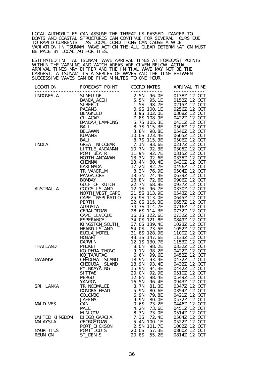LOCAL AUTHORITIES CAN ASSUME THE THREAT IS PASSED. DANGER TO BOATS AND COASTAL STRUCTURES CAN CONTINUE FOR SEVERAL HOURS DUE TO RAPID CURRENTS. AS LOCAL CONDITIONS CAN CAUSE A WIDE VARIATION IN TSUNAMI WAVE ACTION THE ALL CLEAR DETERMINATION MUST BE MADE BY LOCAL AUTHORITIES.

ESTIMATED INITIAL TSUNAMI WAVE ARRIVAL TIMES AT FORECAST POINTS WITHIN THE WARNING AND WATCH AREAS ARE GIVEN BELOW. ACTUAL ARRIVAL TIMES MAY DIFFER AND THE INITIAL WAVE MAY NOT BE THE LARGEST. A TSUNAMI IS A SERIES OF WAVES AND THE TIME BETWEEN SUCCESSIVE WAVES CAN BE FIVE MINUTES TO ONE HOUR.

|                                    | <b>JAFFNA</b>                                                  | 9.9N<br>80. OE                                                      | 0532Z 12 OCT                                                       |
|------------------------------------|----------------------------------------------------------------|---------------------------------------------------------------------|--------------------------------------------------------------------|
| <b>MALDIVES</b>                    | GAN<br><b>MALE</b>                                             | 73.2E<br>0.6S<br>4.2N<br>73.6E                                      | 12 OCT<br>0446Z<br>12 OCT<br>0451Z                                 |
| UNITED KINGDOM<br><b>MALAYSIA</b>  | <b>MINICOV</b><br>DI EGO_GARCIA<br>GEORGETOWN<br>PORT_DI CKSON | 8.3N<br>73. OE<br>7.3S<br>72.4E<br>5.4N<br>100.1E<br>101.7E<br>2.5N | 12 OCT<br>0514Z<br>12 OCT<br>0504Z<br>0522Z 12 OCT<br>1002Z 12 OCT |
| <b>MAURITIUS</b><br><b>REUNION</b> | PORT LOUIS<br>ST_DENIS                                         | 20.0S<br>57.3E<br>20.8S<br>55.2E                                    | 12 OCT<br>0800Z<br>0814Z 12 OCT                                    |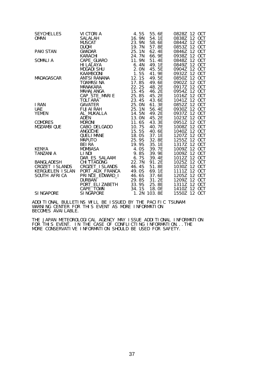| <b>SEYCHELLES</b><br><b>OMAN</b> | VI CTORI A<br><b>SALALAH</b>                                 | 4.5S<br>16. 9N | 55.6E<br>54.1E  | 0828Z 12 OCT<br>0838Z 12 OCT |
|----------------------------------|--------------------------------------------------------------|----------------|-----------------|------------------------------|
|                                  | <b>MUSCAT</b>                                                | 23.9N          | 58.6E           | 0844Z 12 OCT                 |
|                                  | <b>DUQM</b>                                                  | 19.7N          | 57.8E           | 0853Z 12 OCT                 |
| <b>PAKI STAN</b>                 | <b>GWADAR</b>                                                | 25.1N          | 62.4E           | 0846Z 12 OCT                 |
|                                  | <b>KARACHI</b>                                               | 24.7N          | 66. 9E          | 0938Z 12 OCT                 |
| <b>SOMALIA</b>                   | CAPE_GUARO                                                   | 11.9N          | 51.4E           | 0848Z 12 OCT                 |
|                                  | HI LALAYA                                                    | 6.4N           | 49.1E           | 0849Z 12 OCT                 |
|                                  | <b>MOGADI SHU</b>                                            | 2. ON          | 45.5E           | 0904Z 12 OCT                 |
|                                  | KAAMBOONI                                                    | 1.5S           | 41. 9E<br>49.5E | 0932Z 12 OCT<br>0850Z 12 OCT |
| MADAGASCAR                       | ANTSI RANANA 12.1S<br>TOAMASI NA 17.8S<br><b>TOAMASINA</b>   | 17.8S          | 49.6E           | 0902Z 12 OCT                 |
|                                  | MANAKARA                                                     | 22.2S          | 48.2E           | 0917Z 12 OCT                 |
|                                  | MAHAJANGA                                                    | 15.4S          | 46.2E           | 0954Z 12 OCT                 |
|                                  | CAP_STE_MARIE                                                | 25.8S          | 45.2E           | 1016Z 12 OCT                 |
|                                  | TOLI ARA                                                     | 23.4S          | 43.6E           | 1041Z 12 OCT                 |
| I RAN                            | GAVATER                                                      | 25.0N          | 61. 3E          | 0852Z 12 OCT                 |
| <b>UAE</b>                       | <b>FUJAI RAH</b>                                             | 25.1N          | 56.4E           | 0930Z 12 OCT                 |
| YEMEN                            | AL_MUKALLA<br>ADEN                                           | 14.5N          | 49.2E           | 0937Z 12 OCT                 |
|                                  | <b>ADEN</b>                                                  | 13.0N          | 45.2E           | 1023Z 12 OCT                 |
| <b>COMORES</b>                   | <b>MORONI</b>                                                | 11.6S          | 43.3E           | 0951Z 12 OCT                 |
| MOZAMBI QUE                      | CABO_DELGADO<br>ANGOCHE                                      | 10.7S          | 40. 7E          | 1008Z 12 OCT                 |
|                                  | <b>ANGOCHE</b>                                               | 15.5S          | 40.6E           | 1040Z 12 OCT                 |
|                                  | QUELI MANE<br>MAPUTO                                         | 18.0S          | 37.1E           | 1207Z 12 OCT                 |
|                                  | <b>BEIRA</b>                                                 | 25.9S<br>19.9S | 32.8E           | 1255Z 12 OCT<br>1317Z 12 OCT |
| KENYA                            | <b>MOMBASA</b>                                               | 4.0S           | 35.1E<br>39.7E  | 1009Z 12 OCT                 |
| TANZANI A                        | LI NDI                                                       | 9.8S           | 39.9E           | 1009Z 12 OCT                 |
|                                  |                                                              |                | 39.4E           | 1012Z 12 OCT                 |
| BANGLADESH                       | DAR_ES_SALAAM 6.7S<br>CHITTAGONG 22 7N<br><b>CHI TTAGONG</b> | 22.7N          | 91.2E           | 1025Z 12 OCT                 |
| CROZET ISLANDS                   | CROZET_I SLANDS                                              | 46.4S          | 51.8E           | 1030Z 12 OCT                 |
| KERGUELEN ISLAN                  | PORT_AUX_FRANCA                                              | 49.0S          | 69.1E           | 1111Z 12 OCT                 |
| SOUTH AFRICA                     | PRINCE_EDWARD_I                                              | 46. 6S         | 37.6E           | 1205Z 12 OCT                 |
|                                  | <b>DURBAN</b>                                                | 29.8S          | 31.2E           | 1209Z 12 OCT                 |
|                                  | PORT_ELI ZABETH                                              | 33.9S          | 25.8E           | 1311Z 12 OCT                 |
|                                  | CAPE TOWN                                                    |                | 34.1S 18.0E     | 1410Z 12 OCT                 |
| <b>SINGAPORE</b>                 | SI NGAPORE                                                   |                | 1.2N 103.8E     | 1550Z 12 OCT                 |

ADDITIONAL BULLETINS WILL BE ISSUED BY THE PACIFIC TSUNAMI WARNING CENTER FOR THIS EVENT AS MORE INFORMATION BECOMES AVAILABLE.

THE JAPAN METEOROLOGICAL AGENCY MAY ISSUE ADDITIONAL INFORMATION FOR THIS EVENT. IN THE CASE OF CONFLICTING INFORMATION...THE MORE CONSERVATIVE INFORMATION SHOULD BE USED FOR SAFETY.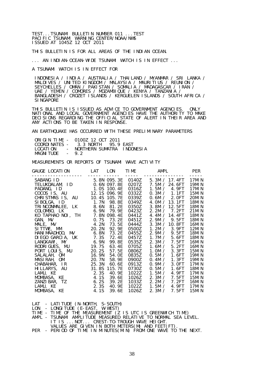TEST...TSUNAMI BULLETIN NUMBER 011 ...TEST PACIFIC TSUNAMI WARNING CENTER/NOAA/NWS ISSUED AT 1045Z 12 OCT 2011

THIS BULLETIN IS FOR ALL AREAS OF THE INDIAN OCEAN.

... AN INDIAN-OCEAN-WIDE TSUNAMI WATCH IS IN EFFECT ...

A TSUNAMI WATCH IS IN EFFECT FOR

 INDONESIA / INDIA / AUSTRALIA / THAILAND / MYANMAR / SRI LANKA / MALDIVES / UNITED KINGDOM / MALAYSIA / MAURITIUS / REUNION / SEYCHELLES / OMAN / PAKISTAN / SOMALIA / MADAGASCAR / IRAN / UAE / YEMEN / COMORES / MOZAMBIQUE / KENYA / TANZANIA / BANGLADESH / CROZET ISLANDS / KERGUELEN ISLANDS / SOUTH AFRICA / **SINGAPORE** 

THIS BULLETIN IS ISSUED AS ADVICE TO GOVERNMENT AGENCIES. ONLY NATIONAL AND LOCAL GOVERNMENT AGENCIES HAVE THE AUTHORITY TO MAKE DECISIONS REGARDING THE OFFICIAL STATE OF ALERT IN THEIR AREA AND ANY ACTIONS TO BE TAKEN IN RESPONSE.

AN EARTHQUAKE HAS OCCURRED WITH THESE PRELIMINARY PARAMETERS

|            | ORIGIN TIME - 0100Z 12 OCT 2011   |  |
|------------|-----------------------------------|--|
|            | COORDINATES - 3.3 NORTH 95.9 EAST |  |
| LOCATI ON  | - NORTHERN SUMATRA INDONESIA      |  |
| MAGNI TUDE | $-92$                             |  |

MEASUREMENTS OR REPORTS OF TSUNAMI WAVE ACTIVITY

| GAUGE LOCATION                     |       |                                                                                                                                                                                        |                                                                                                                                                                                                                                                                                                                                                                                                | <b>PER</b>                                                                                                                                                                                                                                                                                                                                           |
|------------------------------------|-------|----------------------------------------------------------------------------------------------------------------------------------------------------------------------------------------|------------------------------------------------------------------------------------------------------------------------------------------------------------------------------------------------------------------------------------------------------------------------------------------------------------------------------------------------------------------------------------------------|------------------------------------------------------------------------------------------------------------------------------------------------------------------------------------------------------------------------------------------------------------------------------------------------------------------------------------------------------|
| ---------<br>HANI MAADHOO, MV 6.8N | 63.4E | 0332Z<br>0350Z<br>0451Z<br>0900Z                                                                                                                                                       | ---------------<br>7.5M / 24.6FT<br>0.3M / 1.1FT<br>0.6M / 2.0FT<br>3.8M / 12.5FT<br>2.2M / 7.2FT<br>2.9M / 9.5FT<br>3.3M / 10.8FT<br>2.9M /<br>9.5FT<br>1.7M / 5.6FT<br>5.2FT<br>1.6M $\prime$<br>1.0M / 3.3FT<br>0.5M / 1.6FT<br>0.4M /<br>1. 3FT<br>3. OFT<br>0.9M /                                                                                                                        | 17MI N<br>19MI N<br>17MI N<br>15MIN<br>20MIN<br>18MI N<br>18MI N<br>21MIN<br>18MI N<br>18MI N<br>16MI N<br>12MI N<br>18MI N<br>18MI N<br>16MI N<br>16MI N<br>15MI N<br>19MI N<br>19MIN<br>17MI N                                                                                                                                                     |
|                                    |       | 1022Z                                                                                                                                                                                  | 0.5M /<br>1. 6FT<br>1.5M /<br>4.9FT<br>2.3M / 7.5FT<br>2.2M /<br>1.5M $\prime$<br>4.9FT                                                                                                                                                                                                                                                                                                        | 18MI N<br>17MI N<br>15MI N<br>16MI N<br>17MI N<br>15MI N                                                                                                                                                                                                                                                                                             |
|                                    |       | LAT LON<br>----- ------<br>TRINCONMALEE, LK 8.6N<br>DIEGO GARCIA, UK 7.3S<br>LANGKAWI, MY 6.9N<br>RODRIGUES, MU 19.7S<br>PORT LOUIS, MU 20.2S<br>16.9N<br>20. 7N<br>CHABAHAR, IR 25.3N | SABANG ID 5.8N 095.3E<br>TELUKDALAM, ID 0.6N 097.8E<br>PADANG, ID<br>COCOS IS, AU 12.1S 096.9E<br>CHRISTMAS IS, AU 10.4S 105.7E<br>1.7N 98.8E<br>81.2E<br>COLOMBO, LK 6.9N 79.9E<br>KO TAPHAO NOI, TH 7.8N 098.4E<br>73.2E<br>72. 4E<br>99. 8E<br>57.5E<br>54. OE<br>58.9E<br>60. 6E<br>HILLARYS, AU 31.8S 115.7E<br>LAMU, KE 2.3S 40.9E<br>MOMBASA, KE 4.1S 39.6E<br>39.2E<br>40. 9E<br>39.6E | TIME <sub>2</sub><br>AMPL<br>$0140Z$ 5.3M / 17.4FT<br>0207Z<br>0316Z<br>1.5M / 4.9FT<br>0339Z<br>0349Z<br>4.0M $/$ 13.1FT<br>0423Z<br>0441Z<br>4.4M / 14.4FT<br>0444Z<br>0500Z<br>1.2M / 3.9FT<br>0455Z<br>0457Z<br>0535Z<br>2.3M / 7.5FT<br>0705Z<br>0806Z<br>0835Z<br>0913Z<br>0730Z<br>1026Z<br>1033Z<br>7. 2FT<br>1022Z<br>1026Z<br>2.3M / 7.5FT |

LAT - LATITUDE (N-NORTH, S-SOUTH)

LON - LONGITUDE (E-EAST, W-WEST)

TIME - TIME OF THE MEASUREMENT (Z IS UTC IS GREENWICH TIME)

- AMPL TSUNAMI AMPLITUDE MEASURED RELATIVE TO NORMAL SEA LEVEL. IT IS ...NOT... CREST-TO-TROUGH WAVE HEIGHT. VALUES ARE GIVEN IN BOTH METERS(M) AND FEET(FT).
- PER PERIOD OF TIME IN MINUTES(MIN) FROM ONE WAVE TO THE NEXT.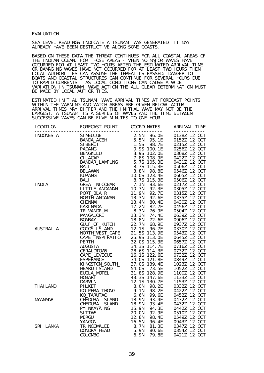#### EVALUATION

SEA LEVEL READINGS INDICATE A TSUNAMI WAS GENERATED. IT MAY ALREADY HAVE BEEN DESTRUCTIVE ALONG SOME COASTS.

BASED ON THESE DATA THE THREAT CONTINUES FOR ALL COASTAL AREAS OF THE INDIAN OCEAN. FOR THOSE AREAS - WHEN NO MAJOR WAVES HAVE OCCURRED FOR AT LEAST TWO HOURS AFTER THE ESTIMATED ARRIVAL TIME OR DAMAGING WAVES HAVE NOT OCCURRED FOR AT LEAST TWO HOURS THEN LOCAL AUTHORITIES CAN ASSUME THE THREAT IS PASSED. DANGER TO BOATS AND COASTAL STRUCTURES CAN CONTINUE FOR SEVERAL HOURS DUE TO RAPID CURRENTS. AS LOCAL CONDITIONS CAN CAUSE A WIDE VARIATION IN TSUNAMI WAVE ACTION THE ALL CLEAR DETERMINATION MUST BE MADE BY LOCAL AUTHORITIES.

ESTIMATED INITIAL TSUNAMI WAVE ARRIVAL TIMES AT FORECAST POINTS WITHIN THE WARNING AND WATCH AREAS ARE GIVEN BELOW. ACTUAL ARRIVAL TIMES MAY DIFFER AND THE INITIAL WAVE MAY NOT BE THE LARGEST. A TSUNAMI IS A SERIES OF WAVES AND THE TIME BETWEEN SUCCESSIVE WAVES CAN BE FIVE MINUTES TO ONE HOUR.

| LOCATI ON | FORECAST POINT COORDINATES                                                                                                                                                                                                    |       | ARRIVAL TIME |
|-----------|-------------------------------------------------------------------------------------------------------------------------------------------------------------------------------------------------------------------------------|-------|--------------|
|           |                                                                                                                                                                                                                               |       |              |
|           |                                                                                                                                                                                                                               |       |              |
|           | $10011\n1000(ES)A\n1000(ES)A\n1000(ES)A\n1000(ES)A\n1000(ES)A\n1000(ES)A\n1000(ES)A\n1000(ES)A\n1000(ES)A\n1000(ES)A\n1000(ES)A\n1000(ES)A\n1000(ES)A\n1000(ES)A\n1000(ES)A\n1000(ES)A\n1000(ES)A\n1000(ES)A\n1000(ES)A\n100$ |       |              |
|           |                                                                                                                                                                                                                               |       |              |
|           |                                                                                                                                                                                                                               |       |              |
|           |                                                                                                                                                                                                                               | 79.8E | 0421Z        |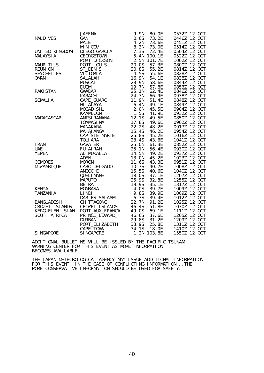|                  |                                                                                                                                                                                                                                |                                                                                                                                                                                                        | 0532Z 12 OCT |
|------------------|--------------------------------------------------------------------------------------------------------------------------------------------------------------------------------------------------------------------------------|--------------------------------------------------------------------------------------------------------------------------------------------------------------------------------------------------------|--------------|
|                  |                                                                                                                                                                                                                                |                                                                                                                                                                                                        | 0446Z 12 OCT |
|                  |                                                                                                                                                                                                                                |                                                                                                                                                                                                        | 0451Z 12 OCT |
|                  |                                                                                                                                                                                                                                |                                                                                                                                                                                                        | 0514Z 12 OCT |
|                  |                                                                                                                                                                                                                                |                                                                                                                                                                                                        | 0504Z 12 OCT |
|                  |                                                                                                                                                                                                                                |                                                                                                                                                                                                        | 0522Z 12 OCT |
|                  |                                                                                                                                                                                                                                |                                                                                                                                                                                                        | 1002Z 12 OCT |
|                  |                                                                                                                                                                                                                                |                                                                                                                                                                                                        | 0800Z 12 OCT |
|                  |                                                                                                                                                                                                                                |                                                                                                                                                                                                        | 0814Z 12 OCT |
|                  |                                                                                                                                                                                                                                | 55.6E                                                                                                                                                                                                  | 0828Z 12 OCT |
|                  |                                                                                                                                                                                                                                |                                                                                                                                                                                                        | 0838Z 12 OCT |
|                  |                                                                                                                                                                                                                                |                                                                                                                                                                                                        | 0844Z 12 OCT |
|                  |                                                                                                                                                                                                                                |                                                                                                                                                                                                        | 0853Z 12 OCT |
|                  |                                                                                                                                                                                                                                |                                                                                                                                                                                                        | 0846Z 12 OCT |
|                  |                                                                                                                                                                                                                                | $62.4E$<br>$66.9E$                                                                                                                                                                                     | 0938Z 12 OCT |
|                  |                                                                                                                                                                                                                                |                                                                                                                                                                                                        | 0848Z 12 OCT |
|                  |                                                                                                                                                                                                                                |                                                                                                                                                                                                        | 0849Z 12 OCT |
|                  |                                                                                                                                                                                                                                | 45.5E                                                                                                                                                                                                  | 0904Z 12 OCT |
|                  |                                                                                                                                                                                                                                |                                                                                                                                                                                                        | 0932Z 12 OCT |
|                  |                                                                                                                                                                                                                                | 41. 9E<br>49. 5E                                                                                                                                                                                       | 0850Z 12 OCT |
|                  |                                                                                                                                                                                                                                | 49.6E                                                                                                                                                                                                  | 0902Z 12 OCT |
|                  |                                                                                                                                                                                                                                |                                                                                                                                                                                                        | 0917Z 12 OCT |
|                  |                                                                                                                                                                                                                                |                                                                                                                                                                                                        | 0954Z 12 OCT |
|                  |                                                                                                                                                                                                                                |                                                                                                                                                                                                        | 1016Z 12 OCT |
|                  |                                                                                                                                                                                                                                |                                                                                                                                                                                                        | 1041Z 12 OCT |
|                  |                                                                                                                                                                                                                                | 48. 2E<br>46. 2E<br>45. 2E<br>43. 6E<br>61. 3E                                                                                                                                                         | 0852Z 12 OCT |
|                  |                                                                                                                                                                                                                                |                                                                                                                                                                                                        | 0930Z 12 OCT |
|                  |                                                                                                                                                                                                                                | 56. 4E<br>49. 2E                                                                                                                                                                                       | 0937Z 12 OCT |
|                  |                                                                                                                                                                                                                                | 45.2E                                                                                                                                                                                                  | 1023Z 12 OCT |
|                  |                                                                                                                                                                                                                                |                                                                                                                                                                                                        | 0951Z 12 OCT |
|                  |                                                                                                                                                                                                                                | 43.3E<br>40.7E                                                                                                                                                                                         | 1008Z 12 OCT |
|                  |                                                                                                                                                                                                                                |                                                                                                                                                                                                        | 1040Z 12 OCT |
|                  |                                                                                                                                                                                                                                |                                                                                                                                                                                                        | 1207Z 12 OCT |
|                  |                                                                                                                                                                                                                                | 32.8E                                                                                                                                                                                                  | 1255Z 12 OCT |
|                  |                                                                                                                                                                                                                                |                                                                                                                                                                                                        | 1317Z 12 OCT |
|                  |                                                                                                                                                                                                                                | 35.1E<br>39.7E                                                                                                                                                                                         | 1009Z 12 OCT |
|                  |                                                                                                                                                                                                                                |                                                                                                                                                                                                        | 1009Z 12 OCT |
|                  |                                                                                                                                                                                                                                |                                                                                                                                                                                                        | 1012Z 12 OCT |
|                  |                                                                                                                                                                                                                                |                                                                                                                                                                                                        | 1025Z 12 OCT |
|                  |                                                                                                                                                                                                                                | 51.8E<br>69.1E                                                                                                                                                                                         | 1030Z 12 OCT |
|                  |                                                                                                                                                                                                                                |                                                                                                                                                                                                        | 1111Z 12 OCT |
|                  |                                                                                                                                                                                                                                |                                                                                                                                                                                                        | 1205Z 12 OCT |
|                  |                                                                                                                                                                                                                                |                                                                                                                                                                                                        | 1209Z 12 OCT |
|                  |                                                                                                                                                                                                                                |                                                                                                                                                                                                        | 1311Z 12 OCT |
|                  |                                                                                                                                                                                                                                |                                                                                                                                                                                                        | 1410Z 12 OCT |
| <b>SINGAPORE</b> | 3 JAFFIN 9, 9 NALE 20 4 2 N 73 GAN 19 1 ALL MUKALL 4 2 N 73 GE KINGDOM DIEGO GARCIA 7, 33 Y 72 JAC 4 2 N 73 GE CHACCHANN 2, 5 N 72 JAC 4 2 N 73 GE DENTIFICIONS 20 00 S 57 3 E DITITURISM 20 00 S 75 3 E DITITURISM 20 00 S 75 | 07. IE<br>07. IE<br>07. AE<br>07. AE<br>07. IE<br>07. IE<br>29. 85 31. 2E<br>07. IE<br>29. 85 31. 2E<br>29. 85 31. 2E<br>29. 85 31. 2E<br>29. 85 31. 2E<br>29. 85 25. 8E<br>24. 15 18. 0E<br>SINGAPORE | 1550Z 12 OCT |

ADDITIONAL BULLETINS WILL BE ISSUED BY THE PACIFIC TSUNAMI WARNING CENTER FOR THIS EVENT AS MORE INFORMATION BECOMES AVAILABLE.

THE JAPAN METEOROLOGICAL AGENCY MAY ISSUE ADDITIONAL INFORMATION FOR THIS EVENT. IN THE CASE OF CONFLICTING INFORMATION...THE MORE CONSERVATIVE INFORMATION SHOULD BE USED FOR SAFETY.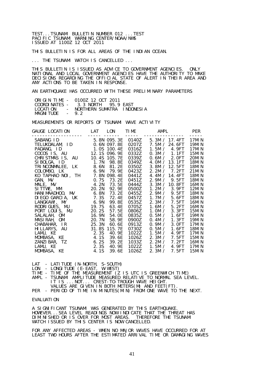TEST...TSUNAMI BULLETIN NUMBER 012 ...TEST PACIFIC TSUNAMI WARNING CENTER/NOAA/NWS ISSUED AT 1100Z 12 OCT 2011

THIS BULLETIN IS FOR ALL AREAS OF THE INDIAN OCEAN.

... THE TSUNAMI WATCH IS CANCELLED ...

THIS BULLETIN IS ISSUED AS ADVICE TO GOVERNMENT AGENCIES. ONLY NATIONAL AND LOCAL GOVERNMENT AGENCIES HAVE THE AUTHORITY TO MAKE DECISIONS REGARDING THE OFFICIAL STATE OF ALERT IN THEIR AREA AND ANY ACTIONS TO BE TAKEN IN RESPONSE.

AN EARTHQUAKE HAS OCCURRED WITH THESE PRELIMINARY PARAMETERS

|                  | ORIGIN TIME - 01007 12 OCT 2011       |  |
|------------------|---------------------------------------|--|
|                  | COORDINATES - 3.3 NORTH 95.9 FAST     |  |
|                  | LOCATION - NORTHERN SUMATRA INDONESIA |  |
| MAGNITUDE $-9.2$ |                                       |  |

MEASUREMENTS OR REPORTS OF TSUNAMI WAVE ACTIVITY

| GAUGE LOCATION LAT LON                                                                                                                                                                                                                                                                                                                                                                                                                                                                                   |                 |                                                                                                  | TIME <sub>2</sub>                                                                                                                                                                                  | AMPL                                                                                                                                                                                                                                                                                                                                                                                                               | PER                                                                                                                                                                                                                            |
|----------------------------------------------------------------------------------------------------------------------------------------------------------------------------------------------------------------------------------------------------------------------------------------------------------------------------------------------------------------------------------------------------------------------------------------------------------------------------------------------------------|-----------------|--------------------------------------------------------------------------------------------------|----------------------------------------------------------------------------------------------------------------------------------------------------------------------------------------------------|--------------------------------------------------------------------------------------------------------------------------------------------------------------------------------------------------------------------------------------------------------------------------------------------------------------------------------------------------------------------------------------------------------------------|--------------------------------------------------------------------------------------------------------------------------------------------------------------------------------------------------------------------------------|
| ---------<br>SABANG ID 5.8N 095.3E<br>TELUKDALAM, ID 0.6N 097.8E<br>PADANG, ID<br>COCOS IS, AU 12.1S 096.9E<br>CHRISTMAS IS, AU 10.4S 105.7E<br>SI BOLGA, ID<br>TRINCONMALEE, LK 8.6N<br>COLOMBO, LK 6.9N 79.9E<br>KO TAPHAO NOI, TH 7.8N 098.4E<br>HANI MAADHOO, MV 6.8N<br>DIEGO GARCIA, UK 7.3S<br>LANGKAWI, MY 6.9N<br>RODRIGUES, MU 19.7S<br>PORT LOUIS, MU 20.2S<br>SALALAH, OM<br>MASIRAH, OM<br>CHABAHAR, IR 25.3N<br>HILLARYS, AU 31.8S 115.7E<br>LAMU, KE 2.3S 40.9E<br>MOMBASA, KE 4.1S 39.6E | 16.9N<br>20. 7N | 1.7N 98.8E<br>81.2E<br>73. 2E<br>72. 4E<br>99. 8E<br>63.4E<br>57.5E<br>54. OE<br>58.9E<br>60. 6E | 0207Z<br>0316Z<br>0332Z<br>0339Z<br>0349Z<br>0350Z<br>0423Z<br>0441Z<br>0451Z<br>0444Z<br>0500Z<br>0455Z<br>0457Z<br>0535Z<br>0705Z<br>0806Z<br>0835Z<br>0900Z<br>0913Z<br>0730Z<br>1022Z<br>1026Z | $0140Z$ 5.3M / 17.4FT<br>7.5M / 24.6FT<br>1.5M / 4.9FT<br>0.3M / 1.1FT<br>0.6M / 2.0FT<br>4.0M $/$ 13.1FT<br>3.8M / 12.5FT<br>2.2M / 7.2FT<br>4.4M / 14.4FT<br>2.9M / 9.5FT<br>3.3M / 10.8FT<br>1.2M / 3.9FT<br>2.9M /<br>9.5FT<br>1.7M / 5.6FT<br>2.3M / 7.5FT<br>5. 2FT<br>1.6M /<br>1.0M / 3.3FT<br>0.5M / 1.6FT<br>0.4M /<br>1. 3FT<br>0.9M /<br>3. OFT<br>0.5M /<br>1. 6FT<br>1.5M /<br>4.9FT<br>2.3M / 7.5FT | 17MI N<br>19MI N<br>17MI N<br>15MIN<br>20MIN<br>18MI N<br>18MI N<br>21MIN<br>18MI N<br>18MI N<br>16MI N<br>12MI N<br>18MI N<br>18MI N<br>16MI N<br>16MI N<br>15MI N<br>19MI N<br>19MIN<br>17MI N<br>18MI N<br>17MI N<br>15MI N |
|                                                                                                                                                                                                                                                                                                                                                                                                                                                                                                          |                 | 39. 2E<br>40. 9E<br>39. 6E                                                                       | 1033Z<br>1022Z<br>1026Z                                                                                                                                                                            | 2.2M /<br>7. 2FT<br>1.5M $\prime$<br>4. 9FT<br>2.3M / 7.5FT                                                                                                                                                                                                                                                                                                                                                        | 16MI N<br>17MI N<br>15MIN                                                                                                                                                                                                      |
|                                                                                                                                                                                                                                                                                                                                                                                                                                                                                                          |                 |                                                                                                  |                                                                                                                                                                                                    |                                                                                                                                                                                                                                                                                                                                                                                                                    |                                                                                                                                                                                                                                |

LAT - LATITUDE (N-NORTH, S-SOUTH)

LON - LONGITUDE (E-EAST, W-WEST)

TIME - TIME OF THE MEASUREMENT (Z IS UTC IS GREENWICH TIME)

AMPL - TSUNAMI AMPLITUDE MEASURED RELATIVE TO NORMAL SEA LEVEL. IT IS ...NOT... CREST-TO-TROUGH WAVE HEIGHT.

VALUES ARE GIVEN IN BOTH METERS(M) AND FEET(FT).

PER - PERIOD OF TIME IN MINUTES(MIN) FROM ONE WAVE TO THE NEXT.

#### EVALUATION

A SIGNIFICANT TSUNAMI WAS GENERATED BY THIS EARTHQUAKE. HOWEVER...SEA LEVEL READINGS NOW INDICATE THAT THE THREAT HAS DIMINISHED OR IS OVER FOR MOST AREAS. THEREFORE THE TSUNAMI WATCH ISSUED BY THIS CENTER IS NOW CANCELLED.

FOR ANY AFFECTED AREAS - WHEN NO MAJOR WAVES HAVE OCCURRED FOR AT LEAST TWO HOURS AFTER THE ESTIMATED ARRIVAL TIME OR DAMAGING WAVES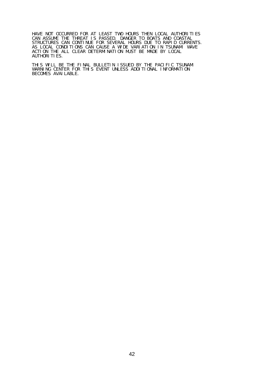HAVE NOT OCCURRED FOR AT LEAST TWO HOURS THEN LOCAL AUTHORITIES CAN ASSUME THE THREAT IS PASSED. DANGER TO BOATS AND COASTAL STRUCTURES CAN CONTINUE FOR SEVERAL HOURS DUE TO RAPID CURRENTS. AS LOCAL CONDITIONS CAN CAUSE A WIDE VARIATION IN TSUNAMI WAVE ACTION THE ALL CLEAR DETERMINATION MUST BE MADE BY LOCAL AUTHORI TI ES.

THIS WILL BE THE FINAL BULLETIN ISSUED BY THE PACIFIC TSUNAMI WARNING CENTER FOR THIS EVENT UNLESS ADDITIONAL INFORMATION BECOMES AVAILABLE.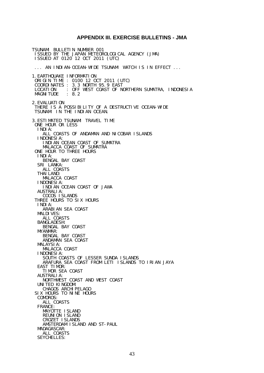#### **APPENDIX III. EXERCISE BULLETINS - JMA**

TSUNAMI BULLETIN NUMBER 001 ISSUED BY THE JAPAN METEOROLOGICAL AGENCY (JMA) ISSUED AT 0120 12 OCT 2011 (UTC) ... AN INDIAN-OCEAN-WIDE TSUNAMI WATCH IS IN EFFECT ... 1. EARTHOUAKE INFORMATION ORIGIN TIME : 0100 12 OCT 2011 (UTC) COORDINATES : 3.3 NORTH 95.9 EAST LOCATION : OFF WEST COAST OF NORTHERN SUMATRA, INDONESIA MAGNITUDE : 8.2 2.EVALUATION THERE IS A POSSIBILITY OF A DESTRUCTIVE OCEAN-WIDE TSUNAMI IN THE INDIAN OCEAN. 3.ESTIMATED TSUNAMI TRAVEL TIME ONE HOUR OR LESS INDIA: ALL COASTS OF ANDAMAN AND NICOBAR ISLANDS INDONESIA: INDIAN OCEAN COAST OF SUMATRA MALACCA COAST OF SUMATRA ONE HOUR TO THREE HOURS INDIA: BENGAL BAY COAST SRI LANKA: ALL COASTS **THAI LAND:**  MALACCA COAST INDONESIA: INDIAN OCEAN COAST OF JAWA AUSTRALIA: COCOS ISLANDS THREE HOURS TO SIX HOURS INDIA: ARABIAN SEA COAST **MALDIVES:**  ALL COASTS BANGLADESH: BENGAL BAY COAST MYANMAR: BENGAL BAY COAST ANDAMAN SEA COAST MALAYSIA: MALACCA COAST INDONESIA: SOUTH COASTS OF LESSER SUNDA ISLANDS ARAFURA SEA COAST FROM LETI ISLANDS TO IRIAN JAYA EAST TIMOR: TIMOR SEA COAST AUSTRALIA: NORTHWEST COAST AND WEST COAST UNITED KINGDOM: CHAGOS ARCHI PELAGO SIX HOURS TO NINE HOURS COMOROS: ALL COASTS FRANCE: MAYOTTE ISLAND REUNION ISLAND CROZET ISLANDS AMSTERDAM ISLAND AND ST-PAUL MADAGASCAR: ALL COASTS SEYCHELLES: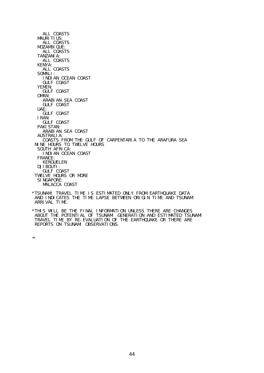ALL COASTS **MAURITIUS:**  ALL COASTS MOZAMBIQUE: ALL COASTS TANZANIA: ALL COASTS KENYA: ALL COASTS SOMALI: INDIAN OCEAN COAST GULF COAST YEMEN: GULF COAST OMAN: ARABIAN SEA COAST GULF COAST UAE: GULF COAST IRAN: GULF COAST PAKI STAN: ARABIAN SEA COAST<br>AUSTRALIA: AUSTRALIA: COASTS FROM THE GULF OF CARPENTARIA TO THE ARAFURA SEA NINE HOURS TO TWELVE HOURS SOUTH AFRICA: INDIAN OCEAN COAST FRANCE: KERGUELEN DJIBOUTI: GULF COAST TWELVE HOURS OR MORE SINGAPORE: MALACCA COAST \*TSUNAMI TRAVEL TIME IS ESTIMATED ONLY FROM EARTHQUAKE DATA

 AND INDICATES THE TIME LAPSE BETWEEN ORIGIN TIME AND TSUNAMI ARRIVAL TIME.

=

<sup>\*</sup>THIS WILL BE THE FINAL INFORMATION UNLESS THERE ARE CHANGES ABOUT THE POTENTIAL OF TSUNAMI GENERATION AND ESTIMATED TSUNAMI TRAVEL TIME BY RE-EVALUATION OF THE EARTHQUAKE OR THERE ARE REPORTS ON TSUNAMI OBSERVATIONS.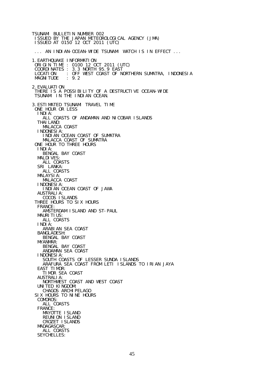TSUNAMI BULLETIN NUMBER 002 ISSUED BY THE JAPAN METEOROLOGICAL AGENCY (JMA) ISSUED AT 0150 12 OCT 2011 (UTC) ... AN INDIAN-OCEAN-WIDE TSUNAMI WATCH IS IN EFFECT ... 1.EARTHQUAKE INFORMATION ORIGIN TIME : 0100 12 OCT 2011 (UTC) COORDINATES : 3.3 NORTH 95.9 EAST LOCATION : OFF WEST COAST OF NORTHERN SUMATRA, INDONESIA<br>MAGNITUDE : 9.2 **MAGNI TUDE** 2.EVALUATION THERE IS A POSSIBILITY OF A DESTRUCTIVE OCEAN-WIDE TSUNAMI IN THE INDIAN OCEAN. 3.ESTIMATED TSUNAMI TRAVEL TIME ONE HOUR OR LESS INDIA: ALL COASTS OF ANDAMAN AND NICOBAR ISLANDS **THAI LAND:**  MALACCA COAST INDONESIA: INDIAN OCEAN COAST OF SUMATRA MALACCA COAST OF SUMATRA ONE HOUR TO THREE HOURS INDIA: BENGAL BAY COAST **MALDIVES:**  ALL COASTS SRI LANKA: ALL COASTS MALAYSIA: MALACCA COAST INDONESIA: INDIAN OCEAN COAST OF JAWA AUSTRALIA: COCOS ISLANDS THREE HOURS TO SIX HOURS FRANCE: AMSTERDAM ISLAND AND ST-PAUL **MAURITIUS:**  ALL COASTS INDIA: ARABIAN SEA COAST BANGLADESH: BENGAL BAY COAST MYANMAR: BENGAL BAY COAST ANDAMAN SEA COAST INDONESIA: SOUTH COASTS OF LESSER SUNDA ISLANDS ARAFURA SEA COAST FROM LETI ISLANDS TO IRIAN JAYA EAST TIMOR: TIMOR SEA COAST AUSTRALIA: NORTHWEST COAST AND WEST COAST UNITED KINGDOM: CHAGOS ARCHIPELAGO SIX HOURS TO NINE HOURS COMOROS: ALL COASTS FRANCE: MAYOTTE ISLAND REUNION ISLAND CROZET ISLANDS MADAGASCAR: ALL COASTS SEYCHELLES: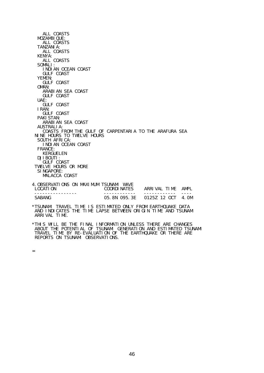ALL COASTS MOZAMBIQUE: ALL COASTS TANZANIA: ALL COASTS KENYA: ALL COASTS SOMALI: INDIAN OCEAN COAST GULF COAST YEMEN: GULF COAST OMAN: ARABIAN SEA COAST GULF COAST UAE: GULF COAST IRAN: GULF COAST PAKI STAN: ARABIAN SEA COAST AUSTRALIA: COASTS FROM THE GULF OF CARPENTARIA TO THE ARAFURA SEA NINE HOURS TO TWELVE HOURS SOUTH AFRICA: INDIAN OCEAN COAST FRANCE: KERGUELEN DJIBOUTI: GULF COAST TWELVE HOURS OR MORE SINGAPORE: MALACCA COAST 4.OBSERVATIONS ON MAXIMUM TSUNAMI WAVE ARRIVAL TIME AMPL ---------------- ------------ ------------ ---- SABANG 05.8N 095.3E 0125Z 12 OCT 4.0M \*TSUNAMI TRAVEL TIME IS ESTIMATED ONLY FROM EARTHQUAKE DATA AND INDICATES THE TIME LAPSE BETWEEN ORIGIN TIME AND TSUNAMI ARRIVAL TIME.

\*THIS WILL BE THE FINAL INFORMATION UNLESS THERE ARE CHANGES ABOUT THE POTENTIAL OF TSUNAMI GENERATION AND ESTIMATED TSUNAMI TRAVEL TIME BY RE-EVALUATION OF THE EARTHQUAKE OR THERE ARE REPORTS ON TSUNAMI OBSERVATIONS.

=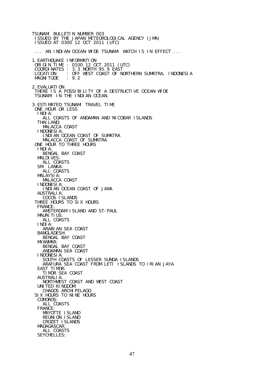TSUNAMI BULLETIN NUMBER 003 ISSUED BY THE JAPAN METEOROLOGICAL AGENCY (JMA) ISSUED AT 0300 12 OCT 2011 (UTC) ... AN INDIAN-OCEAN-WIDE TSUNAMI WATCH IS IN EFFECT ... 1.EARTHQUAKE INFORMATION ORIGIN TIME : 0100 12 OCT 2011 (UTC) COORDINATES : 3.3 NORTH 95.9 EAST LOCATION : OFF WEST COAST OF NORTHERN SUMATRA, INDONESIA<br>MAGNITUDE : 9.2 **MAGNI TUDE** 2.EVALUATION THERE IS A POSSIBILITY OF A DESTRUCTIVE OCEAN-WIDE TSUNAMI IN THE INDIAN OCEAN. 3.ESTIMATED TSUNAMI TRAVEL TIME ONE HOUR OR LESS INDIA: ALL COASTS OF ANDAMAN AND NICOBAR ISLANDS **THAI LAND:**  MALACCA COAST INDONESIA: INDIAN OCEAN COAST OF SUMATRA MALACCA COAST OF SUMATRA ONE HOUR TO THREE HOURS INDIA: BENGAL BAY COAST **MALDIVES:**  ALL COASTS SRI LANKA: ALL COASTS MALAYSIA: MALACCA COAST INDONESIA: INDIAN OCEAN COAST OF JAWA AUSTRALIA: COCOS ISLANDS THREE HOURS TO SIX HOURS FRANCE: AMSTERDAM ISLAND AND ST-PAUL **MAURITIUS:**  ALL COASTS INDIA: ARABIAN SEA COAST BANGLADESH: BENGAL BAY COAST MYANMAR: BENGAL BAY COAST ANDAMAN SEA COAST INDONESIA: SOUTH COASTS OF LESSER SUNDA ISLANDS ARAFURA SEA COAST FROM LETI ISLANDS TO IRIAN JAYA EAST TIMOR: TIMOR SEA COAST AUSTRALIA: NORTHWEST COAST AND WEST COAST UNITED KINGDOM: CHAGOS ARCHIPELAGO SIX HOURS TO NINE HOURS COMOROS: ALL COASTS FRANCE: MAYOTTE ISLAND REUNION ISLAND CROZET ISLANDS MADAGASCAR: ALL COASTS SEYCHELLES: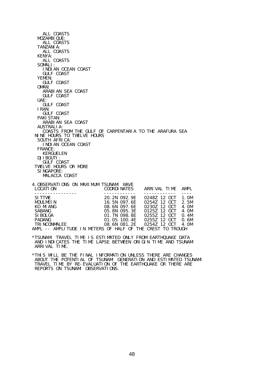ALL COASTS MOZAMBIQUE: ALL COASTS TANZANIA: ALL COASTS KENYA: ALL COASTS SOMALI: INDIAN OCEAN COAST GULF COAST YEMEN: GULF COAST OMAN: ARABIAN SEA COAST GULF COAST UAE: GULF COAST IRAN: GULF COAST PAKI STAN: ARABIAN SEA COAST AUSTRALIA: COASTS FROM THE GULF OF CARPENTARIA TO THE ARAFURA SEA NINE HOURS TO TWELVE HOURS SOUTH AFRICA: INDIAN OCEAN COAST FRANCE: KERGUELEN DJIBOUTI: GULF COAST TWELVE HOURS OR MORE SINGAPORE: MALACCA COAST 4.OBSERVATIONS ON MAXIMUM TSUNAMI WAVE ARRIVAL TIME AMPL ---------------- ------------ ------------ ---- SITTWE 20.2N 092.9E 0248Z 12 OCT 1.0M MOULMEIN 16.5N 097.6E 0254Z 12 OCT 2.5M<br>KO MIANG 08.6N 097.6E 0230Z 12 OCT 4.0M KO MIANG 08.6N 097.6E 0230Z 12 OCT 4.0M SABANG 05.8N 095.3E 0125Z 12 OCT 4.0M SIBOLGA 01.7N 098.8E 0255Z 12 OCT 0.4M PADANG 01.0S 100.4E 0255Z 12 OCT 0.6M TRINCONMALEE 08.6N 081.2E 0254Z 12 OCT 4.0M AMPL -- AMPLITUDE IN METERS OF HALF OF THE CREST TO TROUGH \*TSUNAMI TRAVEL TIME IS ESTIMATED ONLY FROM EARTHQUAKE DATA AND INDICATES THE TIME LAPSE BETWEEN ORIGIN TIME AND TSUNAMI ARRIVAL TIME.

\*THIS WILL BE THE FINAL INFORMATION UNLESS THERE ARE CHANGES ABOUT THE POTENTIAL OF TSUNAMI GENERATION AND ESTIMATED TSUNAMI TRAVEL TIME BY RE-EVALUATION OF THE EARTHQUAKE OR THERE ARE REPORTS ON TSUNAMI OBSERVATIONS.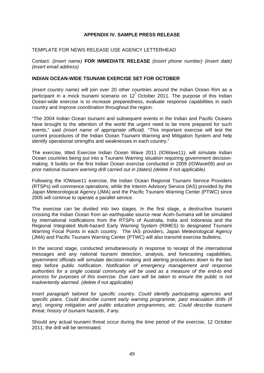## **APPENDIX IV. SAMPLE PRESS RELEASE**

#### TEMPLATE FOR NEWS RELEASE USE AGENCY LETTERHEAD

Contact: *(insert name)* **FOR IMMEDIATE RELEASE** *(insert phone number) (insert date) (insert email address)* 

#### **INDIAN OCEAN-WIDE TSUNAMI EXERCISE SET FOR OCTOBER**

*(insert country name)* will join over 20 other countries around the Indian Ocean Rim as a participant in a mock tsunami scenario on 12<sup>th</sup> October 2011. The purpose of this Indian Ocean-wide exercise is to increase preparedness, evaluate response capabilities in each country and improve coordination throughout the region.

"The 2004 Indian Ocean tsunami and subsequent events in the Indian and Pacific Oceans have brought to the attention of the world the urgent need to be more prepared for such events," said *(insert name of appropriate official)*. "This important exercise will test the current procedures of the Indian Ocean Tsunami Warning and Mitigation System and help identify operational strengths and weaknesses in each country."

The exercise, titled Exercise Indian Ocean Wave 2011 (IOWave11), will simulate Indian Ocean countries being put into a Tsunami Warning situation requiring government decisionmaking. It builds on the first Indian Ocean exercise conducted in 2009 (IOWave09) *and on prior national tsunami warning drill carried out in (dates) (delete if not applicable)*.

Following the IOWave11 exercise, the Indian Ocean Regional Tsunami Service Providers (RTSPs) will commence operations, while the Interim Advisory Service (IAS) provided by the Japan Meteorological Agency (JMA) and the Pacific Tsunami Warning Center (PTWC) since 2005 will continue to operate a parallel service.

The exercise can be divided into two stages. In the first stage, a destructive tsunami crossing the Indian Ocean from an earthquake source near Aceh-Sumatra will be simulated by international notifications from the RTSPs of Australia, India and Indonesia and the Regional Integrated Multi-hazard Early Warning System (RIMES) to designated Tsunami Warning Focal Points in each country. The IAS providers, Japan Meteorological Agency (JMA) and Pacific Tsunami Warning Center (PTWC) will also transmit exercise bulletins.

In the second stage, conducted simultaneously in response to receipt of the international messages and any national tsunami detection, analysis, and forecasting capabilities, government officials will simulate decision-making and alerting procedures down to the last step before public notification. *Notification of emergency management and response authorities for a single coastal community will be used as a measure of the end-to end process for purposes of this exercise. Due care will be taken to ensure the public is not inadvertently alarmed. (delete if not applicable)* 

*Insert paragraph tailored for specific country. Could identify participating agencies and specific plans. Could describe current early warning programme, past evacuation drills (if any), ongoing mitigation and public education programmes, etc. Could describe tsunami threat, history of tsunami hazards, if any.* 

Should any actual tsunami threat occur during the time period of the exercise, 12 October 2011, the drill will be terminated.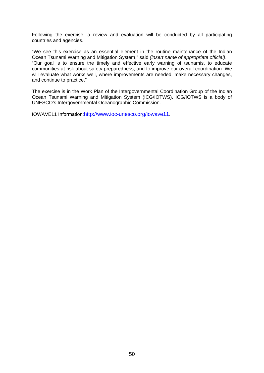Following the exercise, a review and evaluation will be conducted by all participating countries and agencies.

"We see this exercise as an essential element in the routine maintenance of the Indian Ocean Tsunami Warning and Mitigation System," said *(insert name of appropriate official)*. "Our goal is to ensure the timely and effective early warning of tsunamis, to educate communities at risk about safety preparedness, and to improve our overall coordination. We will evaluate what works well, where improvements are needed, make necessary changes, and continue to practice."

The exercise is in the Work Plan of the Intergovernmental Coordination Group of the Indian Ocean Tsunami Warning and Mitigation System (ICG/IOTWS). ICG/IOTWS is a body of UNESCO's Intergovernmental Oceanographic Commission.

IOWAVE11 Information:http://www.ioc-unesco.org/iowave11.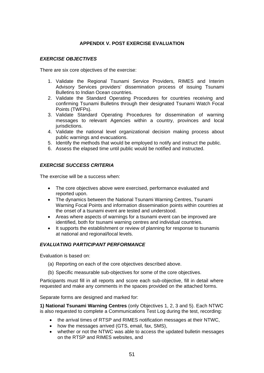## **APPENDIX V. POST EXERCISE EVALUATION**

#### *EXERCISE OBJECTIVES*

There are six core objectives of the exercise:

- 1. Validate the Regional Tsunami Service Providers, RIMES and Interim Advisory Services providers' dissemination process of issuing Tsunami Bulletins to Indian Ocean countries.
- 2. Validate the Standard Operating Procedures for countries receiving and confirming Tsunami Bulletins through their designated Tsunami Watch Focal Points (TWFPs).
- 3. Validate Standard Operating Procedures for dissemination of warning messages to relevant Agencies within a country, provinces and local jurisdictions.
- 4. Validate the national level organizational decision making process about public warnings and evacuations.
- 5. Identify the methods that would be employed to notify and instruct the public.
- 6. Assess the elapsed time until public would be notified and instructed.

#### *EXERCISE SUCCESS CRITERIA*

The exercise will be a success when:

- The core objectives above were exercised, performance evaluated and reported upon.
- The dynamics between the National Tsunami Warning Centres, Tsunami Warning Focal Points and information dissemination points within countries at the onset of a tsunami event are tested and understood.
- Areas where aspects of warnings for a tsunami event can be improved are identified, both for tsunami warning centres and individual countries.
- It supports the establishment or review of planning for response to tsunamis at national and regional/local levels.

## *EVALUATING PARTICIPANT PERFORMANCE*

Evaluation is based on:

- (a) Reporting on each of the core objectives described above.
- (b) Specific measurable sub-objectives for some of the core objectives.

Participants must fill in all reports and score each sub-objective, fill in detail where requested and make any comments in the spaces provided on the attached forms.

Separate forms are designed and marked for:

**1) National Tsunami Warning Centres** (only Objectives 1, 2, 3 and 5). Each NTWC is also requested to complete a Communications Test Log during the test, recording:

- the arrival times of RTSP and RIMES notification messages at their NTWC,
- how the messages arrived (GTS, email, fax, SMS),
- whether or not the NTWC was able to access the updated bulletin messages on the RTSP and RIMES websites, and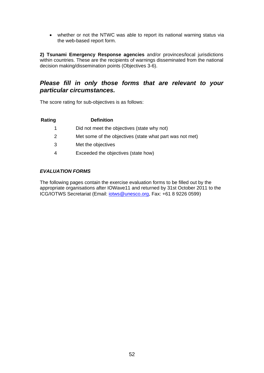whether or not the NTWC was able to report its national warning status via the web-based report form.

**2) Tsunami Emergency Response agencies** and/or provinces/local jurisdictions within countries. These are the recipients of warnings disseminated from the national decision making/dissemination points (Objectives 3-6).

# *Please fill in only those forms that are relevant to your particular circumstances.*

The score rating for sub-objectives is as follows:

## **Rating Definition**

- 1 Did not meet the objectives (state why not)
- 2 Met some of the objectives (state what part was not met)
- 3 Met the objectives
- 4 Exceeded the objectives (state how)

## *EVALUATION FORMS*

The following pages contain the exercise evaluation forms to be filled out by the appropriate organisations after IOWave11 and returned by 31st October 2011 to the ICG/IOTWS Secretariat (Email: [iotws@unesco.org,](mailto:iotws@unesco.org) Fax: +61 8 9226 0599)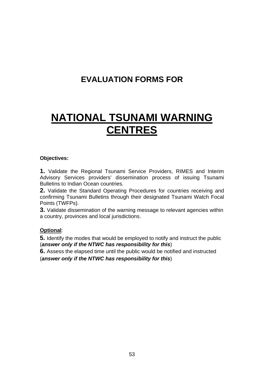# **EVALUATION FORMS FOR**

# **NATIONAL TSUNAMI WARNING CENTRES**

# **Objectives:**

**1.** Validate the Regional Tsunami Service Providers, RIMES and Interim Advisory Services providers' dissemination process of issuing Tsunami Bulletins to Indian Ocean countries.

**2.** Validate the Standard Operating Procedures for countries receiving and confirming Tsunami Bulletins through their designated Tsunami Watch Focal Points (TWFPs).

**3.** Validate dissemination of the warning message to relevant agencies within a country, provinces and local jurisdictions.

# **Optional**:

**5.** Identify the modes that would be employed to notify and instruct the public (*answer only if the NTWC has responsibility for this*)

**6.** Assess the elapsed time until the public would be notified and instructed (*answer only if the NTWC has responsibility for this*)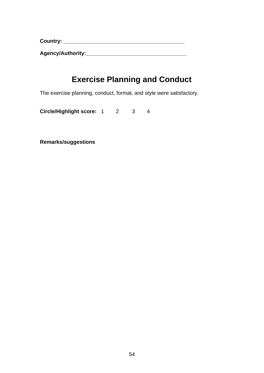**Country: \_\_\_\_\_\_\_\_\_\_\_\_\_\_\_\_\_\_\_\_\_\_\_\_\_\_\_\_\_\_\_\_\_\_\_\_\_\_\_\_\_** 

**Agency/Authority:\_\_\_\_\_\_\_\_\_\_\_\_\_\_\_\_\_\_\_\_\_\_\_\_\_\_\_\_\_\_\_\_\_\_**

# **Exercise Planning and Conduct**

The exercise planning, conduct, format, and style were satisfactory.

**Circle/Highlight score:** 1 2 3 4

**Remarks/suggestions**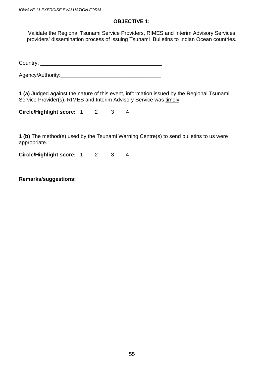# **OBJECTIVE 1:**

Validate the Regional Tsunami Service Providers, RIMES and Interim Advisory Services providers' dissemination process of issuing Tsunami Bulletins to Indian Ocean countries.

Country: \_\_\_\_\_\_\_\_\_\_\_\_\_\_\_\_\_\_\_\_\_\_\_\_\_\_\_\_\_\_\_\_\_\_\_\_\_\_\_\_\_

Agency/Authority: And Authority:

**1 (a)** Judged against the nature of this event, information issued by the Regional Tsunami Service Provider(s), RIMES and Interim Advisory Service was timely:

**Circle/Highlight score:** 1 2 3 4

**1 (b)** The method(s) used by the Tsunami Warning Centre(s) to send bulletins to us were appropriate.

**Circle/Highlight score:** 1 2 3 4

**Remarks/suggestions:**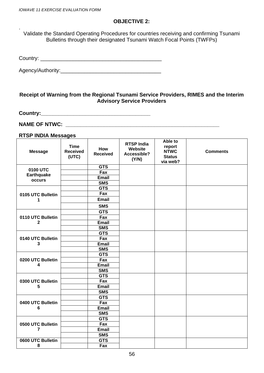.

## **OBJECTIVE 2:**

Validate the Standard Operating Procedures for countries receiving and confirming Tsunami Bulletins through their designated Tsunami Watch Focal Points (TWFPs)

Country: \_\_\_\_\_\_\_\_\_\_\_\_\_\_\_\_\_\_\_\_\_\_\_\_\_\_\_\_\_\_\_\_\_\_\_\_\_\_\_\_\_

Agency/Authority:\_\_\_\_\_\_\_\_\_\_\_\_\_\_\_\_\_\_\_\_\_\_\_\_\_\_\_\_\_\_\_\_\_\_

## **Receipt of Warning from the Regional Tsunami Service Providers, RIMES and the Interim Advisory Service Providers**

**Country:\_\_\_\_\_\_\_\_\_\_\_\_\_\_\_\_\_\_\_\_\_\_\_\_\_\_\_\_\_\_\_\_\_\_\_\_\_** 

**NAME OF NTWC: \_\_\_\_\_\_\_\_\_\_\_\_\_\_\_\_\_\_\_\_\_\_\_\_\_\_\_\_\_\_\_\_\_\_\_\_\_\_\_\_\_\_\_\_\_\_\_\_\_\_\_\_** 

# **RTSP INDIA Messages**

| 0100 UTC<br>Fax<br><b>Earthquake</b><br><b>Email</b><br>occurs<br><b>SMS</b><br><b>GTS</b><br>Fax<br>0105 UTC Bulletin<br><b>Email</b><br>1<br><b>SMS</b><br><b>GTS</b><br>Fax<br>0110 UTC Bulletin<br><b>Email</b><br>$\mathbf{2}$<br><b>SMS</b><br><b>GTS</b><br>Fax<br>0140 UTC Bulletin<br><b>Email</b><br>3<br><b>SMS</b><br><b>GTS</b><br>Fax<br>0200 UTC Bulletin<br>Email<br>4<br><b>SMS</b><br><b>GTS</b><br>Fax<br>0300 UTC Bulletin<br><b>Email</b><br>5<br><b>SMS</b><br><b>GTS</b><br>0400 UTC Bulletin<br>Fax<br>6<br><b>Email</b><br><b>SMS</b><br><b>GTS</b><br>Fax<br>0500 UTC Bulletin<br><b>Email</b><br>$\overline{7}$<br><b>SMS</b><br><b>GTS</b><br>0600 UTC Bulletin<br>8<br>Fax | <b>Message</b> | <b>Time</b><br><b>Received</b><br>(UTC) | How<br><b>Received</b> | <b>RTSP India</b><br>Website<br>Accessible?<br>(Y/N) | Able to<br>report<br><b>NTWC</b><br><b>Status</b><br>via web? | <b>Comments</b> |
|---------------------------------------------------------------------------------------------------------------------------------------------------------------------------------------------------------------------------------------------------------------------------------------------------------------------------------------------------------------------------------------------------------------------------------------------------------------------------------------------------------------------------------------------------------------------------------------------------------------------------------------------------------------------------------------------------------|----------------|-----------------------------------------|------------------------|------------------------------------------------------|---------------------------------------------------------------|-----------------|
|                                                                                                                                                                                                                                                                                                                                                                                                                                                                                                                                                                                                                                                                                                         |                |                                         | <b>GTS</b>             |                                                      |                                                               |                 |
|                                                                                                                                                                                                                                                                                                                                                                                                                                                                                                                                                                                                                                                                                                         |                |                                         |                        |                                                      |                                                               |                 |
|                                                                                                                                                                                                                                                                                                                                                                                                                                                                                                                                                                                                                                                                                                         |                |                                         |                        |                                                      |                                                               |                 |
|                                                                                                                                                                                                                                                                                                                                                                                                                                                                                                                                                                                                                                                                                                         |                |                                         |                        |                                                      |                                                               |                 |
|                                                                                                                                                                                                                                                                                                                                                                                                                                                                                                                                                                                                                                                                                                         |                |                                         |                        |                                                      |                                                               |                 |
|                                                                                                                                                                                                                                                                                                                                                                                                                                                                                                                                                                                                                                                                                                         |                |                                         |                        |                                                      |                                                               |                 |
|                                                                                                                                                                                                                                                                                                                                                                                                                                                                                                                                                                                                                                                                                                         |                |                                         |                        |                                                      |                                                               |                 |
|                                                                                                                                                                                                                                                                                                                                                                                                                                                                                                                                                                                                                                                                                                         |                |                                         |                        |                                                      |                                                               |                 |
|                                                                                                                                                                                                                                                                                                                                                                                                                                                                                                                                                                                                                                                                                                         |                |                                         |                        |                                                      |                                                               |                 |
|                                                                                                                                                                                                                                                                                                                                                                                                                                                                                                                                                                                                                                                                                                         |                |                                         |                        |                                                      |                                                               |                 |
|                                                                                                                                                                                                                                                                                                                                                                                                                                                                                                                                                                                                                                                                                                         |                |                                         |                        |                                                      |                                                               |                 |
|                                                                                                                                                                                                                                                                                                                                                                                                                                                                                                                                                                                                                                                                                                         |                |                                         |                        |                                                      |                                                               |                 |
|                                                                                                                                                                                                                                                                                                                                                                                                                                                                                                                                                                                                                                                                                                         |                |                                         |                        |                                                      |                                                               |                 |
|                                                                                                                                                                                                                                                                                                                                                                                                                                                                                                                                                                                                                                                                                                         |                |                                         |                        |                                                      |                                                               |                 |
|                                                                                                                                                                                                                                                                                                                                                                                                                                                                                                                                                                                                                                                                                                         |                |                                         |                        |                                                      |                                                               |                 |
|                                                                                                                                                                                                                                                                                                                                                                                                                                                                                                                                                                                                                                                                                                         |                |                                         |                        |                                                      |                                                               |                 |
|                                                                                                                                                                                                                                                                                                                                                                                                                                                                                                                                                                                                                                                                                                         |                |                                         |                        |                                                      |                                                               |                 |
|                                                                                                                                                                                                                                                                                                                                                                                                                                                                                                                                                                                                                                                                                                         |                |                                         |                        |                                                      |                                                               |                 |
|                                                                                                                                                                                                                                                                                                                                                                                                                                                                                                                                                                                                                                                                                                         |                |                                         |                        |                                                      |                                                               |                 |
|                                                                                                                                                                                                                                                                                                                                                                                                                                                                                                                                                                                                                                                                                                         |                |                                         |                        |                                                      |                                                               |                 |
|                                                                                                                                                                                                                                                                                                                                                                                                                                                                                                                                                                                                                                                                                                         |                |                                         |                        |                                                      |                                                               |                 |
|                                                                                                                                                                                                                                                                                                                                                                                                                                                                                                                                                                                                                                                                                                         |                |                                         |                        |                                                      |                                                               |                 |
|                                                                                                                                                                                                                                                                                                                                                                                                                                                                                                                                                                                                                                                                                                         |                |                                         |                        |                                                      |                                                               |                 |
|                                                                                                                                                                                                                                                                                                                                                                                                                                                                                                                                                                                                                                                                                                         |                |                                         |                        |                                                      |                                                               |                 |
|                                                                                                                                                                                                                                                                                                                                                                                                                                                                                                                                                                                                                                                                                                         |                |                                         |                        |                                                      |                                                               |                 |
|                                                                                                                                                                                                                                                                                                                                                                                                                                                                                                                                                                                                                                                                                                         |                |                                         |                        |                                                      |                                                               |                 |
|                                                                                                                                                                                                                                                                                                                                                                                                                                                                                                                                                                                                                                                                                                         |                |                                         |                        |                                                      |                                                               |                 |
|                                                                                                                                                                                                                                                                                                                                                                                                                                                                                                                                                                                                                                                                                                         |                |                                         |                        |                                                      |                                                               |                 |
|                                                                                                                                                                                                                                                                                                                                                                                                                                                                                                                                                                                                                                                                                                         |                |                                         |                        |                                                      |                                                               |                 |
|                                                                                                                                                                                                                                                                                                                                                                                                                                                                                                                                                                                                                                                                                                         |                |                                         |                        |                                                      |                                                               |                 |
|                                                                                                                                                                                                                                                                                                                                                                                                                                                                                                                                                                                                                                                                                                         |                |                                         |                        |                                                      |                                                               |                 |
|                                                                                                                                                                                                                                                                                                                                                                                                                                                                                                                                                                                                                                                                                                         |                |                                         |                        |                                                      |                                                               |                 |
|                                                                                                                                                                                                                                                                                                                                                                                                                                                                                                                                                                                                                                                                                                         |                |                                         |                        |                                                      |                                                               |                 |
|                                                                                                                                                                                                                                                                                                                                                                                                                                                                                                                                                                                                                                                                                                         |                |                                         |                        |                                                      |                                                               |                 |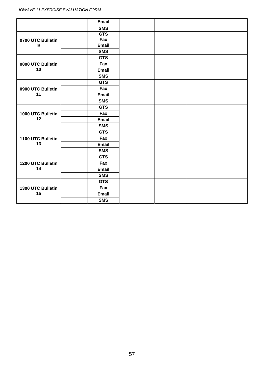|                   | <b>Email</b> |  |  |  |
|-------------------|--------------|--|--|--|
|                   | <b>SMS</b>   |  |  |  |
|                   | <b>GTS</b>   |  |  |  |
| 0700 UTC Bulletin | Fax          |  |  |  |
| $\boldsymbol{9}$  | <b>Email</b> |  |  |  |
|                   | <b>SMS</b>   |  |  |  |
|                   | <b>GTS</b>   |  |  |  |
| 0800 UTC Bulletin | Fax          |  |  |  |
| 10                | Email        |  |  |  |
|                   | <b>SMS</b>   |  |  |  |
|                   | <b>GTS</b>   |  |  |  |
| 0900 UTC Bulletin | Fax          |  |  |  |
| 11                | <b>Email</b> |  |  |  |
|                   | <b>SMS</b>   |  |  |  |
|                   | <b>GTS</b>   |  |  |  |
| 1000 UTC Bulletin | Fax          |  |  |  |
| 12                | <b>Email</b> |  |  |  |
|                   | <b>SMS</b>   |  |  |  |
|                   | <b>GTS</b>   |  |  |  |
| 1100 UTC Bulletin | Fax          |  |  |  |
| 13                | <b>Email</b> |  |  |  |
|                   | <b>SMS</b>   |  |  |  |
|                   | <b>GTS</b>   |  |  |  |
| 1200 UTC Bulletin | Fax          |  |  |  |
| 14                | <b>Email</b> |  |  |  |
|                   | <b>SMS</b>   |  |  |  |
|                   | <b>GTS</b>   |  |  |  |
| 1300 UTC Bulletin | Fax          |  |  |  |
| 15                | <b>Email</b> |  |  |  |
|                   | <b>SMS</b>   |  |  |  |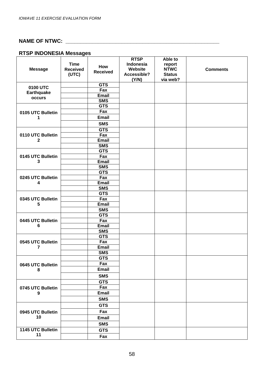# **NAME OF NTWC: \_\_\_\_\_\_\_\_\_\_\_\_\_\_\_\_\_\_\_\_\_\_\_\_\_\_\_\_\_\_\_\_\_\_\_\_\_\_\_\_\_\_\_\_\_\_\_\_\_\_\_\_**

# **RTSP INDONESIA Messages**

|                   |                 |                            | <b>RTSP</b> | Able to       |                 |
|-------------------|-----------------|----------------------------|-------------|---------------|-----------------|
|                   | <b>Time</b>     | How                        | Indonesia   | report        |                 |
| <b>Message</b>    | <b>Received</b> | <b>Received</b>            | Website     | <b>NTWC</b>   | <b>Comments</b> |
|                   | (UTC)           |                            | Accessible? | <b>Status</b> |                 |
|                   |                 |                            | (Y/N)       | via web?      |                 |
| 0100 UTC          |                 | <b>GTS</b>                 |             |               |                 |
| <b>Earthquake</b> |                 | Fax                        |             |               |                 |
| occurs            |                 | <b>Email</b>               |             |               |                 |
|                   |                 | <b>SMS</b>                 |             |               |                 |
|                   |                 | <b>GTS</b>                 |             |               |                 |
| 0105 UTC Bulletin |                 | Fax                        |             |               |                 |
| 1                 |                 | <b>Email</b>               |             |               |                 |
|                   |                 | <b>SMS</b>                 |             |               |                 |
|                   |                 | <b>GTS</b>                 |             |               |                 |
| 0110 UTC Bulletin |                 | Fax                        |             |               |                 |
| $\mathbf 2$       |                 | <b>Email</b>               |             |               |                 |
|                   |                 | <b>SMS</b>                 |             |               |                 |
|                   |                 | <b>GTS</b>                 |             |               |                 |
| 0145 UTC Bulletin |                 | Fax                        |             |               |                 |
| 3                 |                 | <b>Email</b>               |             |               |                 |
|                   |                 | <b>SMS</b>                 |             |               |                 |
|                   |                 | <b>GTS</b>                 |             |               |                 |
| 0245 UTC Bulletin |                 | Fax                        |             |               |                 |
| 4                 |                 | <b>Email</b>               |             |               |                 |
|                   |                 | <b>SMS</b>                 |             |               |                 |
|                   |                 | <b>GTS</b>                 |             |               |                 |
| 0345 UTC Bulletin |                 | Fax                        |             |               |                 |
| 5                 |                 | <b>Email</b><br><b>SMS</b> |             |               |                 |
|                   |                 | <b>GTS</b>                 |             |               |                 |
| 0445 UTC Bulletin |                 | Fax                        |             |               |                 |
| 6                 |                 | <b>Email</b>               |             |               |                 |
|                   |                 | <b>SMS</b>                 |             |               |                 |
|                   |                 | <b>GTS</b>                 |             |               |                 |
| 0545 UTC Bulletin |                 | Fax                        |             |               |                 |
| 7                 |                 | <b>Email</b>               |             |               |                 |
|                   |                 | <b>SMS</b>                 |             |               |                 |
|                   |                 | <b>GTS</b>                 |             |               |                 |
| 0645 UTC Bulletin |                 | Fax                        |             |               |                 |
| 8                 |                 | <b>Email</b>               |             |               |                 |
|                   |                 | <b>SMS</b>                 |             |               |                 |
|                   |                 | <b>GTS</b>                 |             |               |                 |
| 0745 UTC Bulletin |                 | Fax                        |             |               |                 |
|                   |                 | <b>Email</b>               |             |               |                 |
| 9                 |                 | <b>SMS</b>                 |             |               |                 |
|                   |                 |                            |             |               |                 |
|                   |                 | <b>GTS</b>                 |             |               |                 |
| 0945 UTC Bulletin |                 | Fax                        |             |               |                 |
| 10                |                 | <b>Email</b>               |             |               |                 |
|                   |                 | <b>SMS</b>                 |             |               |                 |
| 1145 UTC Bulletin |                 | <b>GTS</b>                 |             |               |                 |
| 11                |                 | Fax                        |             |               |                 |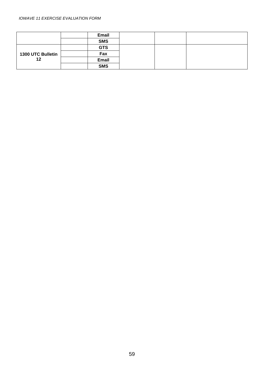#### *IOWAVE 11 EXERCISE EVALUATION FORM*

|                   | Email      |  |  |
|-------------------|------------|--|--|
|                   | <b>SMS</b> |  |  |
|                   | <b>GTS</b> |  |  |
| 1300 UTC Bulletin | Fax        |  |  |
| 12                | Email      |  |  |
|                   | <b>SMS</b> |  |  |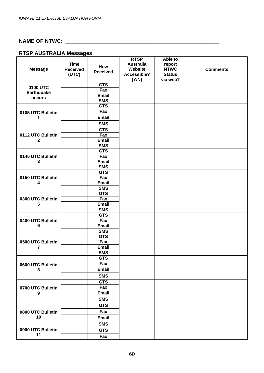# **NAME OF NTWC: \_\_\_\_\_\_\_\_\_\_\_\_\_\_\_\_\_\_\_\_\_\_\_\_\_\_\_\_\_\_\_\_\_\_\_\_\_\_\_\_\_\_\_\_\_\_\_\_\_\_\_\_**

# **RTSP AUSTRALIA Messages**

|                        |                 |                 | <b>RTSP</b>      | Able to       |                 |
|------------------------|-----------------|-----------------|------------------|---------------|-----------------|
|                        | <b>Time</b>     | How             | <b>Australia</b> | report        |                 |
| <b>Message</b>         | <b>Received</b> | <b>Received</b> | Website          | <b>NTWC</b>   | <b>Comments</b> |
|                        | (UTC)           |                 | Accessible?      | <b>Status</b> |                 |
|                        |                 |                 | (Y/N)            | via web?      |                 |
| 0100 UTC               |                 | <b>GTS</b>      |                  |               |                 |
| <b>Earthquake</b>      |                 | Fax             |                  |               |                 |
| occurs                 |                 | <b>Email</b>    |                  |               |                 |
|                        |                 | <b>SMS</b>      |                  |               |                 |
|                        |                 | <b>GTS</b>      |                  |               |                 |
| 0105 UTC Bulletin      |                 | Fax             |                  |               |                 |
| 1                      |                 | <b>Email</b>    |                  |               |                 |
|                        |                 | <b>SMS</b>      |                  |               |                 |
|                        |                 | <b>GTS</b>      |                  |               |                 |
| 0112 UTC Bulletin      |                 | Fax             |                  |               |                 |
| $\mathbf 2$            |                 | Email           |                  |               |                 |
|                        |                 | <b>SMS</b>      |                  |               |                 |
|                        |                 | <b>GTS</b>      |                  |               |                 |
| 0145 UTC Bulletin      |                 | Fax             |                  |               |                 |
| 3                      |                 | Email           |                  |               |                 |
|                        |                 | <b>SMS</b>      |                  |               |                 |
|                        |                 | <b>GTS</b>      |                  |               |                 |
| 0150 UTC Bulletin      |                 | Fax             |                  |               |                 |
| 4                      |                 | Email           |                  |               |                 |
|                        |                 | <b>SMS</b>      |                  |               |                 |
|                        |                 | <b>GTS</b>      |                  |               |                 |
| 0300 UTC Bulletin<br>5 |                 | Fax             |                  |               |                 |
|                        |                 | <b>Email</b>    |                  |               |                 |
|                        |                 | <b>SMS</b>      |                  |               |                 |
|                        |                 | <b>GTS</b>      |                  |               |                 |
| 0400 UTC Bulletin      |                 | Fax             |                  |               |                 |
| 6                      |                 | <b>Email</b>    |                  |               |                 |
|                        |                 | <b>SMS</b>      |                  |               |                 |
|                        |                 | <b>GTS</b>      |                  |               |                 |
| 0500 UTC Bulletin      |                 | Fax             |                  |               |                 |
| 7                      |                 | <b>Email</b>    |                  |               |                 |
|                        |                 | <b>SMS</b>      |                  |               |                 |
|                        |                 | <b>GTS</b>      |                  |               |                 |
| 0600 UTC Bulletin      |                 | Fax             |                  |               |                 |
| 8                      |                 | <b>Email</b>    |                  |               |                 |
|                        |                 | <b>SMS</b>      |                  |               |                 |
|                        |                 | <b>GTS</b>      |                  |               |                 |
| 0700 UTC Bulletin      |                 | Fax             |                  |               |                 |
| $\boldsymbol{9}$       |                 | <b>Email</b>    |                  |               |                 |
|                        |                 | <b>SMS</b>      |                  |               |                 |
|                        |                 | <b>GTS</b>      |                  |               |                 |
|                        |                 |                 |                  |               |                 |
| 0800 UTC Bulletin      |                 | Fax             |                  |               |                 |
| 10                     |                 | <b>Email</b>    |                  |               |                 |
|                        |                 | <b>SMS</b>      |                  |               |                 |
| 0900 UTC Bulletin      |                 | <b>GTS</b>      |                  |               |                 |
| 11                     |                 | Fax             |                  |               |                 |
|                        |                 |                 |                  |               |                 |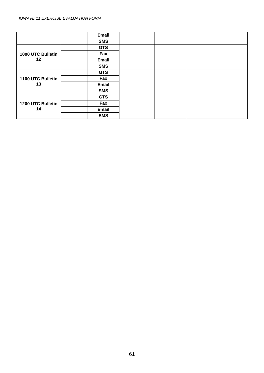|                   | Email        |  |  |
|-------------------|--------------|--|--|
|                   | <b>SMS</b>   |  |  |
|                   | <b>GTS</b>   |  |  |
| 1000 UTC Bulletin | Fax          |  |  |
| 12                | <b>Email</b> |  |  |
|                   | <b>SMS</b>   |  |  |
|                   | <b>GTS</b>   |  |  |
| 1100 UTC Bulletin | Fax          |  |  |
| 13                | <b>Email</b> |  |  |
|                   | <b>SMS</b>   |  |  |
|                   | <b>GTS</b>   |  |  |
| 1200 UTC Bulletin | Fax          |  |  |
| 14                | Email        |  |  |
|                   | <b>SMS</b>   |  |  |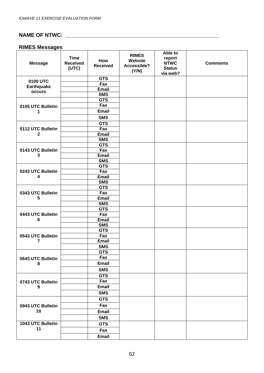# **NAME OF NTWC: \_\_\_\_\_\_\_\_\_\_\_\_\_\_\_\_\_\_\_\_\_\_\_\_\_\_\_\_\_\_\_\_\_\_\_\_\_\_\_\_\_\_\_\_\_\_\_\_\_\_\_\_**

# **RIMES Messages**

| <b>Message</b>          | <b>Time</b><br><b>Received</b><br>(UTC) | How<br><b>Received</b>   | <b>RIMES</b><br>Website<br>Accessible?<br>(Y/N) | Able to<br>report<br><b>NTWC</b><br><b>Status</b><br>via web? | <b>Comments</b> |
|-------------------------|-----------------------------------------|--------------------------|-------------------------------------------------|---------------------------------------------------------------|-----------------|
| 0100 UTC                |                                         | <b>GTS</b>               |                                                 |                                                               |                 |
| <b>Earthquake</b>       |                                         | Fax                      |                                                 |                                                               |                 |
| occurs                  |                                         | <b>Email</b>             |                                                 |                                                               |                 |
|                         |                                         | <b>SMS</b>               |                                                 |                                                               |                 |
|                         |                                         | <b>GTS</b>               |                                                 |                                                               |                 |
| 0105 UTC Bulletin       |                                         | Fax                      |                                                 |                                                               |                 |
| 1                       |                                         | <b>Email</b>             |                                                 |                                                               |                 |
|                         |                                         | <b>SMS</b>               |                                                 |                                                               |                 |
|                         |                                         | <b>GTS</b>               |                                                 |                                                               |                 |
| 0112 UTC Bulletin       |                                         | Fax                      |                                                 |                                                               |                 |
| $\mathbf 2$             |                                         | <b>Email</b>             |                                                 |                                                               |                 |
|                         |                                         | <b>SMS</b><br><b>GTS</b> |                                                 |                                                               |                 |
| 0143 UTC Bulletin       |                                         | Fax                      |                                                 |                                                               |                 |
| 3                       |                                         | <b>Email</b>             |                                                 |                                                               |                 |
|                         |                                         | <b>SMS</b>               |                                                 |                                                               |                 |
|                         |                                         | <b>GTS</b>               |                                                 |                                                               |                 |
| 0243 UTC Bulletin<br>4  |                                         | Fax                      |                                                 |                                                               |                 |
|                         |                                         | <b>Email</b>             |                                                 |                                                               |                 |
|                         |                                         | <b>SMS</b>               |                                                 |                                                               |                 |
|                         |                                         | <b>GTS</b>               |                                                 |                                                               |                 |
| 0343 UTC Bulletin       |                                         | Fax                      |                                                 |                                                               |                 |
| 5                       |                                         | <b>Email</b>             |                                                 |                                                               |                 |
|                         |                                         | <b>SMS</b>               |                                                 |                                                               |                 |
|                         |                                         | <b>GTS</b>               |                                                 |                                                               |                 |
| 0443 UTC Bulletin       |                                         | Fax<br><b>Email</b>      |                                                 |                                                               |                 |
| 6                       |                                         | <b>SMS</b>               |                                                 |                                                               |                 |
|                         |                                         | <b>GTS</b>               |                                                 |                                                               |                 |
| 0543 UTC Bulletin       |                                         | Fax                      |                                                 |                                                               |                 |
| 7                       |                                         | Email                    |                                                 |                                                               |                 |
|                         |                                         | <b>SMS</b>               |                                                 |                                                               |                 |
|                         |                                         | <b>GTS</b>               |                                                 |                                                               |                 |
| 0643 UTC Bulletin       |                                         | Fax                      |                                                 |                                                               |                 |
| 8                       |                                         | Email                    |                                                 |                                                               |                 |
|                         |                                         | <b>SMS</b>               |                                                 |                                                               |                 |
|                         |                                         | <b>GTS</b>               |                                                 |                                                               |                 |
| 0743 UTC Bulletin       |                                         | Fax                      |                                                 |                                                               |                 |
| 9                       |                                         | Email                    |                                                 |                                                               |                 |
|                         |                                         | <b>SMS</b>               |                                                 |                                                               |                 |
|                         |                                         | <b>GTS</b>               |                                                 |                                                               |                 |
| 0943 UTC Bulletin       |                                         | Fax                      |                                                 |                                                               |                 |
| 10                      |                                         | <b>Email</b>             |                                                 |                                                               |                 |
|                         |                                         | <b>SMS</b>               |                                                 |                                                               |                 |
|                         |                                         |                          |                                                 |                                                               |                 |
| 1043 UTC Bulletin<br>11 |                                         | <b>GTS</b>               |                                                 |                                                               |                 |
|                         |                                         | Fax                      |                                                 |                                                               |                 |
|                         |                                         | Email                    |                                                 |                                                               |                 |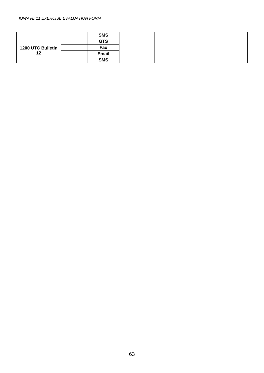#### *IOWAVE 11 EXERCISE EVALUATION FORM*

|                         | <b>SMS</b> |  |  |
|-------------------------|------------|--|--|
|                         | <b>GTS</b> |  |  |
| 1200 UTC Bulletin<br>12 | Fax        |  |  |
|                         | Email      |  |  |
|                         | <b>SMS</b> |  |  |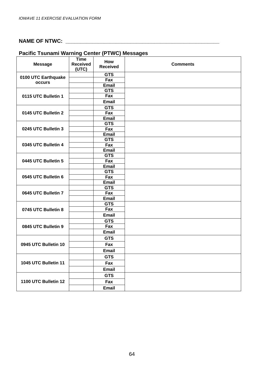# **NAME OF NTWC: \_\_\_\_\_\_\_\_\_\_\_\_\_\_\_\_\_\_\_\_\_\_\_\_\_\_\_\_\_\_\_\_\_\_\_\_\_\_\_\_\_\_\_\_\_\_\_\_\_\_\_\_**

| <b>Pacific Tsunami Warning Center (PTWC) Messages</b> |  |  |  |  |  |
|-------------------------------------------------------|--|--|--|--|--|
|-------------------------------------------------------|--|--|--|--|--|

| <b>Message</b>       | <b>Time</b><br><b>Received</b> | How<br><b>Received</b> | <b>Comments</b> |
|----------------------|--------------------------------|------------------------|-----------------|
|                      | (UTC)                          |                        |                 |
| 0100 UTC Earthquake  |                                | <b>GTS</b>             |                 |
| <b>occurs</b>        |                                | Fax                    |                 |
|                      |                                | <b>Email</b>           |                 |
|                      |                                | <b>GTS</b>             |                 |
| 0115 UTC Bulletin 1  |                                | Fax                    |                 |
|                      |                                | <b>Email</b>           |                 |
|                      |                                | <b>GTS</b>             |                 |
| 0145 UTC Bulletin 2  |                                | Fax                    |                 |
|                      |                                | <b>Email</b>           |                 |
|                      |                                | <b>GTS</b>             |                 |
| 0245 UTC Bulletin 3  |                                | Fax                    |                 |
|                      |                                | <b>Email</b>           |                 |
|                      |                                | <b>GTS</b>             |                 |
| 0345 UTC Bulletin 4  |                                | Fax                    |                 |
|                      |                                | <b>Email</b>           |                 |
|                      |                                | <b>GTS</b>             |                 |
| 0445 UTC Bulletin 5  |                                | Fax                    |                 |
|                      |                                | <b>Email</b>           |                 |
|                      |                                | <b>GTS</b>             |                 |
| 0545 UTC Bulletin 6  |                                | Fax                    |                 |
|                      |                                | <b>Email</b>           |                 |
|                      |                                | <b>GTS</b>             |                 |
| 0645 UTC Bulletin 7  |                                | Fax                    |                 |
|                      |                                | <b>Email</b>           |                 |
|                      |                                | <b>GTS</b>             |                 |
| 0745 UTC Bulletin 8  |                                | Fax                    |                 |
|                      |                                | <b>Email</b>           |                 |
|                      |                                | <b>GTS</b>             |                 |
| 0845 UTC Bulletin 9  |                                | Fax                    |                 |
|                      |                                | <b>Email</b>           |                 |
| 0945 UTC Bulletin 10 |                                | <b>GTS</b>             |                 |
|                      |                                | Fax                    |                 |
|                      |                                | <b>Email</b>           |                 |
| 1045 UTC Bulletin 11 |                                | <b>GTS</b>             |                 |
|                      |                                | Fax                    |                 |
|                      |                                | <b>Email</b>           |                 |
|                      |                                | <b>GTS</b>             |                 |
| 1100 UTC Bulletin 12 |                                | Fax                    |                 |
|                      |                                | <b>Email</b>           |                 |
|                      |                                |                        |                 |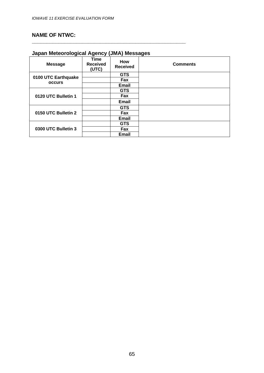### **NAME OF NTWC:**

#### **Japan Meteorological Agency (JMA) Messages**

**\_\_\_\_\_\_\_\_\_\_\_\_\_\_\_\_\_\_\_\_\_\_\_\_\_\_\_\_\_\_\_\_\_\_\_\_\_\_\_\_\_\_\_\_\_\_\_\_\_\_\_\_** 

| <b>Message</b>      | <b>Time</b><br><b>Received</b><br>(UTC) | How<br><b>Received</b> | <b>Comments</b> |
|---------------------|-----------------------------------------|------------------------|-----------------|
|                     |                                         | <b>GTS</b>             |                 |
| 0100 UTC Earthquake |                                         | Fax                    |                 |
| <b>occurs</b>       |                                         | <b>Email</b>           |                 |
| 0120 UTC Bulletin 1 |                                         | <b>GTS</b>             |                 |
|                     |                                         | Fax                    |                 |
|                     |                                         | <b>Email</b>           |                 |
|                     |                                         | <b>GTS</b>             |                 |
| 0150 UTC Bulletin 2 |                                         | Fax                    |                 |
|                     |                                         | <b>Email</b>           |                 |
| 0300 UTC Bulletin 3 |                                         | <b>GTS</b>             |                 |
|                     |                                         | Fax                    |                 |
|                     |                                         | <b>Email</b>           |                 |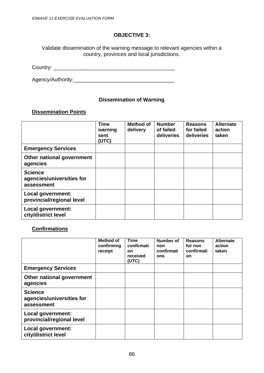Validate dissemination of the warning message to relevant agencies within a country, provinces and local jurisdictions.

Country: \_\_\_\_\_\_\_\_\_\_\_\_\_\_\_\_\_\_\_\_\_\_\_\_\_\_\_\_\_\_\_\_\_\_\_\_\_\_\_\_\_

Agency/Authority:\_\_\_\_\_\_\_\_\_\_\_\_\_\_\_\_\_\_\_\_\_\_\_\_\_\_\_\_\_\_\_\_\_\_

#### **Dissemination of Warning**

#### **Dissemination Points**

|                                                           | <b>Time</b><br>warning<br>sent<br>(UTC) | <b>Method of</b><br>delivery | <b>Number</b><br>of failed<br>deliveries | <b>Reasons</b><br>for failed<br>deliveries | <b>Alternate</b><br>action<br>taken |
|-----------------------------------------------------------|-----------------------------------------|------------------------------|------------------------------------------|--------------------------------------------|-------------------------------------|
| <b>Emergency Services</b>                                 |                                         |                              |                                          |                                            |                                     |
| Other national government<br>agencies                     |                                         |                              |                                          |                                            |                                     |
| <b>Science</b><br>agencies/universities for<br>assessment |                                         |                              |                                          |                                            |                                     |
| Local government:<br>provincial/regional level            |                                         |                              |                                          |                                            |                                     |
| Local government:<br>city/district level                  |                                         |                              |                                          |                                            |                                     |

#### **Confirmations**

|                                                           | Method of<br>confirming<br>receipt | <b>Time</b><br>confirmati<br><b>on</b><br>received<br>(UTC) | Number of<br>non<br>confirmati<br>ons | <b>Reasons</b><br>for non<br>confirmati<br>on | <b>Alternate</b><br>action<br>taken |
|-----------------------------------------------------------|------------------------------------|-------------------------------------------------------------|---------------------------------------|-----------------------------------------------|-------------------------------------|
| <b>Emergency Services</b>                                 |                                    |                                                             |                                       |                                               |                                     |
| Other national government<br>agencies                     |                                    |                                                             |                                       |                                               |                                     |
| <b>Science</b><br>agencies/universities for<br>assessment |                                    |                                                             |                                       |                                               |                                     |
| <b>Local government:</b><br>provincial/regional level     |                                    |                                                             |                                       |                                               |                                     |
| <b>Local government:</b><br>city/district level           |                                    |                                                             |                                       |                                               |                                     |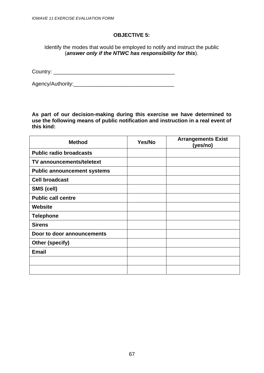Identify the modes that would be employed to notify and instruct the public (*answer only if the NTWC has responsibility for this*).

Country:

Agency/Authority:\_\_\_\_\_\_\_\_\_\_\_\_\_\_\_\_\_\_\_\_\_\_\_\_\_\_\_\_\_\_\_\_\_\_

**As part of our decision-making during this exercise we have determined to use the following means of public notification and instruction in a real event of this kind:** 

| <b>Method</b>                      | Yes/No | <b>Arrangements Exist</b><br>(yes/no) |
|------------------------------------|--------|---------------------------------------|
| <b>Public radio broadcasts</b>     |        |                                       |
| TV announcements/teletext          |        |                                       |
| <b>Public announcement systems</b> |        |                                       |
| <b>Cell broadcast</b>              |        |                                       |
| SMS (cell)                         |        |                                       |
| <b>Public call centre</b>          |        |                                       |
| <b>Website</b>                     |        |                                       |
| <b>Telephone</b>                   |        |                                       |
| <b>Sirens</b>                      |        |                                       |
| Door to door announcements         |        |                                       |
| Other (specify)                    |        |                                       |
| <b>Email</b>                       |        |                                       |
|                                    |        |                                       |
|                                    |        |                                       |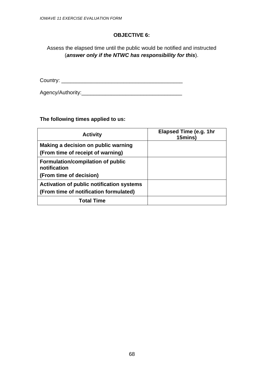Assess the elapsed time until the public would be notified and instructed (*answer only if the NTWC has responsibility for this*).

Country: \_\_\_\_\_\_\_\_\_\_\_\_\_\_\_\_\_\_\_\_\_\_\_\_\_\_\_\_\_\_\_\_\_\_\_\_\_\_\_\_\_

Agency/Authority:\_\_\_\_\_\_\_\_\_\_\_\_\_\_\_\_\_\_\_\_\_\_\_\_\_\_\_\_\_\_\_\_\_\_

**The following times applied to us:** 

| <b>Activity</b>                                                                     | Elapsed Time (e.g. 1hr<br>15mins) |
|-------------------------------------------------------------------------------------|-----------------------------------|
| Making a decision on public warning<br>(From time of receipt of warning)            |                                   |
| Formulation/compilation of public<br>notification<br>(From time of decision)        |                                   |
| Activation of public notification systems<br>(From time of notification formulated) |                                   |
| <b>Total Time</b>                                                                   |                                   |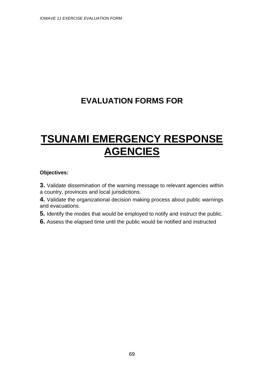## **EVALUATION FORMS FOR**

# **TSUNAMI EMERGENCY RESPONSE AGENCIES**

#### **Objectives:**

**3.** Validate dissemination of the warning message to relevant agencies within a country, provinces and local jurisdictions.

**4.** Validate the organizational decision making process about public warnings and evacuations.

**5.** Identify the modes that would be employed to notify and instruct the public.

**6.** Assess the elapsed time until the public would be notified and instructed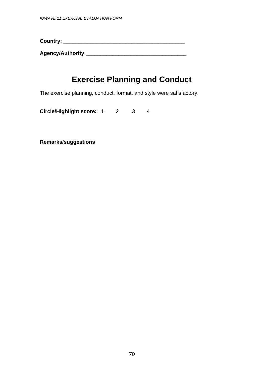**Country: \_\_\_\_\_\_\_\_\_\_\_\_\_\_\_\_\_\_\_\_\_\_\_\_\_\_\_\_\_\_\_\_\_\_\_\_\_\_\_\_\_** 

**Agency/Authority:\_\_\_\_\_\_\_\_\_\_\_\_\_\_\_\_\_\_\_\_\_\_\_\_\_\_\_\_\_\_\_\_\_\_**

## **Exercise Planning and Conduct**

The exercise planning, conduct, format, and style were satisfactory.

**Circle/Highlight score:** 1 2 3 4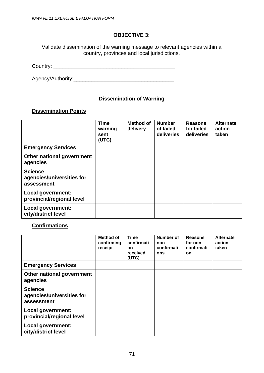Validate dissemination of the warning message to relevant agencies within a country, provinces and local jurisdictions.

Country: \_\_\_\_\_\_\_\_\_\_\_\_\_\_\_\_\_\_\_\_\_\_\_\_\_\_\_\_\_\_\_\_\_\_\_\_\_\_\_\_\_

Agency/Authority:\_\_\_\_\_\_\_\_\_\_\_\_\_\_\_\_\_\_\_\_\_\_\_\_\_\_\_\_\_\_\_\_\_\_

#### **Dissemination of Warning**

#### **Dissemination Points**

|                                                           | <b>Time</b><br>warning<br>sent<br>(UTC) | <b>Method of</b><br>delivery | <b>Number</b><br>of failed<br>deliveries | <b>Reasons</b><br>for failed<br>deliveries | <b>Alternate</b><br>action<br>taken |
|-----------------------------------------------------------|-----------------------------------------|------------------------------|------------------------------------------|--------------------------------------------|-------------------------------------|
| <b>Emergency Services</b>                                 |                                         |                              |                                          |                                            |                                     |
| Other national government<br>agencies                     |                                         |                              |                                          |                                            |                                     |
| <b>Science</b><br>agencies/universities for<br>assessment |                                         |                              |                                          |                                            |                                     |
| Local government:<br>provincial/regional level            |                                         |                              |                                          |                                            |                                     |
| Local government:<br>city/district level                  |                                         |                              |                                          |                                            |                                     |

#### **Confirmations**

|                                                           | Method of<br>confirming<br>receipt | <b>Time</b><br>confirmati<br><b>on</b><br>received<br>(UTC) | Number of<br>non<br>confirmati<br>ons | <b>Reasons</b><br>for non<br>confirmati<br>on | <b>Alternate</b><br>action<br>taken |
|-----------------------------------------------------------|------------------------------------|-------------------------------------------------------------|---------------------------------------|-----------------------------------------------|-------------------------------------|
| <b>Emergency Services</b>                                 |                                    |                                                             |                                       |                                               |                                     |
| Other national government<br>agencies                     |                                    |                                                             |                                       |                                               |                                     |
| <b>Science</b><br>agencies/universities for<br>assessment |                                    |                                                             |                                       |                                               |                                     |
| Local government:<br>provincial/regional level            |                                    |                                                             |                                       |                                               |                                     |
| Local government:<br>city/district level                  |                                    |                                                             |                                       |                                               |                                     |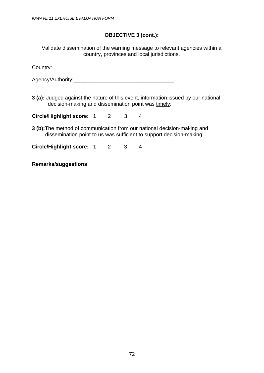#### **OBJECTIVE 3 (cont.):**

Validate dissemination of the warning message to relevant agencies within a country, provinces and local jurisdictions.

Country: \_\_\_\_\_\_\_\_\_\_\_\_\_\_\_\_\_\_\_\_\_\_\_\_\_\_\_\_\_\_\_\_\_\_\_\_\_\_\_\_\_

Agency/Authority:\_\_\_\_\_\_\_\_\_\_\_\_\_\_\_\_\_\_\_\_\_\_\_\_\_\_\_\_\_\_\_\_\_\_

**3 (a):** Judged against the nature of this event, information issued by our national decision-making and dissemination point was timely:

**Circle/Highlight score:** 1 2 3 4

**3 (b):**The method of communication from our national decision-making and dissemination point to us was sufficient to support decision-making:

**Circle/Highlight score:** 1 2 3 4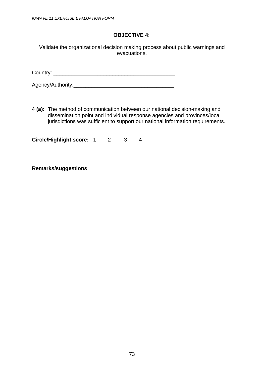Validate the organizational decision making process about public warnings and evacuations.

Country: \_\_\_\_\_\_\_\_\_\_\_\_\_\_\_\_\_\_\_\_\_\_\_\_\_\_\_\_\_\_\_\_\_\_\_\_\_\_\_\_\_

Agency/Authority:\_\_\_\_\_\_\_\_\_\_\_\_\_\_\_\_\_\_\_\_\_\_\_\_\_\_\_\_\_\_\_\_\_\_

**4 (a):** The method of communication between our national decision-making and dissemination point and individual response agencies and provinces/local jurisdictions was sufficient to support our national information requirements.

**Circle/Highlight score:** 1 2 3 4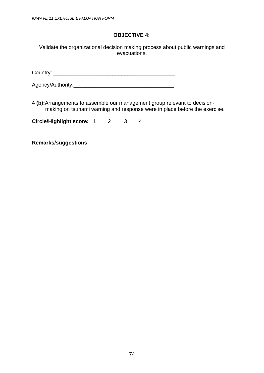Validate the organizational decision making process about public warnings and evacuations.

Country: \_\_\_\_\_\_\_\_\_\_\_\_\_\_\_\_\_\_\_\_\_\_\_\_\_\_\_\_\_\_\_\_\_\_\_\_\_\_\_\_\_

Agency/Authority:\_\_\_\_\_\_\_\_\_\_\_\_\_\_\_\_\_\_\_\_\_\_\_\_\_\_\_\_\_\_\_\_\_\_

**4 (b):**Arrangements to assemble our management group relevant to decisionmaking on tsunami warning and response were in place before the exercise.

**Circle/Highlight score:** 1 2 3 4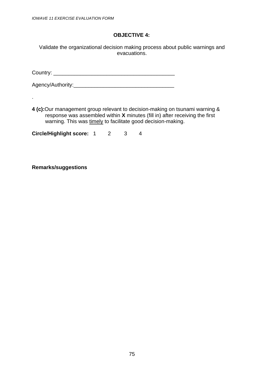Validate the organizational decision making process about public warnings and evacuations.

Country: \_\_\_\_\_\_\_\_\_\_\_\_\_\_\_\_\_\_\_\_\_\_\_\_\_\_\_\_\_\_\_\_\_\_\_\_\_\_\_\_\_

Agency/Authority:\_\_\_\_\_\_\_\_\_\_\_\_\_\_\_\_\_\_\_\_\_\_\_\_\_\_\_\_\_\_\_\_\_\_

**4 (c):**Our management group relevant to decision-making on tsunami warning & response was assembled within **X** minutes (fill in) after receiving the first warning. This was timely to facilitate good decision-making.

**Circle/Highlight score:** 1 2 3 4

**Remarks/suggestions** 

.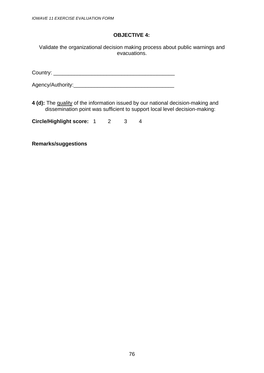Validate the organizational decision making process about public warnings and evacuations.

Country: \_\_\_\_\_\_\_\_\_\_\_\_\_\_\_\_\_\_\_\_\_\_\_\_\_\_\_\_\_\_\_\_\_\_\_\_\_\_\_\_\_

Agency/Authority:\_\_\_\_\_\_\_\_\_\_\_\_\_\_\_\_\_\_\_\_\_\_\_\_\_\_\_\_\_\_\_\_\_\_

**4 (d):** The quality of the information issued by our national decision-making and dissemination point was sufficient to support local level decision-making:

**Circle/Highlight score:** 1 2 3 4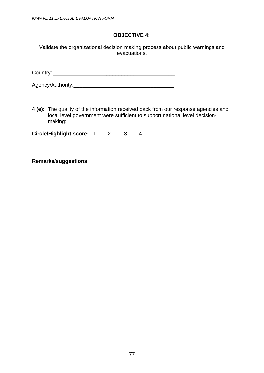Validate the organizational decision making process about public warnings and evacuations.

Country: \_\_\_\_\_\_\_\_\_\_\_\_\_\_\_\_\_\_\_\_\_\_\_\_\_\_\_\_\_\_\_\_\_\_\_\_\_\_\_\_\_

Agency/Authority:\_\_\_\_\_\_\_\_\_\_\_\_\_\_\_\_\_\_\_\_\_\_\_\_\_\_\_\_\_\_\_\_\_\_

**4 (e):** The quality of the information received back from our response agencies and local level government were sufficient to support national level decisionmaking:

**Circle/Highlight score:** 1 2 3 4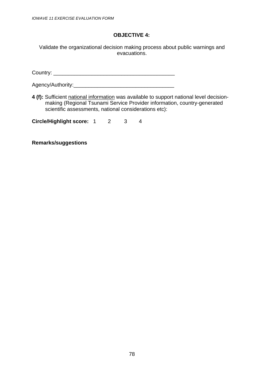Validate the organizational decision making process about public warnings and evacuations.

Country: \_\_\_\_\_\_\_\_\_\_\_\_\_\_\_\_\_\_\_\_\_\_\_\_\_\_\_\_\_\_\_\_\_\_\_\_\_\_\_\_\_

Agency/Authority:\_\_\_\_\_\_\_\_\_\_\_\_\_\_\_\_\_\_\_\_\_\_\_\_\_\_\_\_\_\_\_\_\_\_

**4 (f):** Sufficient national information was available to support national level decisionmaking (Regional Tsunami Service Provider information, country-generated scientific assessments, national considerations etc):

**Circle/Highlight score:** 1 2 3 4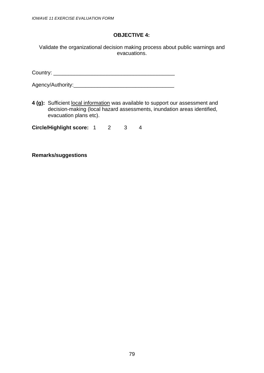Validate the organizational decision making process about public warnings and evacuations.

Country: \_\_\_\_\_\_\_\_\_\_\_\_\_\_\_\_\_\_\_\_\_\_\_\_\_\_\_\_\_\_\_\_\_\_\_\_\_\_\_\_\_

Agency/Authority:\_\_\_\_\_\_\_\_\_\_\_\_\_\_\_\_\_\_\_\_\_\_\_\_\_\_\_\_\_\_\_\_\_\_

**4 (g):** Sufficient local information was available to support our assessment and decision-making (local hazard assessments, inundation areas identified, evacuation plans etc).

**Circle/Highlight score:** 1 2 3 4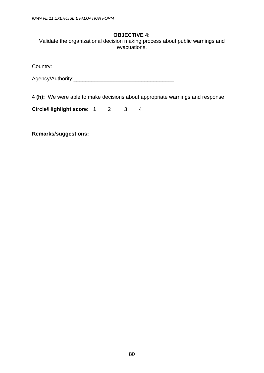Validate the organizational decision making process about public warnings and evacuations.

Country: \_\_\_\_\_\_\_\_\_\_\_\_\_\_\_\_\_\_\_\_\_\_\_\_\_\_\_\_\_\_\_\_\_\_\_\_\_\_\_\_\_

Agency/Authority:\_\_\_\_\_\_\_\_\_\_\_\_\_\_\_\_\_\_\_\_\_\_\_\_\_\_\_\_\_\_\_\_\_\_

**4 (h):** We were able to make decisions about appropriate warnings and response

**Circle/Highlight score:** 1 2 3 4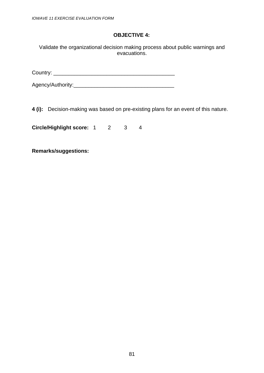Validate the organizational decision making process about public warnings and evacuations.

Country: \_\_\_\_\_\_\_\_\_\_\_\_\_\_\_\_\_\_\_\_\_\_\_\_\_\_\_\_\_\_\_\_\_\_\_\_\_\_\_\_\_

Agency/Authority:\_\_\_\_\_\_\_\_\_\_\_\_\_\_\_\_\_\_\_\_\_\_\_\_\_\_\_\_\_\_\_\_\_\_

**4 (i):** Decision-making was based on pre-existing plans for an event of this nature.

**Circle/Highlight score:** 1 2 3 4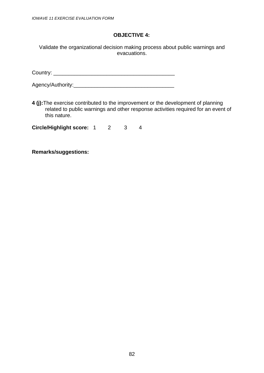Validate the organizational decision making process about public warnings and evacuations.

Country: \_\_\_\_\_\_\_\_\_\_\_\_\_\_\_\_\_\_\_\_\_\_\_\_\_\_\_\_\_\_\_\_\_\_\_\_\_\_\_\_\_

Agency/Authority:\_\_\_\_\_\_\_\_\_\_\_\_\_\_\_\_\_\_\_\_\_\_\_\_\_\_\_\_\_\_\_\_\_\_

**4 (j):**The exercise contributed to the improvement or the development of planning related to public warnings and other response activities required for an event of this nature.

**Circle/Highlight score:** 1 2 3 4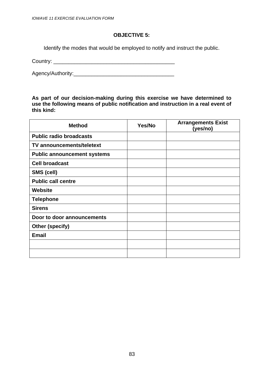Identify the modes that would be employed to notify and instruct the public.

Country: \_\_\_\_\_\_\_\_\_\_\_\_\_\_\_\_\_\_\_\_\_\_\_\_\_\_\_\_\_\_\_\_\_\_\_\_\_\_\_\_\_

Agency/Authority:\_\_\_\_\_\_\_\_\_\_\_\_\_\_\_\_\_\_\_\_\_\_\_\_\_\_\_\_\_\_\_\_\_\_

**As part of our decision-making during this exercise we have determined to use the following means of public notification and instruction in a real event of this kind:** 

| <b>Method</b>                      | Yes/No | <b>Arrangements Exist</b><br>(yes/no) |
|------------------------------------|--------|---------------------------------------|
| <b>Public radio broadcasts</b>     |        |                                       |
| <b>TV announcements/teletext</b>   |        |                                       |
| <b>Public announcement systems</b> |        |                                       |
| <b>Cell broadcast</b>              |        |                                       |
| SMS (cell)                         |        |                                       |
| <b>Public call centre</b>          |        |                                       |
| <b>Website</b>                     |        |                                       |
| <b>Telephone</b>                   |        |                                       |
| <b>Sirens</b>                      |        |                                       |
| Door to door announcements         |        |                                       |
| <b>Other (specify)</b>             |        |                                       |
| <b>Email</b>                       |        |                                       |
|                                    |        |                                       |
|                                    |        |                                       |